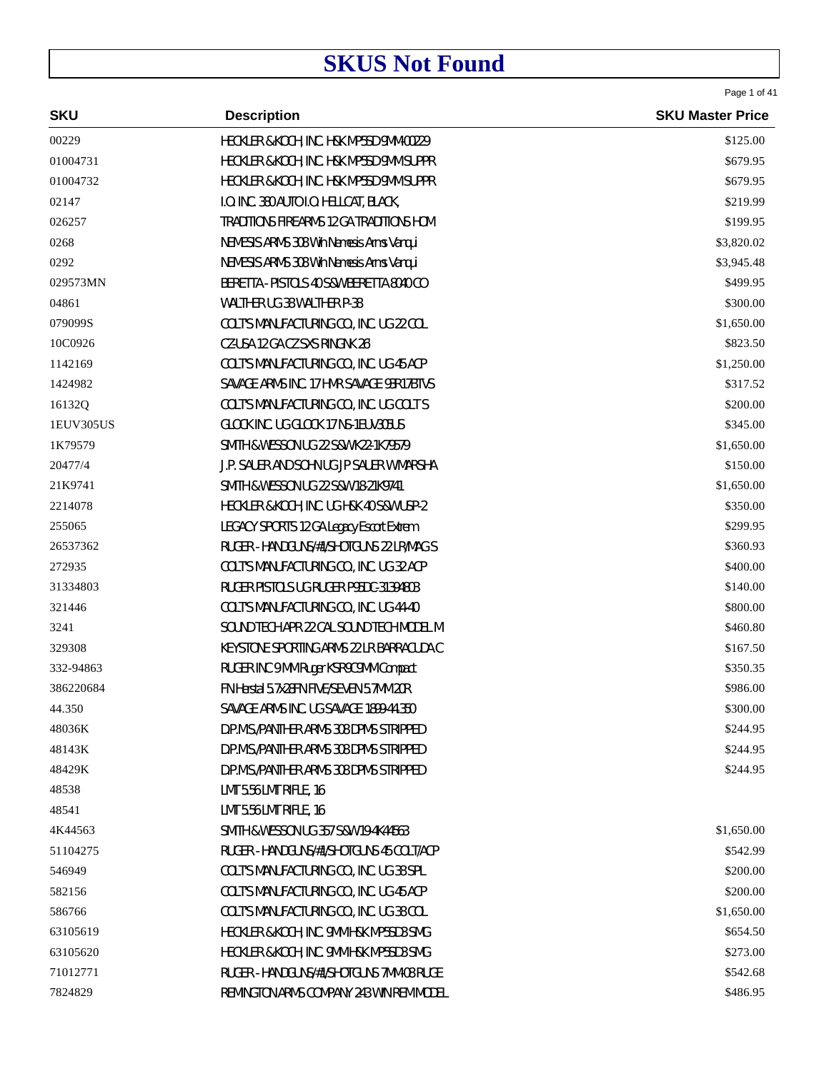| <b>SKU</b> | <b>Description</b>                       | <b>SKU Master Price</b> |
|------------|------------------------------------------|-------------------------|
| 00229      | HECKLER & KOCH, INC. H&K MP5SD 9MM-00229 | \$125.00                |
| 01004731   | HECKLER & KOCH, INC. H&K MP5SD 9MM SUPPR | \$679.95                |
| 01004732   | HECKLER & KOCH, INC. H&K MP5SD 9MM SUPPR | \$679.95                |
| 02147      | I.O. INC. 380 AUTO I.O. HELLCAT, BLACK,  | \$219.99                |
| 026257     | TRADITIONS FIREARMS 12 GA TRADITIONS HOM | \$199.95                |
| 0268       | NEMESIS ARMS 308 Win Nemesis Arms Vanqui | \$3,820.02              |
| 0292       | NEMESIS ARMS 308 Win Nemesis Arms Vanqui | \$3,945.48              |
| 029573MN   | BERETTA - PISTOLS 40 S&W BERETTA 8040 CO | \$499.95                |
| 04861      | WALTHER UG 38 WALTHER P-38               | \$300.00                |
| 079099S    | COLT'S MANUFACTURING CO., INC. UG 22 COL | \$1,650.00              |
| 10C0926    | CZ-USA 12 GA CZ SXS RINGNK 26'           | \$823.50                |
| 1142169    | COLT'S MANUFACTURING CO., INC. UG 45 ACP | \$1,250.00              |
| 1424982    | SAVAGE ARMS INC. 17 HMR SAVAGE 93R17BTVS | \$317.52                |
| 16132Q     | COLT'S MANUFACTURING CO., INC. UG COLT S | \$200.00                |
| 1EUV305US  | GLOCK INC. UG GLOCK 17 NS-1EUV305US      | \$345.00                |
| 1K79579    | SMITH & WESSON UG 22 S&W K22-1K79579     | \$1,650.00              |
| 20477/4    | J.P. SAUER AND SOHN UG JP SAUER W MARSHA | \$150.00                |
| 21K9741    | SMITH & WESSON UG 22 S&W 18-21K9741      | \$1,650.00              |
| 2214078    | HECKLER & KOCH, INC. UG H&K 40 S&W USP-2 | \$350.00                |
| 255065     | LEGACY SPORTS 12 GA Legacy Escort Extrem | \$299.95                |
| 26537362   | RUGER - HANDGUNS/#1/SHOTGUNS 22 LR/MAG S | \$360.93                |
| 272935     | COLT'S MANUFACTURING CO., INC. UG 32 ACP | \$400.00                |
| 31334803   | RUGER PISTOLS UG RUGER P95DC-31394803    | \$140.00                |
| 321446     | COLT'S MANUFACTURING CO., INC. UG 44-40  | \$800.00                |
| 3241       | SOUND TECH APR 22 CAL SOUND TECH MODEL M | \$460.80                |
| 329308     | KEYSTONE SPORTING ARMS 22 LR BARRACUDA C | \$167.50                |
| 332-94863  | RUGER INC 9 MM Ruger KSR9C9MM Compact    | \$350.35                |
| 386220684  | FN Herstal 5.7x28FN FIVE/SEVEN 5.7MM 20R | \$986.00                |
| 44.350     | SAVAGE ARMS INC. UG SAVAGE 1899-44.350   | \$300.00                |
| 48036K     | D.P.M.S./PANTHER ARMS 308 DPMS STRIPPED  | \$244.95                |
| 48143K     | D.P.M.S./PANTHER ARMS 308 DPMS STRIPPED  | \$244.95                |
| 48429K     | D.P.M.S./PANTHER ARMS 308 DPMS STRIPPED  | \$244.95                |
| 48538      | LMT 5.56 LMT RIFLE, 16                   |                         |
| 48541      | LMT 5.56 LMT RIFLE, 16                   |                         |
| 4K44563    | SMITH & WESSON UG 357 S&W 19-4K44563     | \$1,650.00              |
| 51104275   | RUGER - HANDGUNS/#1/SHOTGUNS 45 COLT/ACP | \$542.99                |
| 546949     | COLT'S MANUFACTURING CO., INC. UG 38 SPL | \$200.00                |
| 582156     | COLT'S MANUFACTURING CO., INC. UG 45 ACP | \$200.00                |
| 586766     | COLT'S MANUFACTURING CO., INC. UG 38 COL | \$1,650.00              |
| 63105619   | HECKLER & KOCH, INC. 9MM H&K MP5SD3 SMG  | \$654.50                |
| 63105620   | HECKLER & KOCH, INC. 9MM H&K MP5SD3 SMG  | \$273.00                |
| 71012771   | RUGER - HANDGUNS/#1/SHOTGUNS 7MM-08 RUGE | \$542.68                |
| 7824829    | REMINGTON ARMS COMPANY 243 WIN REM MODEL | \$486.95                |

Page 1 of 41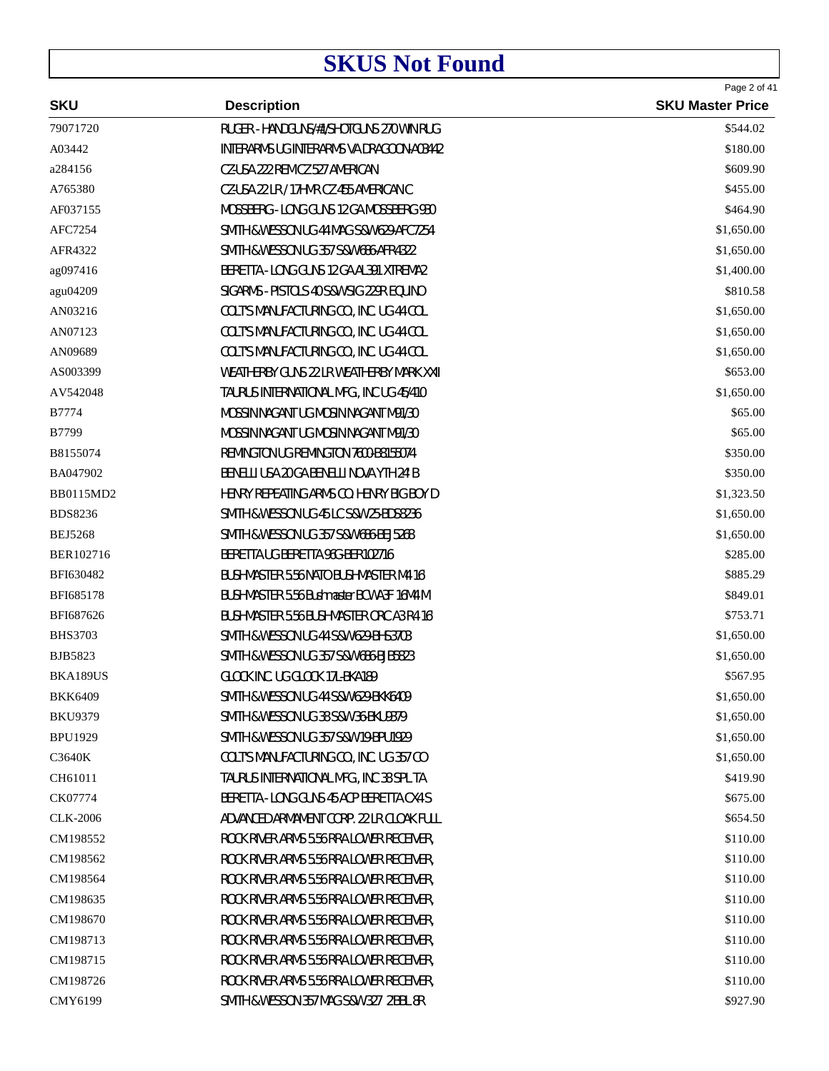| <b>SKU</b>       | <b>Description</b>                                   | Page 2 of 41<br><b>SKU Master Price</b> |
|------------------|------------------------------------------------------|-----------------------------------------|
| 79071720         | RUGER - HANDGUNS/#1/SHOTGUNS 270 WIN RUG             | \$544.02                                |
| A03442           | INTERARMS UG INTERARMS VA DRAGOON-A03442             | \$180.00                                |
| a284156          | CZ-USA 222 REM CZ 527 AMERICAN                       | \$609.90                                |
| A765380          | CZ-USA 22 LR / 17HMR CZ 455 AMERICAN C               | \$455.00                                |
| AF037155         | MOSSBERG - LONG GUNS 12 GA MOSSBERG 930              | \$464.90                                |
| AFC7254          | SMITH & WESSON UG 44 MAG S&W 629-AFC7254             | \$1,650.00                              |
| AFR4322          | <b>SMITH &amp; WESSON UG 357 S&amp;W 686-AFR4322</b> | \$1,650.00                              |
| ag097416         | BERETTA - LONG GUNS 12 GA AL391 XTREMA2              | \$1,400.00                              |
| agu04209         | SIGARMS - PISTOLS 40 S&W SIG 229R EQUINO             | \$810.58                                |
| AN03216          | COLT'S MANUFACTURING CO., INC. UG 44 COL             | \$1,650.00                              |
| AN07123          | COLT'S MANUFACTURING CO., INC. UG 44 COL             | \$1,650.00                              |
| AN09689          | COLT'S MANUFACTURING CO., INC. UG 44 COL             | \$1,650.00                              |
| AS003399         | WEATHERBY GUNS 22 LR WEATHERBY MARK XXII             | \$653.00                                |
| AV542048         | TAURUS INTERNATIONAL MFG., INC UG 45/410             | \$1,650.00                              |
| <b>B7774</b>     | MOSSIN NAGANT UG MOSIN NAGANT M91/30                 | \$65.00                                 |
| B7799            | MOSSIN NAGANT UG MOSIN NAGANT M91/30                 | \$65.00                                 |
| B8155074         | REMINGTON UG REMINGTON 7600-B8155074                 | \$350.00                                |
| BA047902         | BENELLI USA 20 GA BENELLI NOVA YTH 24' B             | \$350.00                                |
| <b>BB0115MD2</b> | HENRY REPEATING ARMS CO. HENRY BIG BOY D             | \$1,323.50                              |
| <b>BDS8236</b>   | SMITH & WESSON UG 45 LC S&W 25-BDS8236               | \$1,650.00                              |
| <b>BEJ5268</b>   | SMITH & WESSON UG 357 S&W 686-BEJ5268                | \$1,650.00                              |
| BER102716        | BERETTA UG BERETTA 96G-BER102716                     | \$285.00                                |
| BFI630482        | BUSHMASTER 5.56 NATO BUSHMASTER M4 16'               | \$885.29                                |
| BFI685178        | BUSHMASTER 5.56 Bushmaster BCWA3F 16M4 M             | \$849.01                                |
| BFI687626        | BUSHMASTER 5.56 BUSHMASTER ORC A3 R4 16'             | \$753.71                                |
| <b>BHS3703</b>   | <b>SMITH &amp; WESSON UG 44 S&amp;W 629-BHS3703</b>  | \$1,650.00                              |
| <b>BJB5823</b>   | SMITH & WESSON UG 357 S&W 686-BJB5823                | \$1,650.00                              |
| BKA189US         | GLOCK INC. UG GLOCK 17L-BKA189                       | \$567.95                                |
| <b>BKK6409</b>   | SMITH & WESSON UG 44 S&W 629-BKK6409                 | \$1,650.00                              |
| <b>BKU9379</b>   | SMITH & WESSON UG 38 S&W 36-BKU9379                  | \$1,650.00                              |
| <b>BPU1929</b>   | SMITH & WESSON UG 357 S&W 19-BPU1929                 | \$1,650.00                              |
| C3640K           | COLT'S MANUFACTURING CO., INC. UG 357 CO             | \$1,650.00                              |
| CH61011          | TAURUS INTERNATIONAL MFG., INC 38 SPL TA             | \$419.90                                |
| CK07774          | BERETTA - LONG GUNS 45 ACP BERETTA CX4 S             | \$675.00                                |
| <b>CLK-2006</b>  | ADVANCED ARMAMENT CORP. 22 LR CLOAK FULL             | \$654.50                                |
| CM198552         | ROCK RIVER ARMS 5.56 RRA LOWER RECEIVER,             | \$110.00                                |
| CM198562         | ROCK RIVER ARMS 5.56 RRA LOWER RECEIVER,             | \$110.00                                |
| CM198564         | ROCK RIVER ARMS 5.56 RRA LOWER RECEIVER,             | \$110.00                                |
| CM198635         | ROCK RIVER ARMS 5.56 RRA LOWER RECEIVER,             | \$110.00                                |
| CM198670         | ROCK RIVER ARMS 5.56 RRA LOWER RECEIVER,             | \$110.00                                |
| CM198713         | ROCK RIVER ARMS 5.56 RRA LOWER RECEIVER,             | \$110.00                                |
| CM198715         | ROCK RIVER ARMS 5.56 RRA LOWER RECEIVER,             | \$110.00                                |
| CM198726         | ROCK RIVER ARMS 5.56 RRA LOWER RECEIVER,             | \$110.00                                |
| CMY6199          | SMITH & WESSON 357 MAG S&W 327 2'BBL 8R              | \$927.90                                |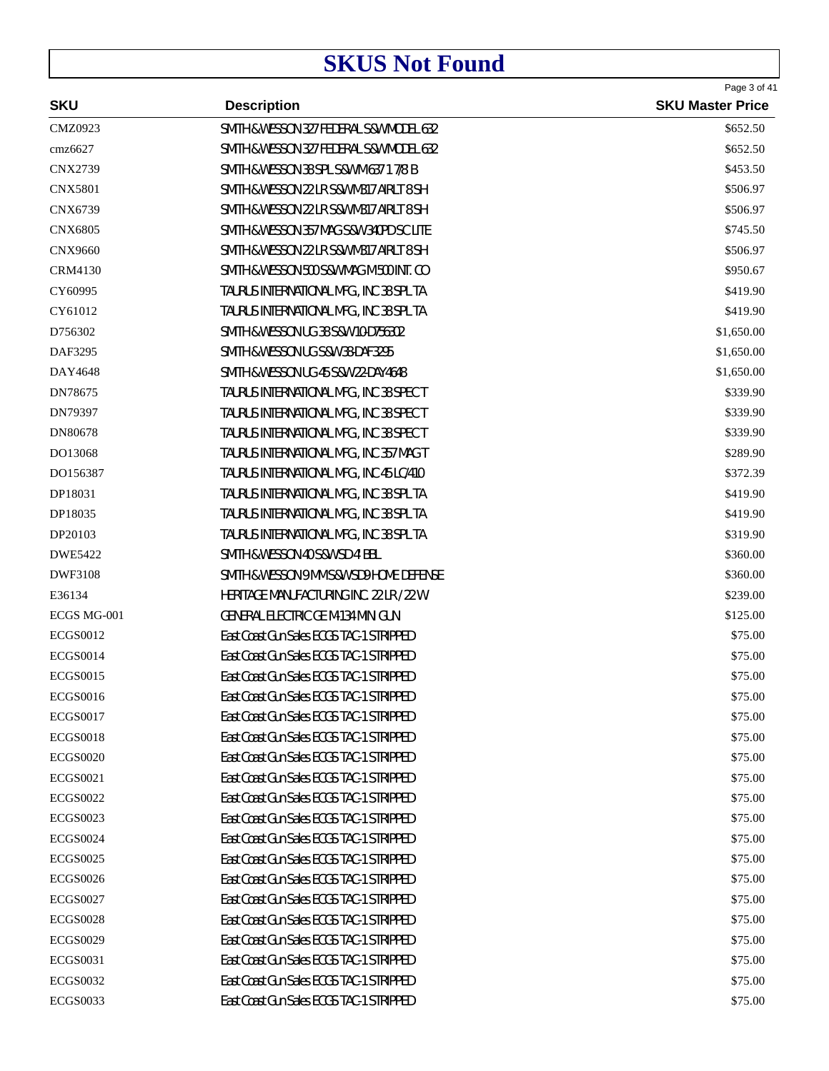| <b>SKU</b><br><b>SKU Master Price</b><br><b>Description</b><br><b>CMZ0923</b><br>SMITH & WESSON 327 FEDERAL S&W MODEL 632<br>\$652.50<br>cmz6627<br>SMITH & WESSON 327 FEDERAL S&W MODEL 632<br>\$652.50<br><b>CNX2739</b><br>SMITH & WESSON 38 SPL S&W M 637 1 7/8' B<br>\$453.50<br><b>CNX5801</b><br>SMITH & WESSON 22 LR S&W M317 AIRLT 8 SH<br>\$506.97<br><b>CNX6739</b><br>SMITH & WESSON 22 LR S&W M317 AIRLT 8 SH<br>\$506.97<br><b>CNX6805</b><br>SMITH & WESSON 357 MAG S&W 340PD SC LITE<br>\$745.50<br><b>CNX9660</b><br>SMITH & WESSON 22 LR S&W M317 AIRLT 8 SH<br>\$506.97<br><b>CRM4130</b><br>SMITH & WESSON 500 S&W MAG M 500 INT. CO<br>\$950.67<br>CY60995<br>TAURUS INTERNATIONAL MFG., INC 38 SPL TA<br>\$419.90<br>CY61012<br>TAURUS INTERNATIONAL MFG., INC 38 SPL TA<br>\$419.90<br>SMITH & WESSON UG 38 S&W 10-D756302<br>\$1,650.00<br>D756302<br>DAF3295<br>SMITH & WESSON UG S&W 38-DAF3295<br>\$1,650.00<br>DAY4648<br>SMITH & WESSON UG 45 S&W 22-DAY4648<br>\$1,650.00<br>DN78675<br>TAURUS INTERNATIONAL MFG., INC 38 SPEC T<br>\$339.90<br>DN79397<br>TAURUS INTERNATIONAL MFG., INC 38 SPEC T<br>\$339.90<br>DN80678<br>TAURUS INTERNATIONAL MFG., INC 38 SPEC T<br>\$339.90<br>DO13068<br>TAURUS INTERNATIONAL MFG., INC 357 MAG T<br>\$289.90<br>DO156387<br>TAURUS INTERNATIONAL MFG., INC 45 LC/410<br>\$372.39<br>DP18031<br>TAURUS INTERNATIONAL MFG., INC 38 SPL TA<br>\$419.90<br>DP18035<br>TAURUS INTERNATIONAL MFG., INC 38 SPL TA<br>\$419.90<br>DP20103<br>TAURUS INTERNATIONAL MFG., INC 38 SPL TA<br>\$319.90<br>SMITH & WESSON 40 S&W SD 4' BBL<br>DWE5422<br>\$360.00<br><b>DWF3108</b><br>SMITH & WESSON 9 MM S&W SD9 HOME DEFENSE<br>\$360.00<br>E36134<br>HERITAGE MANUFACTURING INC. 22 LR / 22 W<br>\$239.00<br><b>GENERAL ELECTRIC GE M-134 MINI GUN</b><br>ECGS MG-001<br>\$125.00<br><b>ECGS0012</b><br>East Coast Gun Sales ECGS TAC-1 STRIPPED<br>\$75.00<br><b>ECGS0014</b><br>East Coast Gun Sales ECGS TAC-1 STRIPPED<br>\$75.00 |
|----------------------------------------------------------------------------------------------------------------------------------------------------------------------------------------------------------------------------------------------------------------------------------------------------------------------------------------------------------------------------------------------------------------------------------------------------------------------------------------------------------------------------------------------------------------------------------------------------------------------------------------------------------------------------------------------------------------------------------------------------------------------------------------------------------------------------------------------------------------------------------------------------------------------------------------------------------------------------------------------------------------------------------------------------------------------------------------------------------------------------------------------------------------------------------------------------------------------------------------------------------------------------------------------------------------------------------------------------------------------------------------------------------------------------------------------------------------------------------------------------------------------------------------------------------------------------------------------------------------------------------------------------------------------------------------------------------------------------------------------------------------------------------------------------------------------------------------------------------------------------------------------------------------------------------------------------------------------------------------------------|
|                                                                                                                                                                                                                                                                                                                                                                                                                                                                                                                                                                                                                                                                                                                                                                                                                                                                                                                                                                                                                                                                                                                                                                                                                                                                                                                                                                                                                                                                                                                                                                                                                                                                                                                                                                                                                                                                                                                                                                                                    |
|                                                                                                                                                                                                                                                                                                                                                                                                                                                                                                                                                                                                                                                                                                                                                                                                                                                                                                                                                                                                                                                                                                                                                                                                                                                                                                                                                                                                                                                                                                                                                                                                                                                                                                                                                                                                                                                                                                                                                                                                    |
|                                                                                                                                                                                                                                                                                                                                                                                                                                                                                                                                                                                                                                                                                                                                                                                                                                                                                                                                                                                                                                                                                                                                                                                                                                                                                                                                                                                                                                                                                                                                                                                                                                                                                                                                                                                                                                                                                                                                                                                                    |
|                                                                                                                                                                                                                                                                                                                                                                                                                                                                                                                                                                                                                                                                                                                                                                                                                                                                                                                                                                                                                                                                                                                                                                                                                                                                                                                                                                                                                                                                                                                                                                                                                                                                                                                                                                                                                                                                                                                                                                                                    |
|                                                                                                                                                                                                                                                                                                                                                                                                                                                                                                                                                                                                                                                                                                                                                                                                                                                                                                                                                                                                                                                                                                                                                                                                                                                                                                                                                                                                                                                                                                                                                                                                                                                                                                                                                                                                                                                                                                                                                                                                    |
|                                                                                                                                                                                                                                                                                                                                                                                                                                                                                                                                                                                                                                                                                                                                                                                                                                                                                                                                                                                                                                                                                                                                                                                                                                                                                                                                                                                                                                                                                                                                                                                                                                                                                                                                                                                                                                                                                                                                                                                                    |
|                                                                                                                                                                                                                                                                                                                                                                                                                                                                                                                                                                                                                                                                                                                                                                                                                                                                                                                                                                                                                                                                                                                                                                                                                                                                                                                                                                                                                                                                                                                                                                                                                                                                                                                                                                                                                                                                                                                                                                                                    |
|                                                                                                                                                                                                                                                                                                                                                                                                                                                                                                                                                                                                                                                                                                                                                                                                                                                                                                                                                                                                                                                                                                                                                                                                                                                                                                                                                                                                                                                                                                                                                                                                                                                                                                                                                                                                                                                                                                                                                                                                    |
|                                                                                                                                                                                                                                                                                                                                                                                                                                                                                                                                                                                                                                                                                                                                                                                                                                                                                                                                                                                                                                                                                                                                                                                                                                                                                                                                                                                                                                                                                                                                                                                                                                                                                                                                                                                                                                                                                                                                                                                                    |
|                                                                                                                                                                                                                                                                                                                                                                                                                                                                                                                                                                                                                                                                                                                                                                                                                                                                                                                                                                                                                                                                                                                                                                                                                                                                                                                                                                                                                                                                                                                                                                                                                                                                                                                                                                                                                                                                                                                                                                                                    |
|                                                                                                                                                                                                                                                                                                                                                                                                                                                                                                                                                                                                                                                                                                                                                                                                                                                                                                                                                                                                                                                                                                                                                                                                                                                                                                                                                                                                                                                                                                                                                                                                                                                                                                                                                                                                                                                                                                                                                                                                    |
|                                                                                                                                                                                                                                                                                                                                                                                                                                                                                                                                                                                                                                                                                                                                                                                                                                                                                                                                                                                                                                                                                                                                                                                                                                                                                                                                                                                                                                                                                                                                                                                                                                                                                                                                                                                                                                                                                                                                                                                                    |
|                                                                                                                                                                                                                                                                                                                                                                                                                                                                                                                                                                                                                                                                                                                                                                                                                                                                                                                                                                                                                                                                                                                                                                                                                                                                                                                                                                                                                                                                                                                                                                                                                                                                                                                                                                                                                                                                                                                                                                                                    |
|                                                                                                                                                                                                                                                                                                                                                                                                                                                                                                                                                                                                                                                                                                                                                                                                                                                                                                                                                                                                                                                                                                                                                                                                                                                                                                                                                                                                                                                                                                                                                                                                                                                                                                                                                                                                                                                                                                                                                                                                    |
|                                                                                                                                                                                                                                                                                                                                                                                                                                                                                                                                                                                                                                                                                                                                                                                                                                                                                                                                                                                                                                                                                                                                                                                                                                                                                                                                                                                                                                                                                                                                                                                                                                                                                                                                                                                                                                                                                                                                                                                                    |
|                                                                                                                                                                                                                                                                                                                                                                                                                                                                                                                                                                                                                                                                                                                                                                                                                                                                                                                                                                                                                                                                                                                                                                                                                                                                                                                                                                                                                                                                                                                                                                                                                                                                                                                                                                                                                                                                                                                                                                                                    |
|                                                                                                                                                                                                                                                                                                                                                                                                                                                                                                                                                                                                                                                                                                                                                                                                                                                                                                                                                                                                                                                                                                                                                                                                                                                                                                                                                                                                                                                                                                                                                                                                                                                                                                                                                                                                                                                                                                                                                                                                    |
|                                                                                                                                                                                                                                                                                                                                                                                                                                                                                                                                                                                                                                                                                                                                                                                                                                                                                                                                                                                                                                                                                                                                                                                                                                                                                                                                                                                                                                                                                                                                                                                                                                                                                                                                                                                                                                                                                                                                                                                                    |
|                                                                                                                                                                                                                                                                                                                                                                                                                                                                                                                                                                                                                                                                                                                                                                                                                                                                                                                                                                                                                                                                                                                                                                                                                                                                                                                                                                                                                                                                                                                                                                                                                                                                                                                                                                                                                                                                                                                                                                                                    |
|                                                                                                                                                                                                                                                                                                                                                                                                                                                                                                                                                                                                                                                                                                                                                                                                                                                                                                                                                                                                                                                                                                                                                                                                                                                                                                                                                                                                                                                                                                                                                                                                                                                                                                                                                                                                                                                                                                                                                                                                    |
|                                                                                                                                                                                                                                                                                                                                                                                                                                                                                                                                                                                                                                                                                                                                                                                                                                                                                                                                                                                                                                                                                                                                                                                                                                                                                                                                                                                                                                                                                                                                                                                                                                                                                                                                                                                                                                                                                                                                                                                                    |
|                                                                                                                                                                                                                                                                                                                                                                                                                                                                                                                                                                                                                                                                                                                                                                                                                                                                                                                                                                                                                                                                                                                                                                                                                                                                                                                                                                                                                                                                                                                                                                                                                                                                                                                                                                                                                                                                                                                                                                                                    |
|                                                                                                                                                                                                                                                                                                                                                                                                                                                                                                                                                                                                                                                                                                                                                                                                                                                                                                                                                                                                                                                                                                                                                                                                                                                                                                                                                                                                                                                                                                                                                                                                                                                                                                                                                                                                                                                                                                                                                                                                    |
|                                                                                                                                                                                                                                                                                                                                                                                                                                                                                                                                                                                                                                                                                                                                                                                                                                                                                                                                                                                                                                                                                                                                                                                                                                                                                                                                                                                                                                                                                                                                                                                                                                                                                                                                                                                                                                                                                                                                                                                                    |
|                                                                                                                                                                                                                                                                                                                                                                                                                                                                                                                                                                                                                                                                                                                                                                                                                                                                                                                                                                                                                                                                                                                                                                                                                                                                                                                                                                                                                                                                                                                                                                                                                                                                                                                                                                                                                                                                                                                                                                                                    |
|                                                                                                                                                                                                                                                                                                                                                                                                                                                                                                                                                                                                                                                                                                                                                                                                                                                                                                                                                                                                                                                                                                                                                                                                                                                                                                                                                                                                                                                                                                                                                                                                                                                                                                                                                                                                                                                                                                                                                                                                    |
|                                                                                                                                                                                                                                                                                                                                                                                                                                                                                                                                                                                                                                                                                                                                                                                                                                                                                                                                                                                                                                                                                                                                                                                                                                                                                                                                                                                                                                                                                                                                                                                                                                                                                                                                                                                                                                                                                                                                                                                                    |
|                                                                                                                                                                                                                                                                                                                                                                                                                                                                                                                                                                                                                                                                                                                                                                                                                                                                                                                                                                                                                                                                                                                                                                                                                                                                                                                                                                                                                                                                                                                                                                                                                                                                                                                                                                                                                                                                                                                                                                                                    |
| <b>ECGS0015</b><br>East Coast Gun Sales ECGS TAC-1 STRIPPED<br>\$75.00                                                                                                                                                                                                                                                                                                                                                                                                                                                                                                                                                                                                                                                                                                                                                                                                                                                                                                                                                                                                                                                                                                                                                                                                                                                                                                                                                                                                                                                                                                                                                                                                                                                                                                                                                                                                                                                                                                                             |
| East Coast Gun Sales ECGS TAC-1 STRIPPED<br><b>ECGS0016</b><br>\$75.00                                                                                                                                                                                                                                                                                                                                                                                                                                                                                                                                                                                                                                                                                                                                                                                                                                                                                                                                                                                                                                                                                                                                                                                                                                                                                                                                                                                                                                                                                                                                                                                                                                                                                                                                                                                                                                                                                                                             |
| <b>ECGS0017</b><br>East Coast Gun Sales ECGS TAC-1 STRIPPED<br>\$75.00                                                                                                                                                                                                                                                                                                                                                                                                                                                                                                                                                                                                                                                                                                                                                                                                                                                                                                                                                                                                                                                                                                                                                                                                                                                                                                                                                                                                                                                                                                                                                                                                                                                                                                                                                                                                                                                                                                                             |
| <b>ECGS0018</b><br>East Coast Gun Sales ECGS TAC-1 STRIPPED<br>\$75.00                                                                                                                                                                                                                                                                                                                                                                                                                                                                                                                                                                                                                                                                                                                                                                                                                                                                                                                                                                                                                                                                                                                                                                                                                                                                                                                                                                                                                                                                                                                                                                                                                                                                                                                                                                                                                                                                                                                             |
| East Coast Gun Sales ECGS TAC-1 STRIPPED<br><b>ECGS0020</b><br>\$75.00                                                                                                                                                                                                                                                                                                                                                                                                                                                                                                                                                                                                                                                                                                                                                                                                                                                                                                                                                                                                                                                                                                                                                                                                                                                                                                                                                                                                                                                                                                                                                                                                                                                                                                                                                                                                                                                                                                                             |
| <b>ECGS0021</b><br>East Coast Gun Sales ECGS TAC-1 STRIPPED<br>\$75.00                                                                                                                                                                                                                                                                                                                                                                                                                                                                                                                                                                                                                                                                                                                                                                                                                                                                                                                                                                                                                                                                                                                                                                                                                                                                                                                                                                                                                                                                                                                                                                                                                                                                                                                                                                                                                                                                                                                             |
| East Coast Gun Sales ECGS TAC-1 STRIPPED<br><b>ECGS0022</b><br>\$75.00                                                                                                                                                                                                                                                                                                                                                                                                                                                                                                                                                                                                                                                                                                                                                                                                                                                                                                                                                                                                                                                                                                                                                                                                                                                                                                                                                                                                                                                                                                                                                                                                                                                                                                                                                                                                                                                                                                                             |
| East Coast Gun Sales ECGS TAC-1 STRIPPED<br><b>ECGS0023</b><br>\$75.00                                                                                                                                                                                                                                                                                                                                                                                                                                                                                                                                                                                                                                                                                                                                                                                                                                                                                                                                                                                                                                                                                                                                                                                                                                                                                                                                                                                                                                                                                                                                                                                                                                                                                                                                                                                                                                                                                                                             |
| East Coast Gun Sales ECGS TAC-1 STRIPPED<br><b>ECGS0024</b><br>\$75.00                                                                                                                                                                                                                                                                                                                                                                                                                                                                                                                                                                                                                                                                                                                                                                                                                                                                                                                                                                                                                                                                                                                                                                                                                                                                                                                                                                                                                                                                                                                                                                                                                                                                                                                                                                                                                                                                                                                             |
| <b>ECGS0025</b><br>East Coast Gun Sales ECGS TAC-1 STRIPPED<br>\$75.00                                                                                                                                                                                                                                                                                                                                                                                                                                                                                                                                                                                                                                                                                                                                                                                                                                                                                                                                                                                                                                                                                                                                                                                                                                                                                                                                                                                                                                                                                                                                                                                                                                                                                                                                                                                                                                                                                                                             |
| East Coast Gun Sales ECGS TAC-1 STRIPPED<br><b>ECGS0026</b><br>\$75.00                                                                                                                                                                                                                                                                                                                                                                                                                                                                                                                                                                                                                                                                                                                                                                                                                                                                                                                                                                                                                                                                                                                                                                                                                                                                                                                                                                                                                                                                                                                                                                                                                                                                                                                                                                                                                                                                                                                             |
| <b>ECGS0027</b><br>East Coast Gun Sales ECGS TAC-1 STRIPPED<br>\$75.00                                                                                                                                                                                                                                                                                                                                                                                                                                                                                                                                                                                                                                                                                                                                                                                                                                                                                                                                                                                                                                                                                                                                                                                                                                                                                                                                                                                                                                                                                                                                                                                                                                                                                                                                                                                                                                                                                                                             |
| East Coast Gun Sales ECGS TAC-1 STRIPPED<br><b>ECGS0028</b><br>\$75.00                                                                                                                                                                                                                                                                                                                                                                                                                                                                                                                                                                                                                                                                                                                                                                                                                                                                                                                                                                                                                                                                                                                                                                                                                                                                                                                                                                                                                                                                                                                                                                                                                                                                                                                                                                                                                                                                                                                             |
| East Coast Gun Sales ECGS TAC-1 STRIPPED<br><b>ECGS0029</b><br>\$75.00                                                                                                                                                                                                                                                                                                                                                                                                                                                                                                                                                                                                                                                                                                                                                                                                                                                                                                                                                                                                                                                                                                                                                                                                                                                                                                                                                                                                                                                                                                                                                                                                                                                                                                                                                                                                                                                                                                                             |
| East Coast Gun Sales ECGS TAC-1 STRIPPED<br><b>ECGS0031</b><br>\$75.00                                                                                                                                                                                                                                                                                                                                                                                                                                                                                                                                                                                                                                                                                                                                                                                                                                                                                                                                                                                                                                                                                                                                                                                                                                                                                                                                                                                                                                                                                                                                                                                                                                                                                                                                                                                                                                                                                                                             |
| <b>ECGS0032</b><br>East Coast Gun Sales ECGS TAC-1 STRIPPED<br>\$75.00                                                                                                                                                                                                                                                                                                                                                                                                                                                                                                                                                                                                                                                                                                                                                                                                                                                                                                                                                                                                                                                                                                                                                                                                                                                                                                                                                                                                                                                                                                                                                                                                                                                                                                                                                                                                                                                                                                                             |
| <b>ECGS0033</b><br>East Coast Gun Sales ECGS TAC-1 STRIPPED<br>\$75.00                                                                                                                                                                                                                                                                                                                                                                                                                                                                                                                                                                                                                                                                                                                                                                                                                                                                                                                                                                                                                                                                                                                                                                                                                                                                                                                                                                                                                                                                                                                                                                                                                                                                                                                                                                                                                                                                                                                             |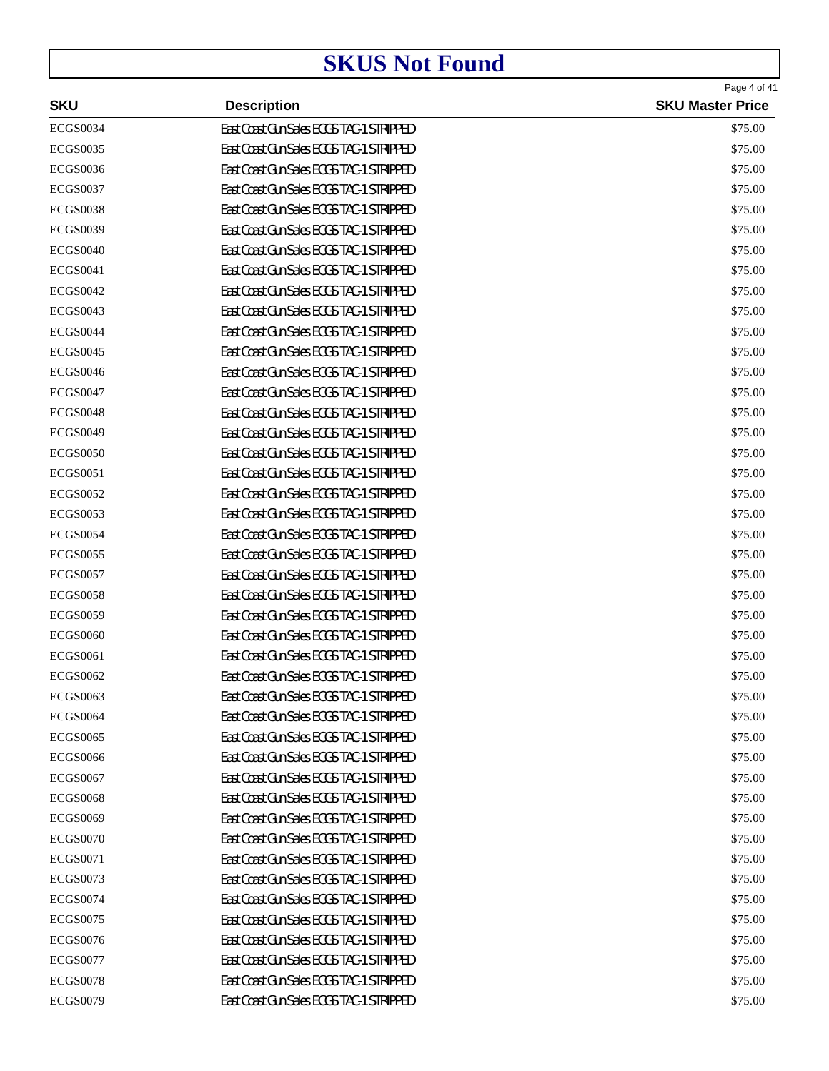|                 |                                          | Page 4 of 41            |
|-----------------|------------------------------------------|-------------------------|
| <b>SKU</b>      | <b>Description</b>                       | <b>SKU Master Price</b> |
| <b>ECGS0034</b> | East Coast Gun Sales ECGS TAC-1 STRIPPED | \$75.00                 |
| <b>ECGS0035</b> | East Coast Gun Sales ECGS TAC-1 STRIPPED | \$75.00                 |
| <b>ECGS0036</b> | East Coast Gun Sales ECGS TAC-1 STRIPPED | \$75.00                 |
| <b>ECGS0037</b> | East Coast Gun Sales ECGS TAC-1 STRIPPED | \$75.00                 |
| <b>ECGS0038</b> | East Coast Gun Sales ECGS TAC-1 STRIPPED | \$75.00                 |
| <b>ECGS0039</b> | East Coast Gun Sales ECGS TAC-1 STRIPPED | \$75.00                 |
| <b>ECGS0040</b> | East Coast Gun Sales ECGS TAC-1 STRIPPED | \$75.00                 |
| <b>ECGS0041</b> | East Coast Gun Sales ECGS TAC-1 STRIPPED | \$75.00                 |
| <b>ECGS0042</b> | East Coast Gun Sales ECGS TAC-1 STRIPPED | \$75.00                 |
| <b>ECGS0043</b> | East Coast Gun Sales ECGS TAC-1 STRIPPED | \$75.00                 |
| <b>ECGS0044</b> | East Coast Gun Sales ECGS TAC-1 STRIPPED | \$75.00                 |
| <b>ECGS0045</b> | East Coast Gun Sales ECGS TAC-1 STRIPPED | \$75.00                 |
| <b>ECGS0046</b> | East Coast Gun Sales ECGS TAC-1 STRIPPED | \$75.00                 |
| <b>ECGS0047</b> | East Coast Gun Sales ECGS TAC-1 STRIPPED | \$75.00                 |
| <b>ECGS0048</b> | East Coast Gun Sales ECGS TAC-1 STRIPPED | \$75.00                 |
| <b>ECGS0049</b> | East Coast Gun Sales ECGS TAC-1 STRIPPED | \$75.00                 |
| <b>ECGS0050</b> | East Coast Gun Sales ECGS TAC-1 STRIPPED | \$75.00                 |
| <b>ECGS0051</b> | East Coast Gun Sales ECGS TAC-1 STRIPPED | \$75.00                 |
| <b>ECGS0052</b> | East Coast Gun Sales ECGS TAC-1 STRIPPED | \$75.00                 |
| <b>ECGS0053</b> | East Coast Gun Sales ECGS TAC-1 STRIPPED | \$75.00                 |
| <b>ECGS0054</b> | East Coast Gun Sales ECGS TAC-1 STRIPPED | \$75.00                 |
| <b>ECGS0055</b> | East Coast Gun Sales ECGS TAC-1 STRIPPED | \$75.00                 |
| <b>ECGS0057</b> | East Coast Gun Sales ECGS TAC-1 STRIPPED | \$75.00                 |
| <b>ECGS0058</b> | East Coast Gun Sales ECGS TAC-1 STRIPPED | \$75.00                 |
| <b>ECGS0059</b> | East Coast Gun Sales ECGS TAC-1 STRIPPED | \$75.00                 |
| <b>ECGS0060</b> | East Coast Gun Sales ECGS TAC-1 STRIPPED | \$75.00                 |
| <b>ECGS0061</b> | East Coast Gun Sales ECGS TAC-1 STRIPPED | \$75.00                 |
| <b>ECGS0062</b> | East Coast Gun Sales ECGS TAC-1 STRIPPED | \$75.00                 |
| <b>ECGS0063</b> | East Coast Gun Sales ECGS TAC-1 STRIPPED | \$75.00                 |
| <b>ECGS0064</b> | East Coast Gun Sales ECGS TAC-1 STRIPPED | \$75.00                 |
| <b>ECGS0065</b> | East Coast Gun Sales ECGS TAC-1 STRIPPED | \$75.00                 |
| <b>ECGS0066</b> | East Coast Gun Sales ECGS TAC-1 STRIPPED | \$75.00                 |
| <b>ECGS0067</b> | East Coast Gun Sales ECGS TAC-1 STRIPPED | \$75.00                 |
| <b>ECGS0068</b> | East Coast Gun Sales ECGS TAC-1 STRIPPED | \$75.00                 |
| <b>ECGS0069</b> | East Coast Gun Sales ECGS TAC-1 STRIPPED | \$75.00                 |
| <b>ECGS0070</b> | East Coast Gun Sales ECGS TAC-1 STRIPPED | \$75.00                 |
| <b>ECGS0071</b> | East Coast Gun Sales ECGS TAC-1 STRIPPED | \$75.00                 |
| <b>ECGS0073</b> | East Coast Gun Sales ECGS TAC-1 STRIPPED | \$75.00                 |
| <b>ECGS0074</b> | East Coast Gun Sales ECGS TAC-1 STRIPPED | \$75.00                 |
| <b>ECGS0075</b> | East Coast Gun Sales ECGS TAC-1 STRIPPED | \$75.00                 |
| <b>ECGS0076</b> | East Coast Gun Sales ECGS TAC-1 STRIPPED | \$75.00                 |
| <b>ECGS0077</b> | East Coast Gun Sales ECGS TAC-1 STRIPPED | \$75.00                 |
| <b>ECGS0078</b> | East Coast Gun Sales ECGS TAC-1 STRIPPED | \$75.00                 |
| <b>ECGS0079</b> | East Coast Gun Sales ECGS TAC-1 STRIPPED | \$75.00                 |
|                 |                                          |                         |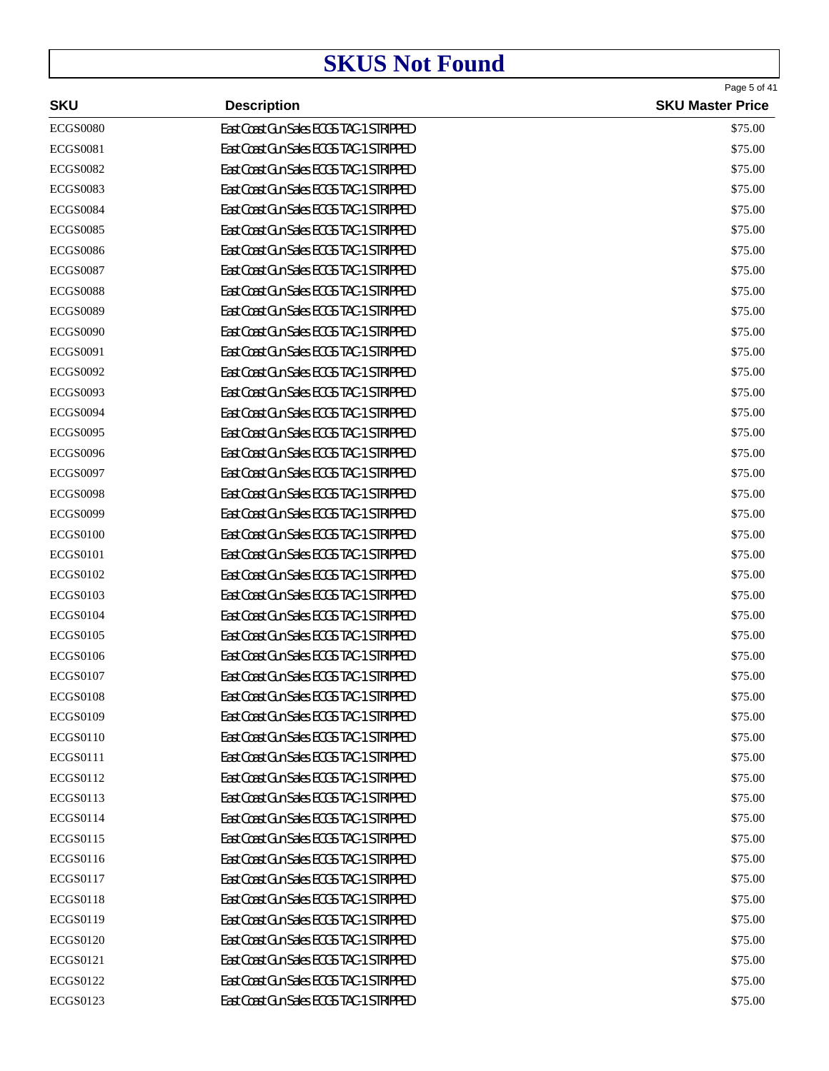| <b>SKU</b><br><b>Description</b><br><b>ECGS0080</b><br>East Coast Gun Sales ECGS TAC-1 STRIPPED<br>\$75.00<br><b>ECGS0081</b><br>East Coast Gun Sales ECGS TAC-1 STRIPPED<br>\$75.00<br>East Coast Gun Sales ECGS TAC-1 STRIPPED<br><b>ECGS0082</b><br>\$75.00<br><b>ECGS0083</b><br>East Coast Gun Sales ECGS TAC-1 STRIPPED<br>\$75.00<br>East Coast Gun Sales ECGS TAC-1 STRIPPED<br><b>ECGS0084</b><br>\$75.00<br><b>ECGS0085</b><br>East Coast Gun Sales ECGS TAC-1 STRIPPED<br>\$75.00<br>East Coast Gun Sales ECGS TAC-1 STRIPPED<br><b>ECGS0086</b><br>\$75.00<br><b>ECGS0087</b><br>East Coast Gun Sales ECGS TAC-1 STRIPPED<br>\$75.00<br>East Coast Gun Sales ECGS TAC-1 STRIPPED<br><b>ECGS0088</b><br>\$75.00<br><b>ECGS0089</b><br>East Coast Gun Sales ECGS TAC-1 STRIPPED<br>\$75.00<br>East Coast Gun Sales ECGS TAC-1 STRIPPED<br><b>ECGS0090</b><br>\$75.00<br><b>ECGS0091</b><br>East Coast Gun Sales ECGS TAC-1 STRIPPED<br>\$75.00<br>East Coast Gun Sales ECGS TAC-1 STRIPPED<br><b>ECGS0092</b><br>\$75.00<br><b>ECGS0093</b><br>East Coast Gun Sales ECGS TAC-1 STRIPPED<br>\$75.00<br>East Coast Gun Sales ECGS TAC-1 STRIPPED<br><b>ECGS0094</b><br>\$75.00<br><b>ECGS0095</b><br>East Coast Gun Sales ECGS TAC-1 STRIPPED<br>\$75.00<br>East Coast Gun Sales ECGS TAC-1 STRIPPED<br><b>ECGS0096</b><br>\$75.00<br><b>ECGS0097</b><br>East Coast Gun Sales ECGS TAC-1 STRIPPED<br>\$75.00<br>East Coast Gun Sales ECGS TAC-1 STRIPPED<br><b>ECGS0098</b><br>\$75.00<br><b>ECGS0099</b><br>East Coast Gun Sales ECGS TAC-1 STRIPPED<br>\$75.00<br>East Coast Gun Sales ECGS TAC-1 STRIPPED<br><b>ECGS0100</b><br>\$75.00<br><b>ECGS0101</b><br>East Coast Gun Sales ECGS TAC-1 STRIPPED<br>\$75.00<br>East Coast Gun Sales ECGS TAC-1 STRIPPED<br><b>ECGS0102</b><br>\$75.00<br><b>ECGS0103</b><br>East Coast Gun Sales ECGS TAC-1 STRIPPED<br>\$75.00<br>East Coast Gun Sales ECGS TAC-1 STRIPPED<br><b>ECGS0104</b><br>\$75.00<br><b>ECGS0105</b><br>East Coast Gun Sales ECGS TAC-1 STRIPPED<br>\$75.00<br>East Coast Gun Sales ECGS TAC-1 STRIPPED<br><b>ECGS0106</b><br>\$75.00<br><b>ECGS0107</b><br>East Coast Gun Sales ECGS TAC-1 STRIPPED<br>\$75.00<br><b>ECGS0108</b><br>East Coast Gun Sales ECGS TAC-1 STRIPPED<br>\$75.00<br><b>ECGS0109</b><br>East Coast Gun Sales ECGS TAC-1 STRIPPED<br>\$75.00<br><b>ECGS0110</b><br>East Coast Gun Sales ECGS TAC-1 STRIPPED<br>\$75.00<br>ECGS0111<br>East Coast Gun Sales ECGS TAC-1 STRIPPED<br>\$75.00<br><b>ECGS0112</b><br>East Coast Gun Sales ECGS TAC-1 STRIPPED<br>\$75.00<br>ECGS0113<br>East Coast Gun Sales ECGS TAC-1 STRIPPED<br>\$75.00<br>ECGS0114<br>East Coast Gun Sales ECGS TAC-1 STRIPPED<br>\$75.00<br><b>ECGS0115</b><br>East Coast Gun Sales ECGS TAC-1 STRIPPED<br>\$75.00<br>ECGS0116<br>East Coast Gun Sales ECGS TAC-1 STRIPPED<br>\$75.00<br><b>ECGS0117</b><br>East Coast Gun Sales ECGS TAC-1 STRIPPED<br>\$75.00<br><b>ECGS0118</b><br>East Coast Gun Sales ECGS TAC-1 STRIPPED<br>\$75.00<br><b>ECGS0119</b><br>East Coast Gun Sales ECGS TAC-1 STRIPPED<br>\$75.00<br>East Coast Gun Sales ECGS TAC-1 STRIPPED<br><b>ECGS0120</b><br>\$75.00<br>ECGS0121<br>East Coast Gun Sales ECGS TAC-1 STRIPPED<br>\$75.00<br><b>ECGS0122</b><br>East Coast Gun Sales ECGS TAC-1 STRIPPED<br>\$75.00<br><b>ECGS0123</b><br>East Coast Gun Sales ECGS TAC-1 STRIPPED<br>\$75.00 |  | Page 5 of 41            |
|---------------------------------------------------------------------------------------------------------------------------------------------------------------------------------------------------------------------------------------------------------------------------------------------------------------------------------------------------------------------------------------------------------------------------------------------------------------------------------------------------------------------------------------------------------------------------------------------------------------------------------------------------------------------------------------------------------------------------------------------------------------------------------------------------------------------------------------------------------------------------------------------------------------------------------------------------------------------------------------------------------------------------------------------------------------------------------------------------------------------------------------------------------------------------------------------------------------------------------------------------------------------------------------------------------------------------------------------------------------------------------------------------------------------------------------------------------------------------------------------------------------------------------------------------------------------------------------------------------------------------------------------------------------------------------------------------------------------------------------------------------------------------------------------------------------------------------------------------------------------------------------------------------------------------------------------------------------------------------------------------------------------------------------------------------------------------------------------------------------------------------------------------------------------------------------------------------------------------------------------------------------------------------------------------------------------------------------------------------------------------------------------------------------------------------------------------------------------------------------------------------------------------------------------------------------------------------------------------------------------------------------------------------------------------------------------------------------------------------------------------------------------------------------------------------------------------------------------------------------------------------------------------------------------------------------------------------------------------------------------------------------------------------------------------------------------------------------------------------------------------------------------------------------------------------------------------------------------------------------------------------------------------------------------------------------------------------------------------------------------------------------|--|-------------------------|
|                                                                                                                                                                                                                                                                                                                                                                                                                                                                                                                                                                                                                                                                                                                                                                                                                                                                                                                                                                                                                                                                                                                                                                                                                                                                                                                                                                                                                                                                                                                                                                                                                                                                                                                                                                                                                                                                                                                                                                                                                                                                                                                                                                                                                                                                                                                                                                                                                                                                                                                                                                                                                                                                                                                                                                                                                                                                                                                                                                                                                                                                                                                                                                                                                                                                                                                                                                                       |  | <b>SKU Master Price</b> |
|                                                                                                                                                                                                                                                                                                                                                                                                                                                                                                                                                                                                                                                                                                                                                                                                                                                                                                                                                                                                                                                                                                                                                                                                                                                                                                                                                                                                                                                                                                                                                                                                                                                                                                                                                                                                                                                                                                                                                                                                                                                                                                                                                                                                                                                                                                                                                                                                                                                                                                                                                                                                                                                                                                                                                                                                                                                                                                                                                                                                                                                                                                                                                                                                                                                                                                                                                                                       |  |                         |
|                                                                                                                                                                                                                                                                                                                                                                                                                                                                                                                                                                                                                                                                                                                                                                                                                                                                                                                                                                                                                                                                                                                                                                                                                                                                                                                                                                                                                                                                                                                                                                                                                                                                                                                                                                                                                                                                                                                                                                                                                                                                                                                                                                                                                                                                                                                                                                                                                                                                                                                                                                                                                                                                                                                                                                                                                                                                                                                                                                                                                                                                                                                                                                                                                                                                                                                                                                                       |  |                         |
|                                                                                                                                                                                                                                                                                                                                                                                                                                                                                                                                                                                                                                                                                                                                                                                                                                                                                                                                                                                                                                                                                                                                                                                                                                                                                                                                                                                                                                                                                                                                                                                                                                                                                                                                                                                                                                                                                                                                                                                                                                                                                                                                                                                                                                                                                                                                                                                                                                                                                                                                                                                                                                                                                                                                                                                                                                                                                                                                                                                                                                                                                                                                                                                                                                                                                                                                                                                       |  |                         |
|                                                                                                                                                                                                                                                                                                                                                                                                                                                                                                                                                                                                                                                                                                                                                                                                                                                                                                                                                                                                                                                                                                                                                                                                                                                                                                                                                                                                                                                                                                                                                                                                                                                                                                                                                                                                                                                                                                                                                                                                                                                                                                                                                                                                                                                                                                                                                                                                                                                                                                                                                                                                                                                                                                                                                                                                                                                                                                                                                                                                                                                                                                                                                                                                                                                                                                                                                                                       |  |                         |
|                                                                                                                                                                                                                                                                                                                                                                                                                                                                                                                                                                                                                                                                                                                                                                                                                                                                                                                                                                                                                                                                                                                                                                                                                                                                                                                                                                                                                                                                                                                                                                                                                                                                                                                                                                                                                                                                                                                                                                                                                                                                                                                                                                                                                                                                                                                                                                                                                                                                                                                                                                                                                                                                                                                                                                                                                                                                                                                                                                                                                                                                                                                                                                                                                                                                                                                                                                                       |  |                         |
|                                                                                                                                                                                                                                                                                                                                                                                                                                                                                                                                                                                                                                                                                                                                                                                                                                                                                                                                                                                                                                                                                                                                                                                                                                                                                                                                                                                                                                                                                                                                                                                                                                                                                                                                                                                                                                                                                                                                                                                                                                                                                                                                                                                                                                                                                                                                                                                                                                                                                                                                                                                                                                                                                                                                                                                                                                                                                                                                                                                                                                                                                                                                                                                                                                                                                                                                                                                       |  |                         |
|                                                                                                                                                                                                                                                                                                                                                                                                                                                                                                                                                                                                                                                                                                                                                                                                                                                                                                                                                                                                                                                                                                                                                                                                                                                                                                                                                                                                                                                                                                                                                                                                                                                                                                                                                                                                                                                                                                                                                                                                                                                                                                                                                                                                                                                                                                                                                                                                                                                                                                                                                                                                                                                                                                                                                                                                                                                                                                                                                                                                                                                                                                                                                                                                                                                                                                                                                                                       |  |                         |
|                                                                                                                                                                                                                                                                                                                                                                                                                                                                                                                                                                                                                                                                                                                                                                                                                                                                                                                                                                                                                                                                                                                                                                                                                                                                                                                                                                                                                                                                                                                                                                                                                                                                                                                                                                                                                                                                                                                                                                                                                                                                                                                                                                                                                                                                                                                                                                                                                                                                                                                                                                                                                                                                                                                                                                                                                                                                                                                                                                                                                                                                                                                                                                                                                                                                                                                                                                                       |  |                         |
|                                                                                                                                                                                                                                                                                                                                                                                                                                                                                                                                                                                                                                                                                                                                                                                                                                                                                                                                                                                                                                                                                                                                                                                                                                                                                                                                                                                                                                                                                                                                                                                                                                                                                                                                                                                                                                                                                                                                                                                                                                                                                                                                                                                                                                                                                                                                                                                                                                                                                                                                                                                                                                                                                                                                                                                                                                                                                                                                                                                                                                                                                                                                                                                                                                                                                                                                                                                       |  |                         |
|                                                                                                                                                                                                                                                                                                                                                                                                                                                                                                                                                                                                                                                                                                                                                                                                                                                                                                                                                                                                                                                                                                                                                                                                                                                                                                                                                                                                                                                                                                                                                                                                                                                                                                                                                                                                                                                                                                                                                                                                                                                                                                                                                                                                                                                                                                                                                                                                                                                                                                                                                                                                                                                                                                                                                                                                                                                                                                                                                                                                                                                                                                                                                                                                                                                                                                                                                                                       |  |                         |
|                                                                                                                                                                                                                                                                                                                                                                                                                                                                                                                                                                                                                                                                                                                                                                                                                                                                                                                                                                                                                                                                                                                                                                                                                                                                                                                                                                                                                                                                                                                                                                                                                                                                                                                                                                                                                                                                                                                                                                                                                                                                                                                                                                                                                                                                                                                                                                                                                                                                                                                                                                                                                                                                                                                                                                                                                                                                                                                                                                                                                                                                                                                                                                                                                                                                                                                                                                                       |  |                         |
|                                                                                                                                                                                                                                                                                                                                                                                                                                                                                                                                                                                                                                                                                                                                                                                                                                                                                                                                                                                                                                                                                                                                                                                                                                                                                                                                                                                                                                                                                                                                                                                                                                                                                                                                                                                                                                                                                                                                                                                                                                                                                                                                                                                                                                                                                                                                                                                                                                                                                                                                                                                                                                                                                                                                                                                                                                                                                                                                                                                                                                                                                                                                                                                                                                                                                                                                                                                       |  |                         |
|                                                                                                                                                                                                                                                                                                                                                                                                                                                                                                                                                                                                                                                                                                                                                                                                                                                                                                                                                                                                                                                                                                                                                                                                                                                                                                                                                                                                                                                                                                                                                                                                                                                                                                                                                                                                                                                                                                                                                                                                                                                                                                                                                                                                                                                                                                                                                                                                                                                                                                                                                                                                                                                                                                                                                                                                                                                                                                                                                                                                                                                                                                                                                                                                                                                                                                                                                                                       |  |                         |
|                                                                                                                                                                                                                                                                                                                                                                                                                                                                                                                                                                                                                                                                                                                                                                                                                                                                                                                                                                                                                                                                                                                                                                                                                                                                                                                                                                                                                                                                                                                                                                                                                                                                                                                                                                                                                                                                                                                                                                                                                                                                                                                                                                                                                                                                                                                                                                                                                                                                                                                                                                                                                                                                                                                                                                                                                                                                                                                                                                                                                                                                                                                                                                                                                                                                                                                                                                                       |  |                         |
|                                                                                                                                                                                                                                                                                                                                                                                                                                                                                                                                                                                                                                                                                                                                                                                                                                                                                                                                                                                                                                                                                                                                                                                                                                                                                                                                                                                                                                                                                                                                                                                                                                                                                                                                                                                                                                                                                                                                                                                                                                                                                                                                                                                                                                                                                                                                                                                                                                                                                                                                                                                                                                                                                                                                                                                                                                                                                                                                                                                                                                                                                                                                                                                                                                                                                                                                                                                       |  |                         |
|                                                                                                                                                                                                                                                                                                                                                                                                                                                                                                                                                                                                                                                                                                                                                                                                                                                                                                                                                                                                                                                                                                                                                                                                                                                                                                                                                                                                                                                                                                                                                                                                                                                                                                                                                                                                                                                                                                                                                                                                                                                                                                                                                                                                                                                                                                                                                                                                                                                                                                                                                                                                                                                                                                                                                                                                                                                                                                                                                                                                                                                                                                                                                                                                                                                                                                                                                                                       |  |                         |
|                                                                                                                                                                                                                                                                                                                                                                                                                                                                                                                                                                                                                                                                                                                                                                                                                                                                                                                                                                                                                                                                                                                                                                                                                                                                                                                                                                                                                                                                                                                                                                                                                                                                                                                                                                                                                                                                                                                                                                                                                                                                                                                                                                                                                                                                                                                                                                                                                                                                                                                                                                                                                                                                                                                                                                                                                                                                                                                                                                                                                                                                                                                                                                                                                                                                                                                                                                                       |  |                         |
|                                                                                                                                                                                                                                                                                                                                                                                                                                                                                                                                                                                                                                                                                                                                                                                                                                                                                                                                                                                                                                                                                                                                                                                                                                                                                                                                                                                                                                                                                                                                                                                                                                                                                                                                                                                                                                                                                                                                                                                                                                                                                                                                                                                                                                                                                                                                                                                                                                                                                                                                                                                                                                                                                                                                                                                                                                                                                                                                                                                                                                                                                                                                                                                                                                                                                                                                                                                       |  |                         |
|                                                                                                                                                                                                                                                                                                                                                                                                                                                                                                                                                                                                                                                                                                                                                                                                                                                                                                                                                                                                                                                                                                                                                                                                                                                                                                                                                                                                                                                                                                                                                                                                                                                                                                                                                                                                                                                                                                                                                                                                                                                                                                                                                                                                                                                                                                                                                                                                                                                                                                                                                                                                                                                                                                                                                                                                                                                                                                                                                                                                                                                                                                                                                                                                                                                                                                                                                                                       |  |                         |
|                                                                                                                                                                                                                                                                                                                                                                                                                                                                                                                                                                                                                                                                                                                                                                                                                                                                                                                                                                                                                                                                                                                                                                                                                                                                                                                                                                                                                                                                                                                                                                                                                                                                                                                                                                                                                                                                                                                                                                                                                                                                                                                                                                                                                                                                                                                                                                                                                                                                                                                                                                                                                                                                                                                                                                                                                                                                                                                                                                                                                                                                                                                                                                                                                                                                                                                                                                                       |  |                         |
|                                                                                                                                                                                                                                                                                                                                                                                                                                                                                                                                                                                                                                                                                                                                                                                                                                                                                                                                                                                                                                                                                                                                                                                                                                                                                                                                                                                                                                                                                                                                                                                                                                                                                                                                                                                                                                                                                                                                                                                                                                                                                                                                                                                                                                                                                                                                                                                                                                                                                                                                                                                                                                                                                                                                                                                                                                                                                                                                                                                                                                                                                                                                                                                                                                                                                                                                                                                       |  |                         |
|                                                                                                                                                                                                                                                                                                                                                                                                                                                                                                                                                                                                                                                                                                                                                                                                                                                                                                                                                                                                                                                                                                                                                                                                                                                                                                                                                                                                                                                                                                                                                                                                                                                                                                                                                                                                                                                                                                                                                                                                                                                                                                                                                                                                                                                                                                                                                                                                                                                                                                                                                                                                                                                                                                                                                                                                                                                                                                                                                                                                                                                                                                                                                                                                                                                                                                                                                                                       |  |                         |
|                                                                                                                                                                                                                                                                                                                                                                                                                                                                                                                                                                                                                                                                                                                                                                                                                                                                                                                                                                                                                                                                                                                                                                                                                                                                                                                                                                                                                                                                                                                                                                                                                                                                                                                                                                                                                                                                                                                                                                                                                                                                                                                                                                                                                                                                                                                                                                                                                                                                                                                                                                                                                                                                                                                                                                                                                                                                                                                                                                                                                                                                                                                                                                                                                                                                                                                                                                                       |  |                         |
|                                                                                                                                                                                                                                                                                                                                                                                                                                                                                                                                                                                                                                                                                                                                                                                                                                                                                                                                                                                                                                                                                                                                                                                                                                                                                                                                                                                                                                                                                                                                                                                                                                                                                                                                                                                                                                                                                                                                                                                                                                                                                                                                                                                                                                                                                                                                                                                                                                                                                                                                                                                                                                                                                                                                                                                                                                                                                                                                                                                                                                                                                                                                                                                                                                                                                                                                                                                       |  |                         |
|                                                                                                                                                                                                                                                                                                                                                                                                                                                                                                                                                                                                                                                                                                                                                                                                                                                                                                                                                                                                                                                                                                                                                                                                                                                                                                                                                                                                                                                                                                                                                                                                                                                                                                                                                                                                                                                                                                                                                                                                                                                                                                                                                                                                                                                                                                                                                                                                                                                                                                                                                                                                                                                                                                                                                                                                                                                                                                                                                                                                                                                                                                                                                                                                                                                                                                                                                                                       |  |                         |
|                                                                                                                                                                                                                                                                                                                                                                                                                                                                                                                                                                                                                                                                                                                                                                                                                                                                                                                                                                                                                                                                                                                                                                                                                                                                                                                                                                                                                                                                                                                                                                                                                                                                                                                                                                                                                                                                                                                                                                                                                                                                                                                                                                                                                                                                                                                                                                                                                                                                                                                                                                                                                                                                                                                                                                                                                                                                                                                                                                                                                                                                                                                                                                                                                                                                                                                                                                                       |  |                         |
|                                                                                                                                                                                                                                                                                                                                                                                                                                                                                                                                                                                                                                                                                                                                                                                                                                                                                                                                                                                                                                                                                                                                                                                                                                                                                                                                                                                                                                                                                                                                                                                                                                                                                                                                                                                                                                                                                                                                                                                                                                                                                                                                                                                                                                                                                                                                                                                                                                                                                                                                                                                                                                                                                                                                                                                                                                                                                                                                                                                                                                                                                                                                                                                                                                                                                                                                                                                       |  |                         |
|                                                                                                                                                                                                                                                                                                                                                                                                                                                                                                                                                                                                                                                                                                                                                                                                                                                                                                                                                                                                                                                                                                                                                                                                                                                                                                                                                                                                                                                                                                                                                                                                                                                                                                                                                                                                                                                                                                                                                                                                                                                                                                                                                                                                                                                                                                                                                                                                                                                                                                                                                                                                                                                                                                                                                                                                                                                                                                                                                                                                                                                                                                                                                                                                                                                                                                                                                                                       |  |                         |
|                                                                                                                                                                                                                                                                                                                                                                                                                                                                                                                                                                                                                                                                                                                                                                                                                                                                                                                                                                                                                                                                                                                                                                                                                                                                                                                                                                                                                                                                                                                                                                                                                                                                                                                                                                                                                                                                                                                                                                                                                                                                                                                                                                                                                                                                                                                                                                                                                                                                                                                                                                                                                                                                                                                                                                                                                                                                                                                                                                                                                                                                                                                                                                                                                                                                                                                                                                                       |  |                         |
|                                                                                                                                                                                                                                                                                                                                                                                                                                                                                                                                                                                                                                                                                                                                                                                                                                                                                                                                                                                                                                                                                                                                                                                                                                                                                                                                                                                                                                                                                                                                                                                                                                                                                                                                                                                                                                                                                                                                                                                                                                                                                                                                                                                                                                                                                                                                                                                                                                                                                                                                                                                                                                                                                                                                                                                                                                                                                                                                                                                                                                                                                                                                                                                                                                                                                                                                                                                       |  |                         |
|                                                                                                                                                                                                                                                                                                                                                                                                                                                                                                                                                                                                                                                                                                                                                                                                                                                                                                                                                                                                                                                                                                                                                                                                                                                                                                                                                                                                                                                                                                                                                                                                                                                                                                                                                                                                                                                                                                                                                                                                                                                                                                                                                                                                                                                                                                                                                                                                                                                                                                                                                                                                                                                                                                                                                                                                                                                                                                                                                                                                                                                                                                                                                                                                                                                                                                                                                                                       |  |                         |
|                                                                                                                                                                                                                                                                                                                                                                                                                                                                                                                                                                                                                                                                                                                                                                                                                                                                                                                                                                                                                                                                                                                                                                                                                                                                                                                                                                                                                                                                                                                                                                                                                                                                                                                                                                                                                                                                                                                                                                                                                                                                                                                                                                                                                                                                                                                                                                                                                                                                                                                                                                                                                                                                                                                                                                                                                                                                                                                                                                                                                                                                                                                                                                                                                                                                                                                                                                                       |  |                         |
|                                                                                                                                                                                                                                                                                                                                                                                                                                                                                                                                                                                                                                                                                                                                                                                                                                                                                                                                                                                                                                                                                                                                                                                                                                                                                                                                                                                                                                                                                                                                                                                                                                                                                                                                                                                                                                                                                                                                                                                                                                                                                                                                                                                                                                                                                                                                                                                                                                                                                                                                                                                                                                                                                                                                                                                                                                                                                                                                                                                                                                                                                                                                                                                                                                                                                                                                                                                       |  |                         |
|                                                                                                                                                                                                                                                                                                                                                                                                                                                                                                                                                                                                                                                                                                                                                                                                                                                                                                                                                                                                                                                                                                                                                                                                                                                                                                                                                                                                                                                                                                                                                                                                                                                                                                                                                                                                                                                                                                                                                                                                                                                                                                                                                                                                                                                                                                                                                                                                                                                                                                                                                                                                                                                                                                                                                                                                                                                                                                                                                                                                                                                                                                                                                                                                                                                                                                                                                                                       |  |                         |
|                                                                                                                                                                                                                                                                                                                                                                                                                                                                                                                                                                                                                                                                                                                                                                                                                                                                                                                                                                                                                                                                                                                                                                                                                                                                                                                                                                                                                                                                                                                                                                                                                                                                                                                                                                                                                                                                                                                                                                                                                                                                                                                                                                                                                                                                                                                                                                                                                                                                                                                                                                                                                                                                                                                                                                                                                                                                                                                                                                                                                                                                                                                                                                                                                                                                                                                                                                                       |  |                         |
|                                                                                                                                                                                                                                                                                                                                                                                                                                                                                                                                                                                                                                                                                                                                                                                                                                                                                                                                                                                                                                                                                                                                                                                                                                                                                                                                                                                                                                                                                                                                                                                                                                                                                                                                                                                                                                                                                                                                                                                                                                                                                                                                                                                                                                                                                                                                                                                                                                                                                                                                                                                                                                                                                                                                                                                                                                                                                                                                                                                                                                                                                                                                                                                                                                                                                                                                                                                       |  |                         |
|                                                                                                                                                                                                                                                                                                                                                                                                                                                                                                                                                                                                                                                                                                                                                                                                                                                                                                                                                                                                                                                                                                                                                                                                                                                                                                                                                                                                                                                                                                                                                                                                                                                                                                                                                                                                                                                                                                                                                                                                                                                                                                                                                                                                                                                                                                                                                                                                                                                                                                                                                                                                                                                                                                                                                                                                                                                                                                                                                                                                                                                                                                                                                                                                                                                                                                                                                                                       |  |                         |
|                                                                                                                                                                                                                                                                                                                                                                                                                                                                                                                                                                                                                                                                                                                                                                                                                                                                                                                                                                                                                                                                                                                                                                                                                                                                                                                                                                                                                                                                                                                                                                                                                                                                                                                                                                                                                                                                                                                                                                                                                                                                                                                                                                                                                                                                                                                                                                                                                                                                                                                                                                                                                                                                                                                                                                                                                                                                                                                                                                                                                                                                                                                                                                                                                                                                                                                                                                                       |  |                         |
|                                                                                                                                                                                                                                                                                                                                                                                                                                                                                                                                                                                                                                                                                                                                                                                                                                                                                                                                                                                                                                                                                                                                                                                                                                                                                                                                                                                                                                                                                                                                                                                                                                                                                                                                                                                                                                                                                                                                                                                                                                                                                                                                                                                                                                                                                                                                                                                                                                                                                                                                                                                                                                                                                                                                                                                                                                                                                                                                                                                                                                                                                                                                                                                                                                                                                                                                                                                       |  |                         |
|                                                                                                                                                                                                                                                                                                                                                                                                                                                                                                                                                                                                                                                                                                                                                                                                                                                                                                                                                                                                                                                                                                                                                                                                                                                                                                                                                                                                                                                                                                                                                                                                                                                                                                                                                                                                                                                                                                                                                                                                                                                                                                                                                                                                                                                                                                                                                                                                                                                                                                                                                                                                                                                                                                                                                                                                                                                                                                                                                                                                                                                                                                                                                                                                                                                                                                                                                                                       |  |                         |
|                                                                                                                                                                                                                                                                                                                                                                                                                                                                                                                                                                                                                                                                                                                                                                                                                                                                                                                                                                                                                                                                                                                                                                                                                                                                                                                                                                                                                                                                                                                                                                                                                                                                                                                                                                                                                                                                                                                                                                                                                                                                                                                                                                                                                                                                                                                                                                                                                                                                                                                                                                                                                                                                                                                                                                                                                                                                                                                                                                                                                                                                                                                                                                                                                                                                                                                                                                                       |  |                         |
|                                                                                                                                                                                                                                                                                                                                                                                                                                                                                                                                                                                                                                                                                                                                                                                                                                                                                                                                                                                                                                                                                                                                                                                                                                                                                                                                                                                                                                                                                                                                                                                                                                                                                                                                                                                                                                                                                                                                                                                                                                                                                                                                                                                                                                                                                                                                                                                                                                                                                                                                                                                                                                                                                                                                                                                                                                                                                                                                                                                                                                                                                                                                                                                                                                                                                                                                                                                       |  |                         |
|                                                                                                                                                                                                                                                                                                                                                                                                                                                                                                                                                                                                                                                                                                                                                                                                                                                                                                                                                                                                                                                                                                                                                                                                                                                                                                                                                                                                                                                                                                                                                                                                                                                                                                                                                                                                                                                                                                                                                                                                                                                                                                                                                                                                                                                                                                                                                                                                                                                                                                                                                                                                                                                                                                                                                                                                                                                                                                                                                                                                                                                                                                                                                                                                                                                                                                                                                                                       |  |                         |
|                                                                                                                                                                                                                                                                                                                                                                                                                                                                                                                                                                                                                                                                                                                                                                                                                                                                                                                                                                                                                                                                                                                                                                                                                                                                                                                                                                                                                                                                                                                                                                                                                                                                                                                                                                                                                                                                                                                                                                                                                                                                                                                                                                                                                                                                                                                                                                                                                                                                                                                                                                                                                                                                                                                                                                                                                                                                                                                                                                                                                                                                                                                                                                                                                                                                                                                                                                                       |  |                         |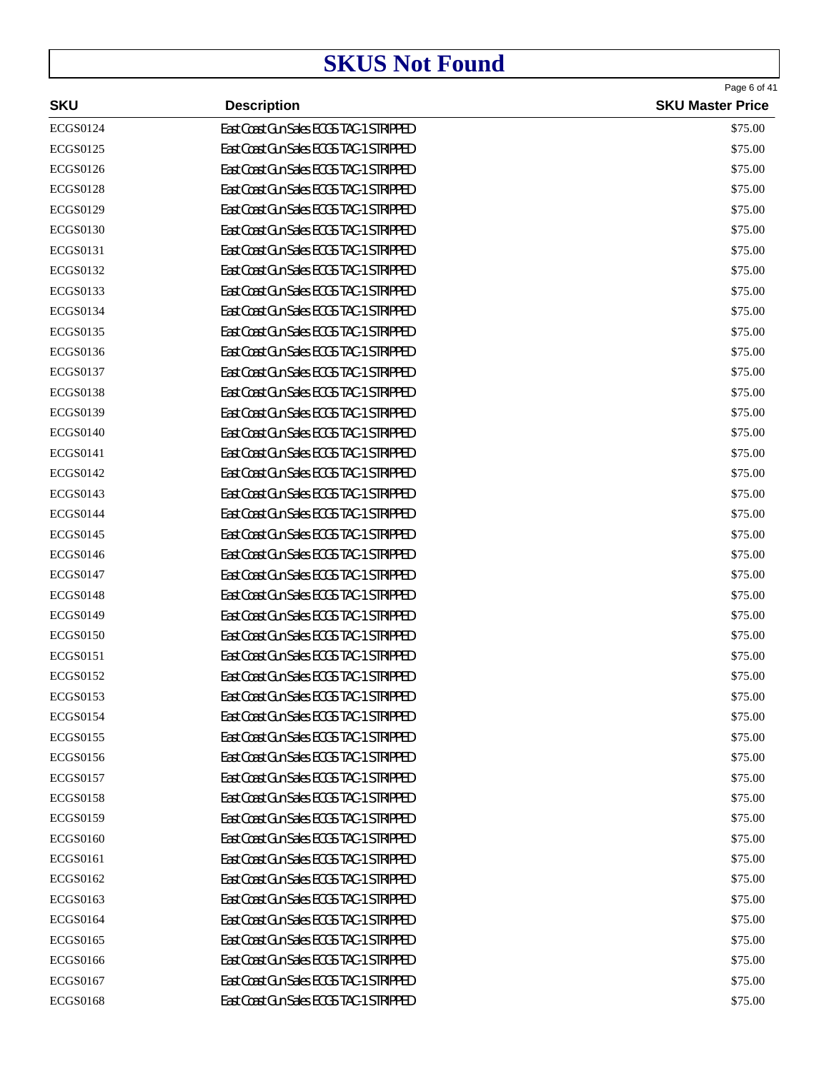|                 |                                          | Page 6 of 41            |
|-----------------|------------------------------------------|-------------------------|
| <b>SKU</b>      | <b>Description</b>                       | <b>SKU Master Price</b> |
| <b>ECGS0124</b> | East Coast Gun Sales ECGS TAC-1 STRIPPED | \$75.00                 |
| <b>ECGS0125</b> | East Coast Gun Sales ECGS TAC-1 STRIPPED | \$75.00                 |
| <b>ECGS0126</b> | East Coast Gun Sales ECGS TAC-1 STRIPPED | \$75.00                 |
| <b>ECGS0128</b> | East Coast Gun Sales ECGS TAC-1 STRIPPED | \$75.00                 |
| <b>ECGS0129</b> | East Coast Gun Sales ECGS TAC-1 STRIPPED | \$75.00                 |
| <b>ECGS0130</b> | East Coast Gun Sales ECGS TAC-1 STRIPPED | \$75.00                 |
| <b>ECGS0131</b> | East Coast Gun Sales ECGS TAC-1 STRIPPED | \$75.00                 |
| <b>ECGS0132</b> | East Coast Gun Sales ECGS TAC-1 STRIPPED | \$75.00                 |
| ECGS0133        | East Coast Gun Sales ECGS TAC-1 STRIPPED | \$75.00                 |
| <b>ECGS0134</b> | East Coast Gun Sales ECGS TAC-1 STRIPPED | \$75.00                 |
| <b>ECGS0135</b> | East Coast Gun Sales ECGS TAC-1 STRIPPED | \$75.00                 |
| <b>ECGS0136</b> | East Coast Gun Sales ECGS TAC-1 STRIPPED | \$75.00                 |
| <b>ECGS0137</b> | East Coast Gun Sales ECGS TAC-1 STRIPPED | \$75.00                 |
| <b>ECGS0138</b> | East Coast Gun Sales ECGS TAC-1 STRIPPED | \$75.00                 |
| <b>ECGS0139</b> | East Coast Gun Sales ECGS TAC-1 STRIPPED | \$75.00                 |
| <b>ECGS0140</b> | East Coast Gun Sales ECGS TAC-1 STRIPPED | \$75.00                 |
| <b>ECGS0141</b> | East Coast Gun Sales ECGS TAC-1 STRIPPED | \$75.00                 |
| <b>ECGS0142</b> | East Coast Gun Sales ECGS TAC-1 STRIPPED | \$75.00                 |
| <b>ECGS0143</b> | East Coast Gun Sales ECGS TAC-1 STRIPPED | \$75.00                 |
| <b>ECGS0144</b> | East Coast Gun Sales ECGS TAC-1 STRIPPED | \$75.00                 |
| <b>ECGS0145</b> | East Coast Gun Sales ECGS TAC-1 STRIPPED | \$75.00                 |
| <b>ECGS0146</b> | East Coast Gun Sales ECGS TAC-1 STRIPPED | \$75.00                 |
| <b>ECGS0147</b> | East Coast Gun Sales ECGS TAC-1 STRIPPED | \$75.00                 |
| <b>ECGS0148</b> | East Coast Gun Sales ECGS TAC-1 STRIPPED | \$75.00                 |
| <b>ECGS0149</b> | East Coast Gun Sales ECGS TAC-1 STRIPPED | \$75.00                 |
| <b>ECGS0150</b> | East Coast Gun Sales ECGS TAC-1 STRIPPED | \$75.00                 |
| <b>ECGS0151</b> | East Coast Gun Sales ECGS TAC-1 STRIPPED | \$75.00                 |
| <b>ECGS0152</b> | East Coast Gun Sales ECGS TAC-1 STRIPPED | \$75.00                 |
| <b>ECGS0153</b> | East Coast Gun Sales ECGS TAC-1 STRIPPED | \$75.00                 |
| <b>ECGS0154</b> | East Coast Gun Sales ECGS TAC-1 STRIPPED | \$75.00                 |
| <b>ECGS0155</b> | East Coast Gun Sales ECGS TAC-1 STRIPPED | \$75.00                 |
| <b>ECGS0156</b> | East Coast Gun Sales ECGS TAC-1 STRIPPED | \$75.00                 |
| <b>ECGS0157</b> | East Coast Gun Sales ECGS TAC-1 STRIPPED | \$75.00                 |
| <b>ECGS0158</b> | East Coast Gun Sales ECGS TAC-1 STRIPPED | \$75.00                 |
| <b>ECGS0159</b> | East Coast Gun Sales ECGS TAC-1 STRIPPED | \$75.00                 |
| <b>ECGS0160</b> | East Coast Gun Sales ECGS TAC-1 STRIPPED | \$75.00                 |
| <b>ECGS0161</b> | East Coast Gun Sales ECGS TAC-1 STRIPPED | \$75.00                 |
| <b>ECGS0162</b> | East Coast Gun Sales ECGS TAC-1 STRIPPED | \$75.00                 |
| <b>ECGS0163</b> | East Coast Gun Sales ECGS TAC-1 STRIPPED | \$75.00                 |
| <b>ECGS0164</b> | East Coast Gun Sales ECGS TAC-1 STRIPPED | \$75.00                 |
| <b>ECGS0165</b> | East Coast Gun Sales ECGS TAC-1 STRIPPED | \$75.00                 |
| <b>ECGS0166</b> | East Coast Gun Sales ECGS TAC-1 STRIPPED | \$75.00                 |
| <b>ECGS0167</b> | East Coast Gun Sales ECGS TAC-1 STRIPPED | \$75.00                 |
| <b>ECGS0168</b> | East Coast Gun Sales ECGS TAC-1 STRIPPED | \$75.00                 |
|                 |                                          |                         |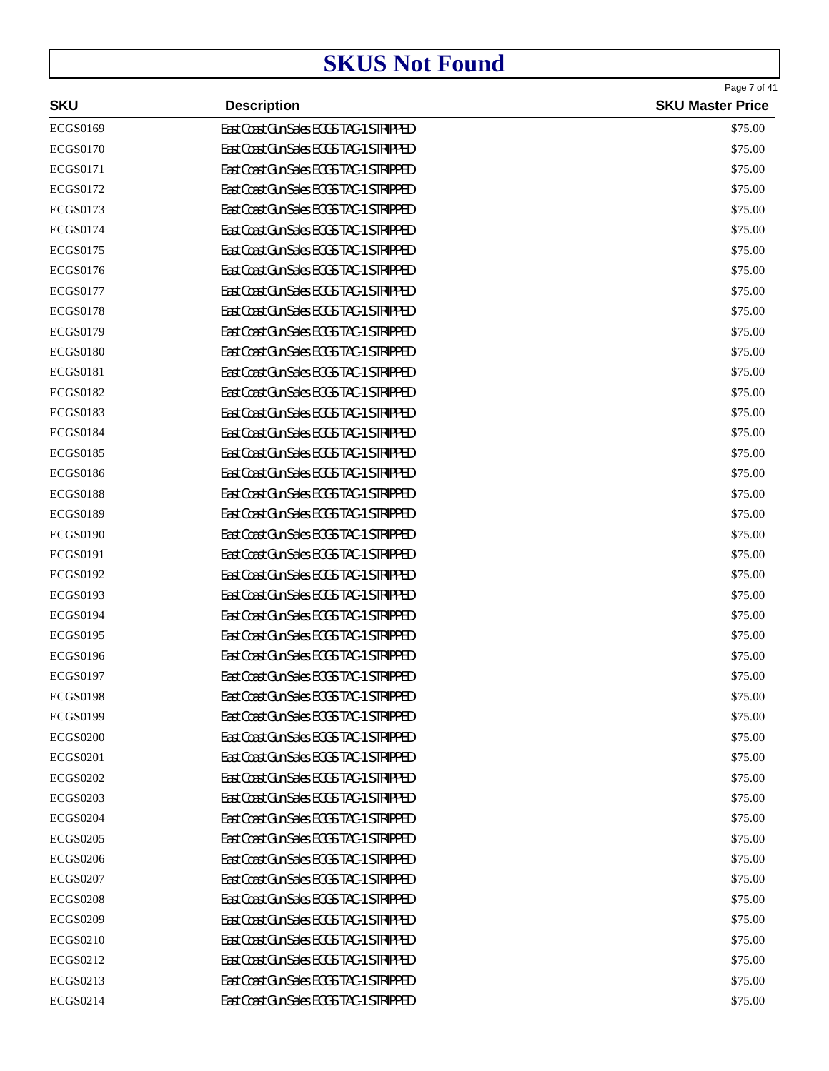|                 |                                          | Page 7 of 41            |
|-----------------|------------------------------------------|-------------------------|
| <b>SKU</b>      | <b>Description</b>                       | <b>SKU Master Price</b> |
| <b>ECGS0169</b> | East Coast Gun Sales ECGS TAC-1 STRIPPED | \$75.00                 |
| <b>ECGS0170</b> | East Coast Gun Sales ECGS TAC-1 STRIPPED | \$75.00                 |
| <b>ECGS0171</b> | East Coast Gun Sales ECGS TAC-1 STRIPPED | \$75.00                 |
| <b>ECGS0172</b> | East Coast Gun Sales ECGS TAC-1 STRIPPED | \$75.00                 |
| <b>ECGS0173</b> | East Coast Gun Sales ECGS TAC-1 STRIPPED | \$75.00                 |
| <b>ECGS0174</b> | East Coast Gun Sales ECGS TAC-1 STRIPPED | \$75.00                 |
| <b>ECGS0175</b> | East Coast Gun Sales ECGS TAC-1 STRIPPED | \$75.00                 |
| <b>ECGS0176</b> | East Coast Gun Sales ECGS TAC-1 STRIPPED | \$75.00                 |
| <b>ECGS0177</b> | East Coast Gun Sales ECGS TAC-1 STRIPPED | \$75.00                 |
| <b>ECGS0178</b> | East Coast Gun Sales ECGS TAC-1 STRIPPED | \$75.00                 |
| <b>ECGS0179</b> | East Coast Gun Sales ECGS TAC-1 STRIPPED | \$75.00                 |
| <b>ECGS0180</b> | East Coast Gun Sales ECGS TAC-1 STRIPPED | \$75.00                 |
| <b>ECGS0181</b> | East Coast Gun Sales ECGS TAC-1 STRIPPED | \$75.00                 |
| <b>ECGS0182</b> | East Coast Gun Sales ECGS TAC-1 STRIPPED | \$75.00                 |
| <b>ECGS0183</b> | East Coast Gun Sales ECGS TAC-1 STRIPPED | \$75.00                 |
| <b>ECGS0184</b> | East Coast Gun Sales ECGS TAC-1 STRIPPED | \$75.00                 |
| <b>ECGS0185</b> | East Coast Gun Sales ECGS TAC-1 STRIPPED | \$75.00                 |
| <b>ECGS0186</b> | East Coast Gun Sales ECGS TAC-1 STRIPPED | \$75.00                 |
| <b>ECGS0188</b> | East Coast Gun Sales ECGS TAC-1 STRIPPED | \$75.00                 |
| <b>ECGS0189</b> | East Coast Gun Sales ECGS TAC-1 STRIPPED | \$75.00                 |
| <b>ECGS0190</b> | East Coast Gun Sales ECGS TAC-1 STRIPPED | \$75.00                 |
| <b>ECGS0191</b> | East Coast Gun Sales ECGS TAC-1 STRIPPED | \$75.00                 |
| <b>ECGS0192</b> | East Coast Gun Sales ECGS TAC-1 STRIPPED | \$75.00                 |
| <b>ECGS0193</b> | East Coast Gun Sales ECGS TAC-1 STRIPPED | \$75.00                 |
| <b>ECGS0194</b> | East Coast Gun Sales ECGS TAC-1 STRIPPED | \$75.00                 |
| <b>ECGS0195</b> | East Coast Gun Sales ECGS TAC-1 STRIPPED | \$75.00                 |
| <b>ECGS0196</b> | East Coast Gun Sales ECGS TAC-1 STRIPPED | \$75.00                 |
| <b>ECGS0197</b> | East Coast Gun Sales ECGS TAC-1 STRIPPED | \$75.00                 |
| <b>ECGS0198</b> | East Coast Gun Sales ECGS TAC-1 STRIPPED | \$75.00                 |
| <b>ECGS0199</b> | East Coast Gun Sales ECGS TAC-1 STRIPPED | \$75.00                 |
| <b>ECGS0200</b> | East Coast Gun Sales ECGS TAC-1 STRIPPED | \$75.00                 |
| <b>ECGS0201</b> | East Coast Gun Sales ECGS TAC-1 STRIPPED | \$75.00                 |
| <b>ECGS0202</b> | East Coast Gun Sales ECGS TAC-1 STRIPPED | \$75.00                 |
| <b>ECGS0203</b> | East Coast Gun Sales ECGS TAC-1 STRIPPED | \$75.00                 |
| <b>ECGS0204</b> | East Coast Gun Sales ECGS TAC-1 STRIPPED | \$75.00                 |
| <b>ECGS0205</b> | East Coast Gun Sales ECGS TAC-1 STRIPPED | \$75.00                 |
| <b>ECGS0206</b> | East Coast Gun Sales ECGS TAC-1 STRIPPED | \$75.00                 |
| <b>ECGS0207</b> | East Coast Gun Sales ECGS TAC-1 STRIPPED | \$75.00                 |
| <b>ECGS0208</b> | East Coast Gun Sales ECGS TAC-1 STRIPPED | \$75.00                 |
| <b>ECGS0209</b> | East Coast Gun Sales ECGS TAC-1 STRIPPED | \$75.00                 |
| <b>ECGS0210</b> | East Coast Gun Sales ECGS TAC-1 STRIPPED | \$75.00                 |
| ECGS0212        | East Coast Gun Sales ECGS TAC-1 STRIPPED | \$75.00                 |
| ECGS0213        | East Coast Gun Sales ECGS TAC-1 STRIPPED | \$75.00                 |
| ECGS0214        | East Coast Gun Sales ECGS TAC-1 STRIPPED | \$75.00                 |
|                 |                                          |                         |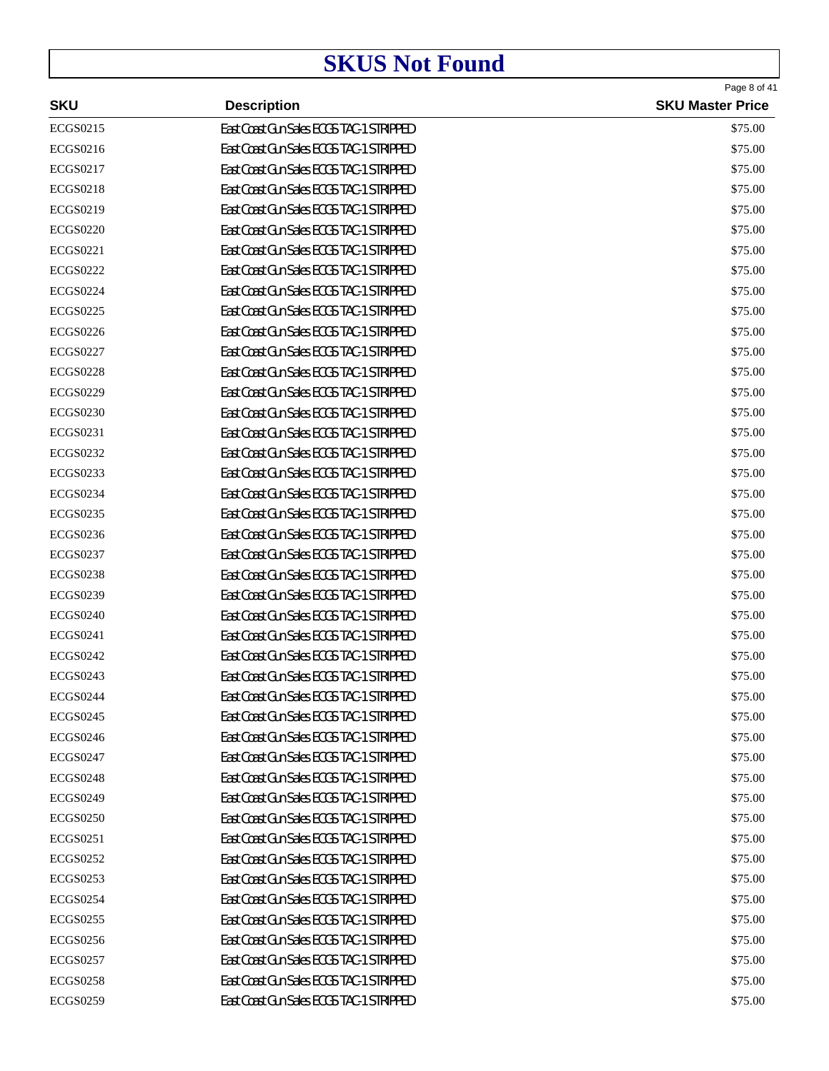| <b>SKU</b>      | <b>Description</b>                       | Page 8 of 41<br><b>SKU Master Price</b> |
|-----------------|------------------------------------------|-----------------------------------------|
| <b>ECGS0215</b> | East Coast Gun Sales ECGS TAC-1 STRIPPED | \$75.00                                 |
| <b>ECGS0216</b> | East Coast Gun Sales ECGS TAC-1 STRIPPED | \$75.00                                 |
| <b>ECGS0217</b> | East Coast Gun Sales ECGS TAC-1 STRIPPED | \$75.00                                 |
| <b>ECGS0218</b> | East Coast Gun Sales ECGS TAC-1 STRIPPED | \$75.00                                 |
| <b>ECGS0219</b> | East Coast Gun Sales ECGS TAC-1 STRIPPED | \$75.00                                 |
| <b>ECGS0220</b> | East Coast Gun Sales ECGS TAC-1 STRIPPED | \$75.00                                 |
| <b>ECGS0221</b> | East Coast Gun Sales ECGS TAC-1 STRIPPED | \$75.00                                 |
| <b>ECGS0222</b> | East Coast Gun Sales ECGS TAC-1 STRIPPED | \$75.00                                 |
| <b>ECGS0224</b> | East Coast Gun Sales ECGS TAC-1 STRIPPED | \$75.00                                 |
| <b>ECGS0225</b> | East Coast Gun Sales ECGS TAC-1 STRIPPED | \$75.00                                 |
| <b>ECGS0226</b> | East Coast Gun Sales ECGS TAC-1 STRIPPED | \$75.00                                 |
| <b>ECGS0227</b> | East Coast Gun Sales ECGS TAC-1 STRIPPED | \$75.00                                 |
| <b>ECGS0228</b> | East Coast Gun Sales ECGS TAC-1 STRIPPED | \$75.00                                 |
| <b>ECGS0229</b> | East Coast Gun Sales ECGS TAC-1 STRIPPED | \$75.00                                 |
| <b>ECGS0230</b> | East Coast Gun Sales ECGS TAC-1 STRIPPED | \$75.00                                 |
| ECGS0231        | East Coast Gun Sales ECGS TAC-1 STRIPPED | \$75.00                                 |
| <b>ECGS0232</b> | East Coast Gun Sales ECGS TAC-1 STRIPPED | \$75.00                                 |
| <b>ECGS0233</b> | East Coast Gun Sales ECGS TAC-1 STRIPPED | \$75.00                                 |
| <b>ECGS0234</b> | East Coast Gun Sales ECGS TAC-1 STRIPPED | \$75.00                                 |
| <b>ECGS0235</b> | East Coast Gun Sales ECGS TAC-1 STRIPPED | \$75.00                                 |
| <b>ECGS0236</b> | East Coast Gun Sales ECGS TAC-1 STRIPPED | \$75.00                                 |
| <b>ECGS0237</b> | East Coast Gun Sales ECGS TAC-1 STRIPPED | \$75.00                                 |
| <b>ECGS0238</b> | East Coast Gun Sales ECGS TAC-1 STRIPPED | \$75.00                                 |
| <b>ECGS0239</b> | East Coast Gun Sales ECGS TAC-1 STRIPPED | \$75.00                                 |
| <b>ECGS0240</b> | East Coast Gun Sales ECGS TAC-1 STRIPPED | \$75.00                                 |
| <b>ECGS0241</b> | East Coast Gun Sales ECGS TAC-1 STRIPPED | \$75.00                                 |
| <b>ECGS0242</b> | East Coast Gun Sales ECGS TAC-1 STRIPPED | \$75.00                                 |
| <b>ECGS0243</b> | East Coast Gun Sales ECGS TAC-1 STRIPPED | \$75.00                                 |
| <b>ECGS0244</b> | East Coast Gun Sales ECGS TAC-1 STRIPPED | \$75.00                                 |
| <b>ECGS0245</b> | East Coast Gun Sales ECGS TAC-1 STRIPPED | \$75.00                                 |
| <b>ECGS0246</b> | East Coast Gun Sales ECGS TAC-1 STRIPPED | \$75.00                                 |
| <b>ECGS0247</b> | East Coast Gun Sales ECGS TAC-1 STRIPPED | \$75.00                                 |
| <b>ECGS0248</b> | East Coast Gun Sales ECGS TAC-1 STRIPPED | \$75.00                                 |
| <b>ECGS0249</b> | East Coast Gun Sales ECGS TAC-1 STRIPPED | \$75.00                                 |
| <b>ECGS0250</b> | East Coast Gun Sales ECGS TAC-1 STRIPPED | \$75.00                                 |
| <b>ECGS0251</b> | East Coast Gun Sales ECGS TAC-1 STRIPPED | \$75.00                                 |
| <b>ECGS0252</b> | East Coast Gun Sales ECGS TAC-1 STRIPPED | \$75.00                                 |
| <b>ECGS0253</b> | East Coast Gun Sales ECGS TAC-1 STRIPPED | \$75.00                                 |
| <b>ECGS0254</b> | East Coast Gun Sales ECGS TAC-1 STRIPPED | \$75.00                                 |
| <b>ECGS0255</b> | East Coast Gun Sales ECGS TAC-1 STRIPPED | \$75.00                                 |
| <b>ECGS0256</b> | East Coast Gun Sales ECGS TAC-1 STRIPPED | \$75.00                                 |
| <b>ECGS0257</b> | East Coast Gun Sales ECGS TAC-1 STRIPPED | \$75.00                                 |
| <b>ECGS0258</b> | East Coast Gun Sales ECGS TAC-1 STRIPPED | \$75.00                                 |
| <b>ECGS0259</b> | East Coast Gun Sales ECGS TAC-1 STRIPPED | \$75.00                                 |
|                 |                                          |                                         |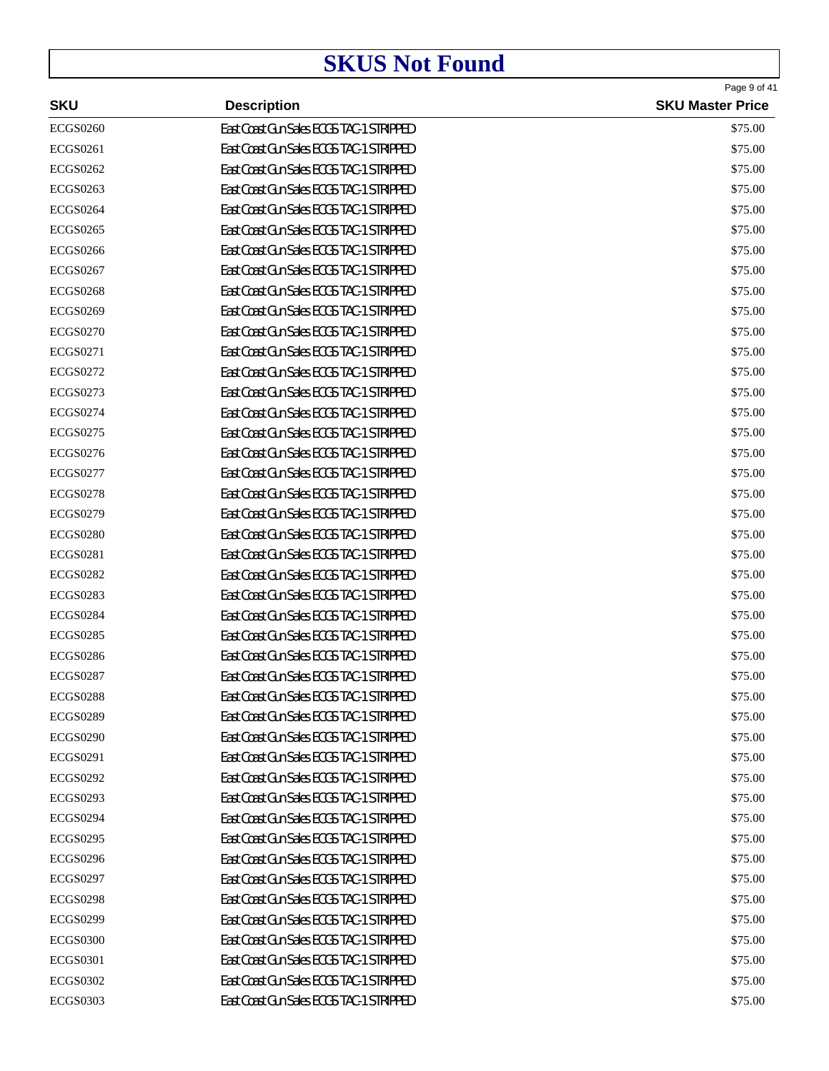|                 |                                          | Page 9 of 41            |
|-----------------|------------------------------------------|-------------------------|
| <b>SKU</b>      | <b>Description</b>                       | <b>SKU Master Price</b> |
| <b>ECGS0260</b> | East Coast Gun Sales ECGS TAC-1 STRIPPED | \$75.00                 |
| <b>ECGS0261</b> | East Coast Gun Sales ECGS TAC-1 STRIPPED | \$75.00                 |
| <b>ECGS0262</b> | East Coast Gun Sales ECGS TAC-1 STRIPPED | \$75.00                 |
| <b>ECGS0263</b> | East Coast Gun Sales ECGS TAC-1 STRIPPED | \$75.00                 |
| <b>ECGS0264</b> | East Coast Gun Sales ECGS TAC-1 STRIPPED | \$75.00                 |
| <b>ECGS0265</b> | East Coast Gun Sales ECGS TAC-1 STRIPPED | \$75.00                 |
| <b>ECGS0266</b> | East Coast Gun Sales ECGS TAC-1 STRIPPED | \$75.00                 |
| <b>ECGS0267</b> | East Coast Gun Sales ECGS TAC-1 STRIPPED | \$75.00                 |
| <b>ECGS0268</b> | East Coast Gun Sales ECGS TAC-1 STRIPPED | \$75.00                 |
| <b>ECGS0269</b> | East Coast Gun Sales ECGS TAC-1 STRIPPED | \$75.00                 |
| <b>ECGS0270</b> | East Coast Gun Sales ECGS TAC-1 STRIPPED | \$75.00                 |
| <b>ECGS0271</b> | East Coast Gun Sales ECGS TAC-1 STRIPPED | \$75.00                 |
| <b>ECGS0272</b> | East Coast Gun Sales ECGS TAC-1 STRIPPED | \$75.00                 |
| ECGS0273        | East Coast Gun Sales ECGS TAC-1 STRIPPED | \$75.00                 |
| <b>ECGS0274</b> | East Coast Gun Sales ECGS TAC-1 STRIPPED | \$75.00                 |
| <b>ECGS0275</b> | East Coast Gun Sales ECGS TAC-1 STRIPPED | \$75.00                 |
| <b>ECGS0276</b> | East Coast Gun Sales ECGS TAC-1 STRIPPED | \$75.00                 |
| <b>ECGS0277</b> | East Coast Gun Sales ECGS TAC-1 STRIPPED | \$75.00                 |
| <b>ECGS0278</b> | East Coast Gun Sales ECGS TAC-1 STRIPPED | \$75.00                 |
| <b>ECGS0279</b> | East Coast Gun Sales ECGS TAC-1 STRIPPED | \$75.00                 |
| <b>ECGS0280</b> | East Coast Gun Sales ECGS TAC-1 STRIPPED | \$75.00                 |
| <b>ECGS0281</b> | East Coast Gun Sales ECGS TAC-1 STRIPPED | \$75.00                 |
| <b>ECGS0282</b> | East Coast Gun Sales ECGS TAC-1 STRIPPED | \$75.00                 |
| <b>ECGS0283</b> | East Coast Gun Sales ECGS TAC-1 STRIPPED | \$75.00                 |
| <b>ECGS0284</b> | East Coast Gun Sales ECGS TAC-1 STRIPPED | \$75.00                 |
| <b>ECGS0285</b> | East Coast Gun Sales ECGS TAC-1 STRIPPED | \$75.00                 |
| <b>ECGS0286</b> | East Coast Gun Sales ECGS TAC-1 STRIPPED | \$75.00                 |
| <b>ECGS0287</b> | East Coast Gun Sales ECGS TAC-1 STRIPPED | \$75.00                 |
| <b>ECGS0288</b> | East Coast Gun Sales ECGS TAC-1 STRIPPED | \$75.00                 |
| <b>ECGS0289</b> | East Coast Gun Sales ECGS TAC-1 STRIPPED | \$75.00                 |
| <b>ECGS0290</b> | East Coast Gun Sales ECGS TAC-1 STRIPPED | \$75.00                 |
| <b>ECGS0291</b> | East Coast Gun Sales ECGS TAC-1 STRIPPED | \$75.00                 |
| <b>ECGS0292</b> | East Coast Gun Sales ECGS TAC-1 STRIPPED | \$75.00                 |
| <b>ECGS0293</b> | East Coast Gun Sales ECGS TAC-1 STRIPPED | \$75.00                 |
| <b>ECGS0294</b> | East Coast Gun Sales ECGS TAC-1 STRIPPED | \$75.00                 |
| <b>ECGS0295</b> | East Coast Gun Sales ECGS TAC-1 STRIPPED | \$75.00                 |
| <b>ECGS0296</b> | East Coast Gun Sales ECGS TAC-1 STRIPPED | \$75.00                 |
| <b>ECGS0297</b> | East Coast Gun Sales ECGS TAC-1 STRIPPED | \$75.00                 |
| <b>ECGS0298</b> | East Coast Gun Sales ECGS TAC-1 STRIPPED | \$75.00                 |
| <b>ECGS0299</b> | East Coast Gun Sales ECGS TAC-1 STRIPPED | \$75.00                 |
| <b>ECGS0300</b> | East Coast Gun Sales ECGS TAC-1 STRIPPED | \$75.00                 |
| <b>ECGS0301</b> | East Coast Gun Sales ECGS TAC-1 STRIPPED | \$75.00                 |
|                 |                                          |                         |
| <b>ECGS0302</b> | East Coast Gun Sales ECGS TAC-1 STRIPPED | \$75.00                 |
| <b>ECGS0303</b> | East Coast Gun Sales ECGS TAC-1 STRIPPED | \$75.00                 |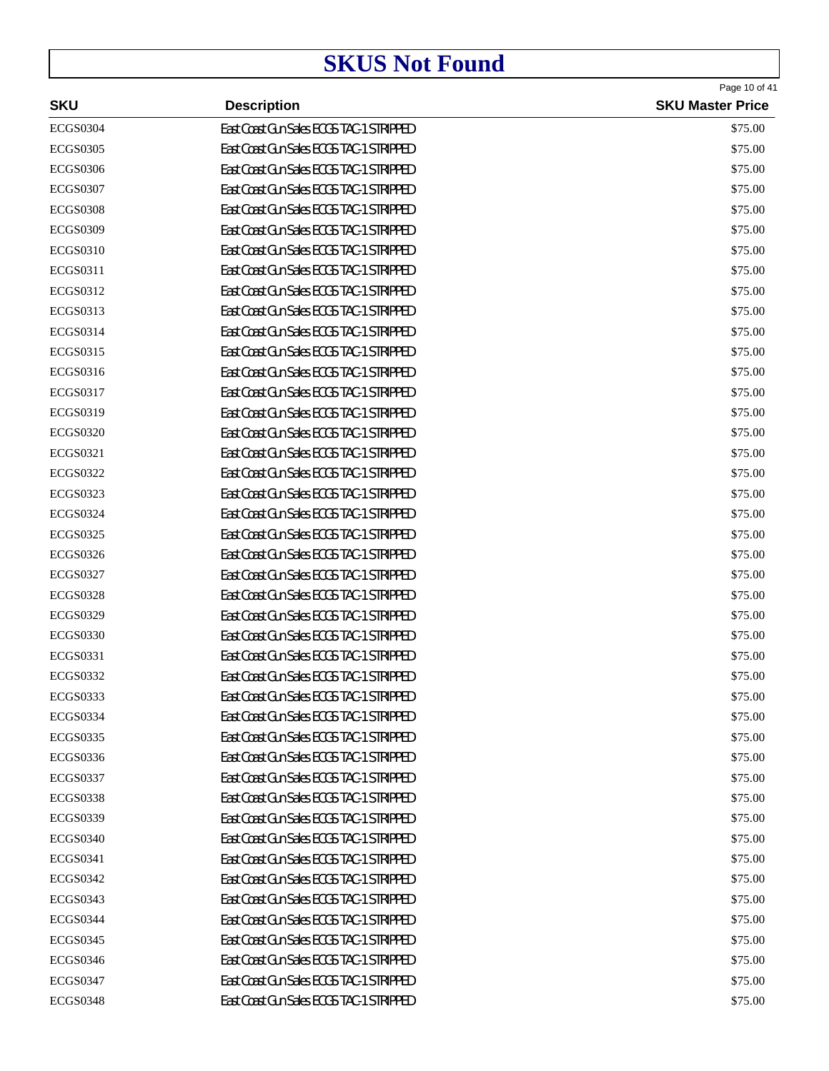| <b>SKU</b>      | <b>Description</b>                       | Page 10 of 41<br><b>SKU Master Price</b> |
|-----------------|------------------------------------------|------------------------------------------|
| <b>ECGS0304</b> | East Coast Gun Sales ECGS TAC-1 STRIPPED | \$75.00                                  |
| <b>ECGS0305</b> | East Coast Gun Sales ECGS TAC-1 STRIPPED | \$75.00                                  |
| <b>ECGS0306</b> | East Coast Gun Sales ECGS TAC-1 STRIPPED | \$75.00                                  |
| <b>ECGS0307</b> | East Coast Gun Sales ECGS TAC-1 STRIPPED | \$75.00                                  |
| <b>ECGS0308</b> | East Coast Gun Sales ECGS TAC-1 STRIPPED | \$75.00                                  |
| <b>ECGS0309</b> | East Coast Gun Sales ECGS TAC-1 STRIPPED | \$75.00                                  |
| <b>ECGS0310</b> | East Coast Gun Sales ECGS TAC-1 STRIPPED | \$75.00                                  |
| <b>ECGS0311</b> | East Coast Gun Sales ECGS TAC-1 STRIPPED | \$75.00                                  |
| <b>ECGS0312</b> | East Coast Gun Sales ECGS TAC-1 STRIPPED | \$75.00                                  |
| <b>ECGS0313</b> | East Coast Gun Sales ECGS TAC-1 STRIPPED | \$75.00                                  |
| <b>ECGS0314</b> | East Coast Gun Sales ECGS TAC-1 STRIPPED | \$75.00                                  |
| <b>ECGS0315</b> | East Coast Gun Sales ECGS TAC-1 STRIPPED | \$75.00                                  |
| <b>ECGS0316</b> | East Coast Gun Sales ECGS TAC-1 STRIPPED | \$75.00                                  |
| <b>ECGS0317</b> | East Coast Gun Sales ECGS TAC-1 STRIPPED | \$75.00                                  |
| <b>ECGS0319</b> | East Coast Gun Sales ECGS TAC-1 STRIPPED | \$75.00                                  |
| <b>ECGS0320</b> | East Coast Gun Sales ECGS TAC-1 STRIPPED | \$75.00                                  |
| <b>ECGS0321</b> | East Coast Gun Sales ECGS TAC-1 STRIPPED | \$75.00                                  |
| <b>ECGS0322</b> | East Coast Gun Sales ECGS TAC-1 STRIPPED | \$75.00                                  |
| <b>ECGS0323</b> | East Coast Gun Sales ECGS TAC-1 STRIPPED | \$75.00                                  |
| <b>ECGS0324</b> | East Coast Gun Sales ECGS TAC-1 STRIPPED | \$75.00                                  |
| <b>ECGS0325</b> | East Coast Gun Sales ECGS TAC-1 STRIPPED | \$75.00                                  |
| <b>ECGS0326</b> | East Coast Gun Sales ECGS TAC-1 STRIPPED | \$75.00                                  |
| <b>ECGS0327</b> | East Coast Gun Sales ECGS TAC-1 STRIPPED | \$75.00                                  |
| <b>ECGS0328</b> | East Coast Gun Sales ECGS TAC-1 STRIPPED | \$75.00                                  |
| <b>ECGS0329</b> | East Coast Gun Sales ECGS TAC-1 STRIPPED | \$75.00                                  |
| <b>ECGS0330</b> | East Coast Gun Sales ECGS TAC-1 STRIPPED | \$75.00                                  |
| <b>ECGS0331</b> | East Coast Gun Sales ECGS TAC-1 STRIPPED | \$75.00                                  |
| <b>ECGS0332</b> | East Coast Gun Sales ECGS TAC-1 STRIPPED | \$75.00                                  |
| <b>ECGS0333</b> | East Coast Gun Sales ECGS TAC-1 STRIPPED | \$75.00                                  |
| <b>ECGS0334</b> | East Coast Gun Sales ECGS TAC-1 STRIPPED | \$75.00                                  |
| <b>ECGS0335</b> | East Coast Gun Sales ECGS TAC-1 STRIPPED | \$75.00                                  |
| <b>ECGS0336</b> | East Coast Gun Sales ECGS TAC-1 STRIPPED | \$75.00                                  |
| <b>ECGS0337</b> | East Coast Gun Sales ECGS TAC-1 STRIPPED | \$75.00                                  |
| <b>ECGS0338</b> | East Coast Gun Sales ECGS TAC-1 STRIPPED | \$75.00                                  |
| <b>ECGS0339</b> | East Coast Gun Sales ECGS TAC-1 STRIPPED | \$75.00                                  |
| <b>ECGS0340</b> | East Coast Gun Sales ECGS TAC-1 STRIPPED | \$75.00                                  |
| <b>ECGS0341</b> | East Coast Gun Sales ECGS TAC-1 STRIPPED | \$75.00                                  |
| <b>ECGS0342</b> | East Coast Gun Sales ECGS TAC-1 STRIPPED | \$75.00                                  |
| <b>ECGS0343</b> | East Coast Gun Sales ECGS TAC-1 STRIPPED | \$75.00                                  |
| <b>ECGS0344</b> | East Coast Gun Sales ECGS TAC-1 STRIPPED | \$75.00                                  |
| <b>ECGS0345</b> | East Coast Gun Sales ECGS TAC-1 STRIPPED | \$75.00                                  |
| <b>ECGS0346</b> | East Coast Gun Sales ECGS TAC-1 STRIPPED | \$75.00                                  |
| <b>ECGS0347</b> | East Coast Gun Sales ECGS TAC-1 STRIPPED | \$75.00                                  |
| <b>ECGS0348</b> | East Coast Gun Sales ECGS TAC-1 STRIPPED | \$75.00                                  |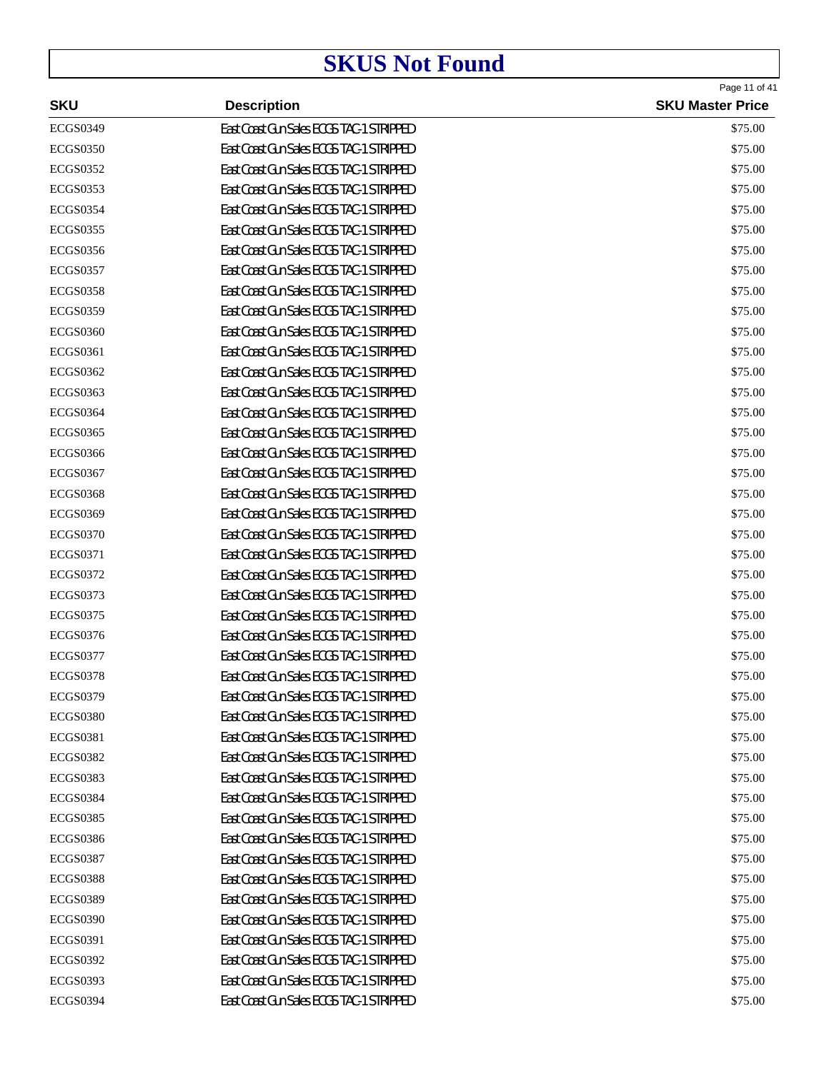| <b>SKU</b>      | <b>Description</b>                       | Page 11 of 41<br><b>SKU Master Price</b> |
|-----------------|------------------------------------------|------------------------------------------|
| <b>ECGS0349</b> | East Coast Gun Sales ECGS TAC-1 STRIPPED | \$75.00                                  |
| <b>ECGS0350</b> | East Coast Gun Sales ECGS TAC-1 STRIPPED | \$75.00                                  |
| <b>ECGS0352</b> | East Coast Gun Sales ECGS TAC-1 STRIPPED | \$75.00                                  |
| <b>ECGS0353</b> | East Coast Gun Sales ECGS TAC-1 STRIPPED | \$75.00                                  |
| <b>ECGS0354</b> | East Coast Gun Sales ECGS TAC-1 STRIPPED | \$75.00                                  |
| <b>ECGS0355</b> | East Coast Gun Sales ECGS TAC-1 STRIPPED | \$75.00                                  |
| <b>ECGS0356</b> | East Coast Gun Sales ECGS TAC-1 STRIPPED | \$75.00                                  |
| <b>ECGS0357</b> | East Coast Gun Sales ECGS TAC-1 STRIPPED | \$75.00                                  |
| <b>ECGS0358</b> | East Coast Gun Sales ECGS TAC-1 STRIPPED | \$75.00                                  |
| <b>ECGS0359</b> | East Coast Gun Sales ECGS TAC-1 STRIPPED | \$75.00                                  |
| <b>ECGS0360</b> | East Coast Gun Sales ECGS TAC-1 STRIPPED | \$75.00                                  |
| <b>ECGS0361</b> | East Coast Gun Sales ECGS TAC-1 STRIPPED | \$75.00                                  |
| <b>ECGS0362</b> | East Coast Gun Sales ECGS TAC-1 STRIPPED | \$75.00                                  |
| <b>ECGS0363</b> | East Coast Gun Sales ECGS TAC-1 STRIPPED | \$75.00                                  |
| <b>ECGS0364</b> | East Coast Gun Sales ECGS TAC-1 STRIPPED | \$75.00                                  |
| <b>ECGS0365</b> | East Coast Gun Sales ECGS TAC-1 STRIPPED | \$75.00                                  |
| <b>ECGS0366</b> | East Coast Gun Sales ECGS TAC-1 STRIPPED | \$75.00                                  |
| <b>ECGS0367</b> | East Coast Gun Sales ECGS TAC-1 STRIPPED | \$75.00                                  |
| <b>ECGS0368</b> | East Coast Gun Sales ECGS TAC-1 STRIPPED | \$75.00                                  |
| <b>ECGS0369</b> | East Coast Gun Sales ECGS TAC-1 STRIPPED | \$75.00                                  |
| <b>ECGS0370</b> | East Coast Gun Sales ECGS TAC-1 STRIPPED | \$75.00                                  |
| <b>ECGS0371</b> | East Coast Gun Sales ECGS TAC-1 STRIPPED | \$75.00                                  |
| <b>ECGS0372</b> | East Coast Gun Sales ECGS TAC-1 STRIPPED | \$75.00                                  |
| <b>ECGS0373</b> | East Coast Gun Sales ECGS TAC-1 STRIPPED | \$75.00                                  |
| <b>ECGS0375</b> | East Coast Gun Sales ECGS TAC-1 STRIPPED | \$75.00                                  |
| <b>ECGS0376</b> | East Coast Gun Sales ECGS TAC-1 STRIPPED | \$75.00                                  |
| <b>ECGS0377</b> | East Coast Gun Sales ECGS TAC-1 STRIPPED | \$75.00                                  |
| <b>ECGS0378</b> | East Coast Gun Sales ECGS TAC-1 STRIPPED | \$75.00                                  |
| <b>ECGS0379</b> | East Coast Gun Sales ECGS TAC-1 STRIPPED | \$75.00                                  |
| <b>ECGS0380</b> | East Coast Gun Sales ECGS TAC-1 STRIPPED | \$75.00                                  |
| <b>ECGS0381</b> | East Coast Gun Sales ECGS TAC-1 STRIPPED | \$75.00                                  |
| <b>ECGS0382</b> | East Coast Gun Sales ECGS TAC-1 STRIPPED | \$75.00                                  |
| <b>ECGS0383</b> | East Coast Gun Sales ECGS TAC-1 STRIPPED | \$75.00                                  |
| <b>ECGS0384</b> | East Coast Gun Sales ECGS TAC-1 STRIPPED | \$75.00                                  |
| <b>ECGS0385</b> | East Coast Gun Sales ECGS TAC-1 STRIPPED | \$75.00                                  |
| <b>ECGS0386</b> | East Coast Gun Sales ECGS TAC-1 STRIPPED | \$75.00                                  |
| <b>ECGS0387</b> | East Coast Gun Sales ECGS TAC-1 STRIPPED | \$75.00                                  |
| <b>ECGS0388</b> | East Coast Gun Sales ECGS TAC-1 STRIPPED | \$75.00                                  |
| <b>ECGS0389</b> | East Coast Gun Sales ECGS TAC-1 STRIPPED | \$75.00                                  |
| <b>ECGS0390</b> | East Coast Gun Sales ECGS TAC-1 STRIPPED | \$75.00                                  |
| <b>ECGS0391</b> | East Coast Gun Sales ECGS TAC-1 STRIPPED | \$75.00                                  |
| <b>ECGS0392</b> | East Coast Gun Sales ECGS TAC-1 STRIPPED | \$75.00                                  |
| <b>ECGS0393</b> | East Coast Gun Sales ECGS TAC-1 STRIPPED | \$75.00                                  |
| <b>ECGS0394</b> | East Coast Gun Sales ECGS TAC-1 STRIPPED | \$75.00                                  |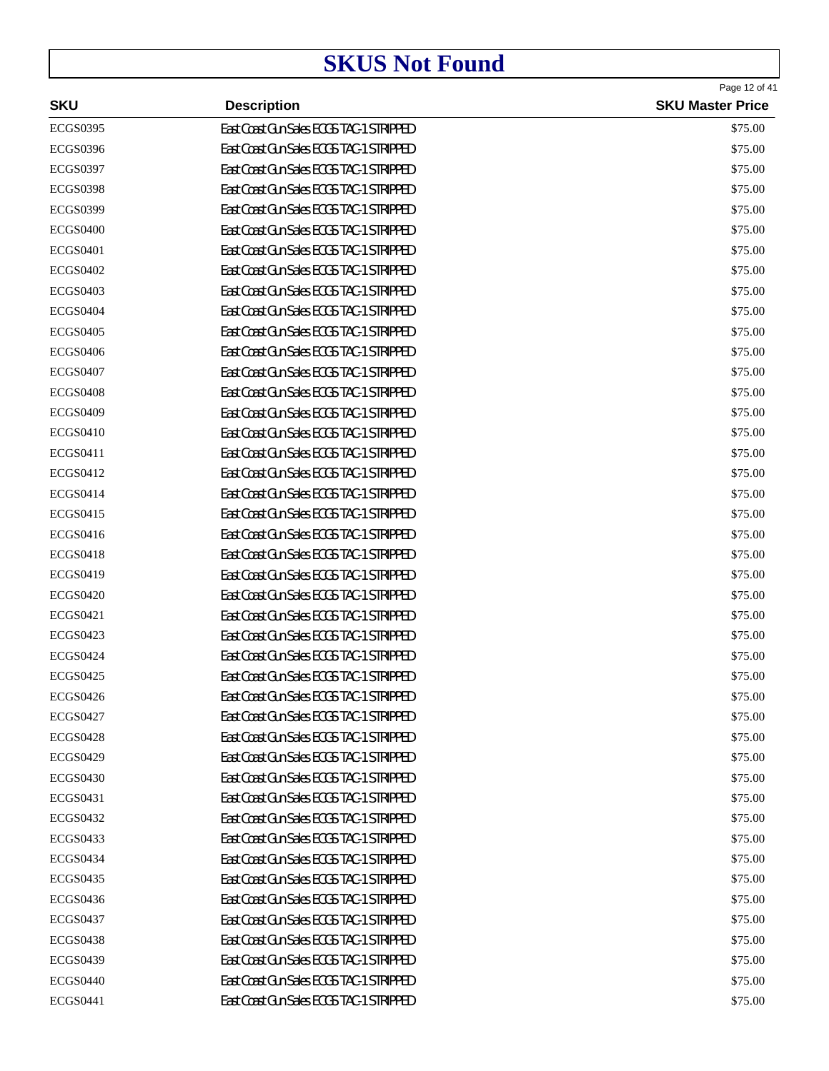| <b>SKU</b>      | <b>Description</b>                       | Page 12 of 41<br><b>SKU Master Price</b> |
|-----------------|------------------------------------------|------------------------------------------|
| <b>ECGS0395</b> | East Coast Gun Sales ECGS TAC-1 STRIPPED | \$75.00                                  |
| <b>ECGS0396</b> | East Coast Gun Sales ECGS TAC-1 STRIPPED | \$75.00                                  |
| <b>ECGS0397</b> | East Coast Gun Sales ECGS TAC-1 STRIPPED | \$75.00                                  |
| <b>ECGS0398</b> | East Coast Gun Sales ECGS TAC-1 STRIPPED | \$75.00                                  |
| <b>ECGS0399</b> | East Coast Gun Sales ECGS TAC-1 STRIPPED | \$75.00                                  |
| <b>ECGS0400</b> | East Coast Gun Sales ECGS TAC-1 STRIPPED | \$75.00                                  |
| <b>ECGS0401</b> | East Coast Gun Sales ECGS TAC-1 STRIPPED | \$75.00                                  |
| <b>ECGS0402</b> | East Coast Gun Sales ECGS TAC-1 STRIPPED | \$75.00                                  |
| <b>ECGS0403</b> | East Coast Gun Sales ECGS TAC-1 STRIPPED | \$75.00                                  |
| <b>ECGS0404</b> | East Coast Gun Sales ECGS TAC-1 STRIPPED | \$75.00                                  |
| <b>ECGS0405</b> | East Coast Gun Sales ECGS TAC-1 STRIPPED | \$75.00                                  |
| <b>ECGS0406</b> | East Coast Gun Sales ECGS TAC-1 STRIPPED | \$75.00                                  |
| <b>ECGS0407</b> | East Coast Gun Sales ECGS TAC-1 STRIPPED | \$75.00                                  |
| <b>ECGS0408</b> | East Coast Gun Sales ECGS TAC-1 STRIPPED | \$75.00                                  |
| <b>ECGS0409</b> | East Coast Gun Sales ECGS TAC-1 STRIPPED | \$75.00                                  |
| <b>ECGS0410</b> | East Coast Gun Sales ECGS TAC-1 STRIPPED | \$75.00                                  |
| <b>ECGS0411</b> | East Coast Gun Sales ECGS TAC-1 STRIPPED | \$75.00                                  |
| <b>ECGS0412</b> | East Coast Gun Sales ECGS TAC-1 STRIPPED | \$75.00                                  |
| <b>ECGS0414</b> | East Coast Gun Sales ECGS TAC-1 STRIPPED | \$75.00                                  |
| <b>ECGS0415</b> | East Coast Gun Sales ECGS TAC-1 STRIPPED | \$75.00                                  |
| <b>ECGS0416</b> | East Coast Gun Sales ECGS TAC-1 STRIPPED | \$75.00                                  |
| <b>ECGS0418</b> | East Coast Gun Sales ECGS TAC-1 STRIPPED | \$75.00                                  |
| <b>ECGS0419</b> | East Coast Gun Sales ECGS TAC-1 STRIPPED | \$75.00                                  |
| <b>ECGS0420</b> | East Coast Gun Sales ECGS TAC-1 STRIPPED | \$75.00                                  |
| <b>ECGS0421</b> | East Coast Gun Sales ECGS TAC-1 STRIPPED | \$75.00                                  |
| <b>ECGS0423</b> | East Coast Gun Sales ECGS TAC-1 STRIPPED | \$75.00                                  |
| <b>ECGS0424</b> | East Coast Gun Sales ECGS TAC-1 STRIPPED | \$75.00                                  |
| <b>ECGS0425</b> | East Coast Gun Sales ECGS TAC-1 STRIPPED | \$75.00                                  |
| <b>ECGS0426</b> | East Coast Gun Sales ECGS TAC-1 STRIPPED | \$75.00                                  |
| <b>ECGS0427</b> | East Coast Gun Sales ECGS TAC-1 STRIPPED | \$75.00                                  |
| <b>ECGS0428</b> | East Coast Gun Sales ECGS TAC-1 STRIPPED | \$75.00                                  |
| <b>ECGS0429</b> | East Coast Gun Sales ECGS TAC-1 STRIPPED | \$75.00                                  |
| <b>ECGS0430</b> | East Coast Gun Sales ECGS TAC-1 STRIPPED | \$75.00                                  |
| ECGS0431        | East Coast Gun Sales ECGS TAC-1 STRIPPED | \$75.00                                  |
| <b>ECGS0432</b> | East Coast Gun Sales ECGS TAC-1 STRIPPED | \$75.00                                  |
| <b>ECGS0433</b> | East Coast Gun Sales ECGS TAC-1 STRIPPED | \$75.00                                  |
| <b>ECGS0434</b> | East Coast Gun Sales ECGS TAC-1 STRIPPED | \$75.00                                  |
| <b>ECGS0435</b> | East Coast Gun Sales ECGS TAC-1 STRIPPED | \$75.00                                  |
| <b>ECGS0436</b> | East Coast Gun Sales ECGS TAC-1 STRIPPED | \$75.00                                  |
| <b>ECGS0437</b> | East Coast Gun Sales ECGS TAC-1 STRIPPED | \$75.00                                  |
| <b>ECGS0438</b> | East Coast Gun Sales ECGS TAC-1 STRIPPED | \$75.00                                  |
| <b>ECGS0439</b> | East Coast Gun Sales ECGS TAC-1 STRIPPED | \$75.00                                  |
| <b>ECGS0440</b> | East Coast Gun Sales ECGS TAC-1 STRIPPED | \$75.00                                  |
| <b>ECGS0441</b> | East Coast Gun Sales ECGS TAC-1 STRIPPED | \$75.00                                  |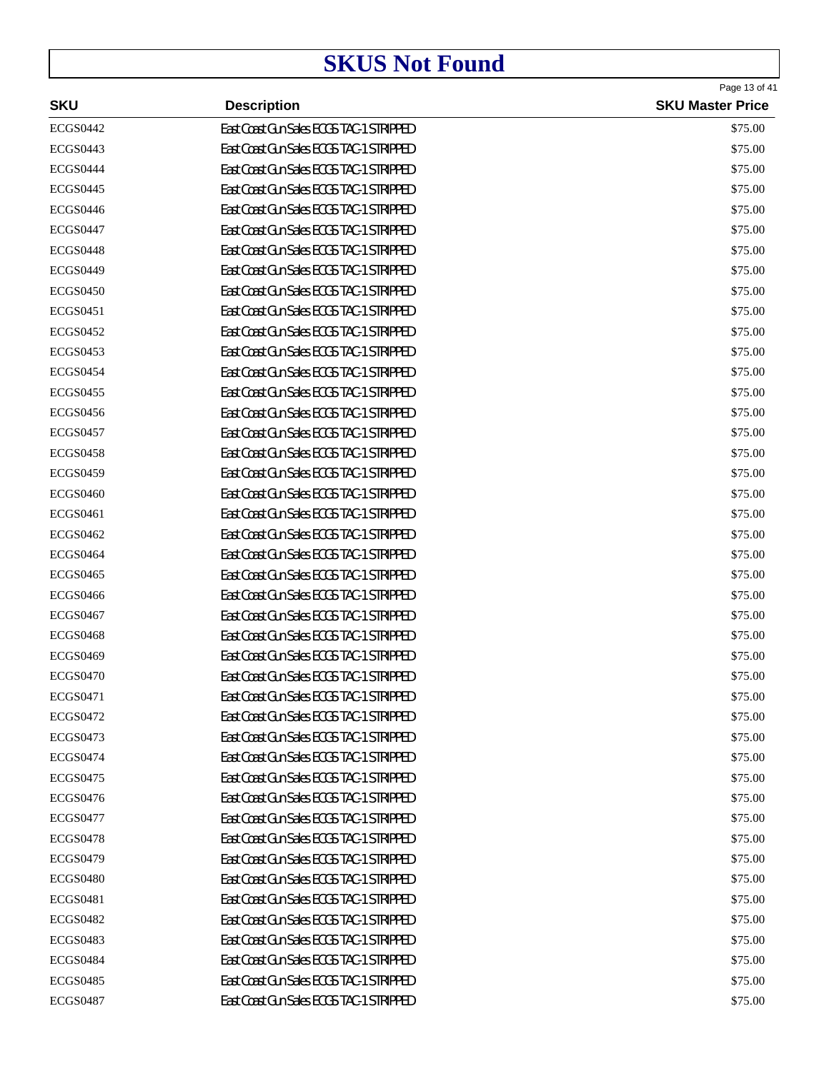| <b>SKU</b>      | <b>Description</b>                       | Page 13 of 41<br><b>SKU Master Price</b> |
|-----------------|------------------------------------------|------------------------------------------|
| <b>ECGS0442</b> | East Coast Gun Sales ECGS TAC-1 STRIPPED | \$75.00                                  |
| <b>ECGS0443</b> | East Coast Gun Sales ECGS TAC-1 STRIPPED | \$75.00                                  |
| <b>ECGS0444</b> | East Coast Gun Sales ECGS TAC-1 STRIPPED | \$75.00                                  |
| <b>ECGS0445</b> | East Coast Gun Sales ECGS TAC-1 STRIPPED | \$75.00                                  |
| <b>ECGS0446</b> | East Coast Gun Sales ECGS TAC-1 STRIPPED | \$75.00                                  |
| <b>ECGS0447</b> | East Coast Gun Sales ECGS TAC-1 STRIPPED | \$75.00                                  |
| <b>ECGS0448</b> | East Coast Gun Sales ECGS TAC-1 STRIPPED | \$75.00                                  |
| <b>ECGS0449</b> | East Coast Gun Sales ECGS TAC-1 STRIPPED | \$75.00                                  |
| <b>ECGS0450</b> | East Coast Gun Sales ECGS TAC-1 STRIPPED | \$75.00                                  |
| <b>ECGS0451</b> | East Coast Gun Sales ECGS TAC-1 STRIPPED | \$75.00                                  |
| <b>ECGS0452</b> | East Coast Gun Sales ECGS TAC-1 STRIPPED | \$75.00                                  |
| <b>ECGS0453</b> | East Coast Gun Sales ECGS TAC-1 STRIPPED | \$75.00                                  |
| <b>ECGS0454</b> | East Coast Gun Sales ECGS TAC-1 STRIPPED | \$75.00                                  |
| <b>ECGS0455</b> | East Coast Gun Sales ECGS TAC-1 STRIPPED | \$75.00                                  |
| <b>ECGS0456</b> | East Coast Gun Sales ECGS TAC-1 STRIPPED | \$75.00                                  |
| <b>ECGS0457</b> | East Coast Gun Sales ECGS TAC-1 STRIPPED | \$75.00                                  |
| <b>ECGS0458</b> | East Coast Gun Sales ECGS TAC-1 STRIPPED | \$75.00                                  |
| <b>ECGS0459</b> | East Coast Gun Sales ECGS TAC-1 STRIPPED | \$75.00                                  |
| <b>ECGS0460</b> | East Coast Gun Sales ECGS TAC-1 STRIPPED | \$75.00                                  |
| <b>ECGS0461</b> | East Coast Gun Sales ECGS TAC-1 STRIPPED | \$75.00                                  |
| <b>ECGS0462</b> | East Coast Gun Sales ECGS TAC-1 STRIPPED | \$75.00                                  |
| <b>ECGS0464</b> | East Coast Gun Sales ECGS TAC-1 STRIPPED | \$75.00                                  |
| <b>ECGS0465</b> | East Coast Gun Sales ECGS TAC-1 STRIPPED | \$75.00                                  |
| <b>ECGS0466</b> | East Coast Gun Sales ECGS TAC-1 STRIPPED | \$75.00                                  |
| <b>ECGS0467</b> | East Coast Gun Sales ECGS TAC-1 STRIPPED | \$75.00                                  |
| <b>ECGS0468</b> | East Coast Gun Sales ECGS TAC-1 STRIPPED | \$75.00                                  |
| <b>ECGS0469</b> | East Coast Gun Sales ECGS TAC-1 STRIPPED | \$75.00                                  |
| <b>ECGS0470</b> | East Coast Gun Sales ECGS TAC-1 STRIPPED | \$75.00                                  |
| <b>ECGS0471</b> | East Coast Gun Sales ECGS TAC-1 STRIPPED | \$75.00                                  |
| <b>ECGS0472</b> | East Coast Gun Sales ECGS TAC-1 STRIPPED | \$75.00                                  |
| <b>ECGS0473</b> | East Coast Gun Sales ECGS TAC-1 STRIPPED | \$75.00                                  |
| <b>ECGS0474</b> | East Coast Gun Sales ECGS TAC-1 STRIPPED | \$75.00                                  |
| <b>ECGS0475</b> | East Coast Gun Sales ECGS TAC-1 STRIPPED | \$75.00                                  |
| <b>ECGS0476</b> | East Coast Gun Sales ECGS TAC-1 STRIPPED | \$75.00                                  |
| <b>ECGS0477</b> | East Coast Gun Sales ECGS TAC-1 STRIPPED | \$75.00                                  |
| <b>ECGS0478</b> | East Coast Gun Sales ECGS TAC-1 STRIPPED | \$75.00                                  |
| <b>ECGS0479</b> | East Coast Gun Sales ECGS TAC-1 STRIPPED | \$75.00                                  |
| <b>ECGS0480</b> | East Coast Gun Sales ECGS TAC-1 STRIPPED | \$75.00                                  |
| <b>ECGS0481</b> | East Coast Gun Sales ECGS TAC-1 STRIPPED | \$75.00                                  |
| <b>ECGS0482</b> | East Coast Gun Sales ECGS TAC-1 STRIPPED | \$75.00                                  |
| <b>ECGS0483</b> | East Coast Gun Sales ECGS TAC-1 STRIPPED | \$75.00                                  |
| <b>ECGS0484</b> | East Coast Gun Sales ECGS TAC-1 STRIPPED | \$75.00                                  |
| <b>ECGS0485</b> | East Coast Gun Sales ECGS TAC-1 STRIPPED | \$75.00                                  |
| <b>ECGS0487</b> | East Coast Gun Sales ECGS TAC-1 STRIPPED | \$75.00                                  |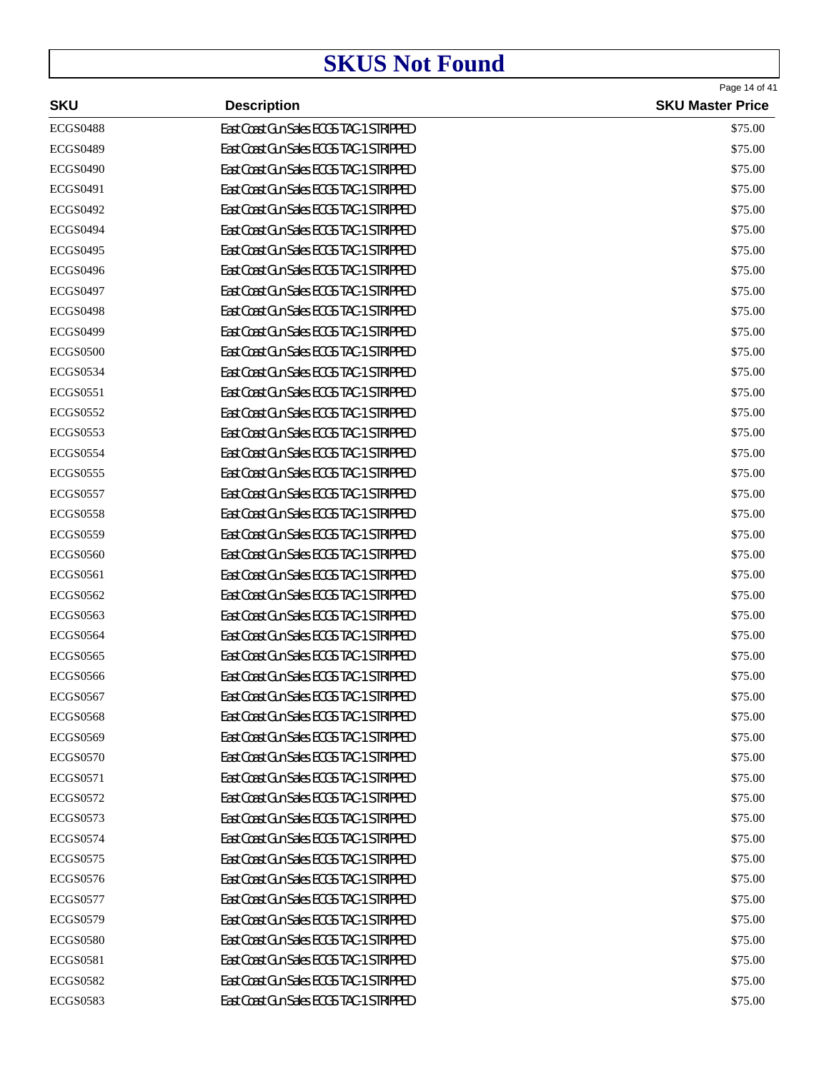|                 |                                          | Page 14 of 41           |
|-----------------|------------------------------------------|-------------------------|
| <b>SKU</b>      | <b>Description</b>                       | <b>SKU Master Price</b> |
| <b>ECGS0488</b> | East Coast Gun Sales ECGS TAC-1 STRIPPED | \$75.00                 |
| <b>ECGS0489</b> | East Coast Gun Sales ECGS TAC-1 STRIPPED | \$75.00                 |
| <b>ECGS0490</b> | East Coast Gun Sales ECGS TAC-1 STRIPPED | \$75.00                 |
| <b>ECGS0491</b> | East Coast Gun Sales ECGS TAC-1 STRIPPED | \$75.00                 |
| <b>ECGS0492</b> | East Coast Gun Sales ECGS TAC-1 STRIPPED | \$75.00                 |
| <b>ECGS0494</b> | East Coast Gun Sales ECGS TAC-1 STRIPPED | \$75.00                 |
| <b>ECGS0495</b> | East Coast Gun Sales ECGS TAC-1 STRIPPED | \$75.00                 |
| <b>ECGS0496</b> | East Coast Gun Sales ECGS TAC-1 STRIPPED | \$75.00                 |
| <b>ECGS0497</b> | East Coast Gun Sales ECGS TAC-1 STRIPPED | \$75.00                 |
| <b>ECGS0498</b> | East Coast Gun Sales ECGS TAC-1 STRIPPED | \$75.00                 |
| <b>ECGS0499</b> | East Coast Gun Sales ECGS TAC-1 STRIPPED | \$75.00                 |
| <b>ECGS0500</b> | East Coast Gun Sales ECGS TAC-1 STRIPPED | \$75.00                 |
| <b>ECGS0534</b> | East Coast Gun Sales ECGS TAC-1 STRIPPED | \$75.00                 |
| <b>ECGS0551</b> | East Coast Gun Sales ECGS TAC-1 STRIPPED | \$75.00                 |
| <b>ECGS0552</b> | East Coast Gun Sales ECGS TAC-1 STRIPPED | \$75.00                 |
| <b>ECGS0553</b> | East Coast Gun Sales ECGS TAC-1 STRIPPED | \$75.00                 |
| <b>ECGS0554</b> | East Coast Gun Sales ECGS TAC-1 STRIPPED | \$75.00                 |
| <b>ECGS0555</b> | East Coast Gun Sales ECGS TAC-1 STRIPPED | \$75.00                 |
| <b>ECGS0557</b> | East Coast Gun Sales ECGS TAC-1 STRIPPED | \$75.00                 |
| <b>ECGS0558</b> | East Coast Gun Sales ECGS TAC-1 STRIPPED | \$75.00                 |
| <b>ECGS0559</b> | East Coast Gun Sales ECGS TAC-1 STRIPPED | \$75.00                 |
| <b>ECGS0560</b> | East Coast Gun Sales ECGS TAC-1 STRIPPED | \$75.00                 |
| <b>ECGS0561</b> | East Coast Gun Sales ECGS TAC-1 STRIPPED | \$75.00                 |
| <b>ECGS0562</b> | East Coast Gun Sales ECGS TAC-1 STRIPPED | \$75.00                 |
| <b>ECGS0563</b> | East Coast Gun Sales ECGS TAC-1 STRIPPED | \$75.00                 |
| <b>ECGS0564</b> | East Coast Gun Sales ECGS TAC-1 STRIPPED | \$75.00                 |
| <b>ECGS0565</b> | East Coast Gun Sales ECGS TAC-1 STRIPPED | \$75.00                 |
| <b>ECGS0566</b> | East Coast Gun Sales ECGS TAC-1 STRIPPED | \$75.00                 |
| <b>ECGS0567</b> | East Coast Gun Sales ECGS TAC-1 STRIPPED | \$75.00                 |
| <b>ECGS0568</b> | East Coast Gun Sales ECGS TAC-1 STRIPPED | \$75.00                 |
| <b>ECGS0569</b> | East Coast Gun Sales ECGS TAC-1 STRIPPED | \$75.00                 |
| <b>ECGS0570</b> | East Coast Gun Sales ECGS TAC-1 STRIPPED | \$75.00                 |
| <b>ECGS0571</b> | East Coast Gun Sales ECGS TAC-1 STRIPPED | \$75.00                 |
| <b>ECGS0572</b> | East Coast Gun Sales ECGS TAC-1 STRIPPED | \$75.00                 |
| <b>ECGS0573</b> | East Coast Gun Sales ECGS TAC-1 STRIPPED | \$75.00                 |
| <b>ECGS0574</b> | East Coast Gun Sales ECGS TAC-1 STRIPPED | \$75.00                 |
| <b>ECGS0575</b> | East Coast Gun Sales ECGS TAC-1 STRIPPED | \$75.00                 |
| <b>ECGS0576</b> | East Coast Gun Sales ECGS TAC-1 STRIPPED | \$75.00                 |
| <b>ECGS0577</b> | East Coast Gun Sales ECGS TAC-1 STRIPPED | \$75.00                 |
| <b>ECGS0579</b> | East Coast Gun Sales ECGS TAC-1 STRIPPED | \$75.00                 |
| <b>ECGS0580</b> | East Coast Gun Sales ECGS TAC-1 STRIPPED | \$75.00                 |
| <b>ECGS0581</b> | East Coast Gun Sales ECGS TAC-1 STRIPPED | \$75.00                 |
| <b>ECGS0582</b> | East Coast Gun Sales ECGS TAC-1 STRIPPED | \$75.00                 |
| <b>ECGS0583</b> | East Coast Gun Sales ECGS TAC-1 STRIPPED | \$75.00                 |
|                 |                                          |                         |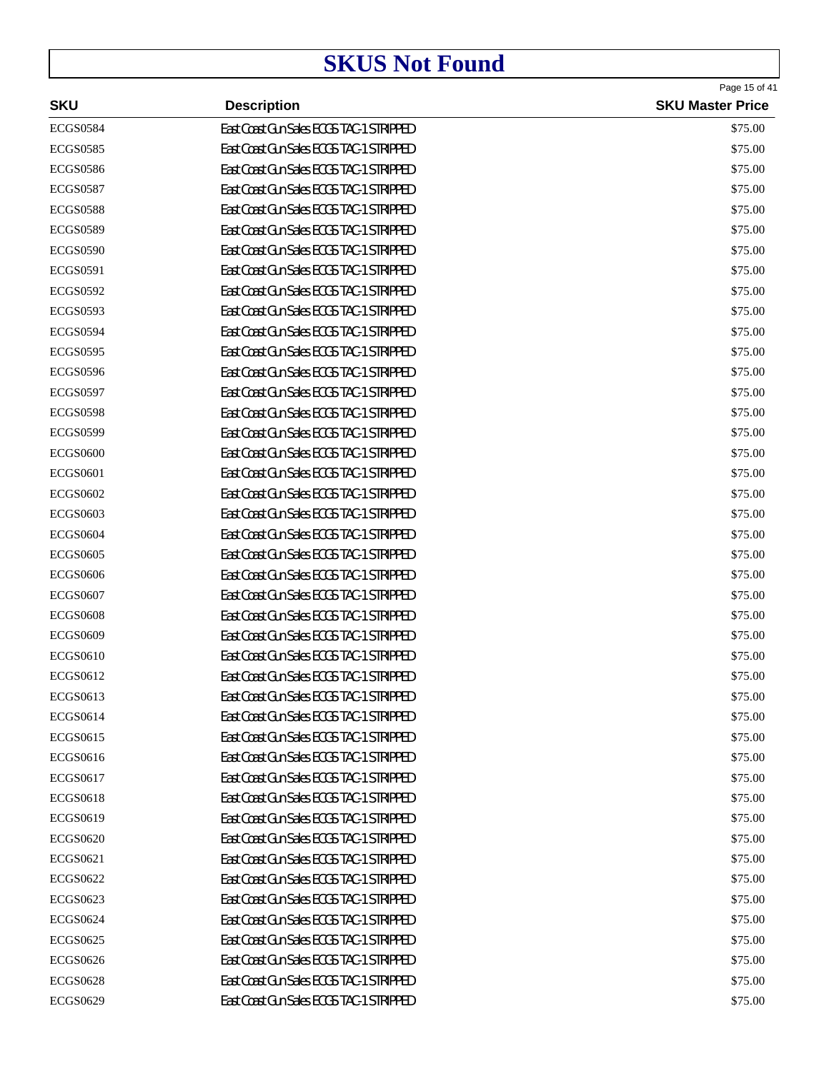|                 |                                          | Page 15 of 41           |
|-----------------|------------------------------------------|-------------------------|
| <b>SKU</b>      | <b>Description</b>                       | <b>SKU Master Price</b> |
| <b>ECGS0584</b> | East Coast Gun Sales ECGS TAC-1 STRIPPED | \$75.00                 |
| <b>ECGS0585</b> | East Coast Gun Sales ECGS TAC-1 STRIPPED | \$75.00                 |
| <b>ECGS0586</b> | East Coast Gun Sales ECGS TAC-1 STRIPPED | \$75.00                 |
| <b>ECGS0587</b> | East Coast Gun Sales ECGS TAC-1 STRIPPED | \$75.00                 |
| <b>ECGS0588</b> | East Coast Gun Sales ECGS TAC-1 STRIPPED | \$75.00                 |
| <b>ECGS0589</b> | East Coast Gun Sales ECGS TAC-1 STRIPPED | \$75.00                 |
| <b>ECGS0590</b> | East Coast Gun Sales ECGS TAC-1 STRIPPED | \$75.00                 |
| <b>ECGS0591</b> | East Coast Gun Sales ECGS TAC-1 STRIPPED | \$75.00                 |
| <b>ECGS0592</b> | East Coast Gun Sales ECGS TAC-1 STRIPPED | \$75.00                 |
| <b>ECGS0593</b> | East Coast Gun Sales ECGS TAC-1 STRIPPED | \$75.00                 |
| <b>ECGS0594</b> | East Coast Gun Sales ECGS TAC-1 STRIPPED | \$75.00                 |
| <b>ECGS0595</b> | East Coast Gun Sales ECGS TAC-1 STRIPPED | \$75.00                 |
| <b>ECGS0596</b> | East Coast Gun Sales ECGS TAC-1 STRIPPED | \$75.00                 |
| <b>ECGS0597</b> | East Coast Gun Sales ECGS TAC-1 STRIPPED | \$75.00                 |
| <b>ECGS0598</b> | East Coast Gun Sales ECGS TAC-1 STRIPPED | \$75.00                 |
| <b>ECGS0599</b> | East Coast Gun Sales ECGS TAC-1 STRIPPED | \$75.00                 |
| <b>ECGS0600</b> | East Coast Gun Sales ECGS TAC-1 STRIPPED | \$75.00                 |
| <b>ECGS0601</b> | East Coast Gun Sales ECGS TAC-1 STRIPPED | \$75.00                 |
| <b>ECGS0602</b> | East Coast Gun Sales ECGS TAC-1 STRIPPED | \$75.00                 |
| <b>ECGS0603</b> | East Coast Gun Sales ECGS TAC-1 STRIPPED | \$75.00                 |
| <b>ECGS0604</b> | East Coast Gun Sales ECGS TAC-1 STRIPPED | \$75.00                 |
| <b>ECGS0605</b> | East Coast Gun Sales ECGS TAC-1 STRIPPED | \$75.00                 |
| <b>ECGS0606</b> | East Coast Gun Sales ECGS TAC-1 STRIPPED | \$75.00                 |
| <b>ECGS0607</b> | East Coast Gun Sales ECGS TAC-1 STRIPPED | \$75.00                 |
| <b>ECGS0608</b> | East Coast Gun Sales ECGS TAC-1 STRIPPED | \$75.00                 |
| <b>ECGS0609</b> | East Coast Gun Sales ECGS TAC-1 STRIPPED | \$75.00                 |
| <b>ECGS0610</b> | East Coast Gun Sales ECGS TAC-1 STRIPPED | \$75.00                 |
| <b>ECGS0612</b> | East Coast Gun Sales ECGS TAC-1 STRIPPED | \$75.00                 |
| ECGS0613        | East Coast Gun Sales ECGS TAC-1 STRIPPED | \$75.00                 |
| <b>ECGS0614</b> | East Coast Gun Sales ECGS TAC-1 STRIPPED | \$75.00                 |
| <b>ECGS0615</b> | East Coast Gun Sales ECGS TAC-1 STRIPPED | \$75.00                 |
| <b>ECGS0616</b> | East Coast Gun Sales ECGS TAC-1 STRIPPED | \$75.00                 |
| <b>ECGS0617</b> | East Coast Gun Sales ECGS TAC-1 STRIPPED | \$75.00                 |
| <b>ECGS0618</b> | East Coast Gun Sales ECGS TAC-1 STRIPPED | \$75.00                 |
| <b>ECGS0619</b> | East Coast Gun Sales ECGS TAC-1 STRIPPED | \$75.00                 |
| <b>ECGS0620</b> | East Coast Gun Sales ECGS TAC-1 STRIPPED | \$75.00                 |
| ECGS0621        | East Coast Gun Sales ECGS TAC-1 STRIPPED | \$75.00                 |
| <b>ECGS0622</b> | East Coast Gun Sales ECGS TAC-1 STRIPPED | \$75.00                 |
| ECGS0623        | East Coast Gun Sales ECGS TAC-1 STRIPPED | \$75.00                 |
| <b>ECGS0624</b> | East Coast Gun Sales ECGS TAC-1 STRIPPED | \$75.00                 |
| <b>ECGS0625</b> | East Coast Gun Sales ECGS TAC-1 STRIPPED | \$75.00                 |
| <b>ECGS0626</b> | East Coast Gun Sales ECGS TAC-1 STRIPPED | \$75.00                 |
| <b>ECGS0628</b> | East Coast Gun Sales ECGS TAC-1 STRIPPED | \$75.00                 |
| <b>ECGS0629</b> | East Coast Gun Sales ECGS TAC-1 STRIPPED | \$75.00                 |
|                 |                                          |                         |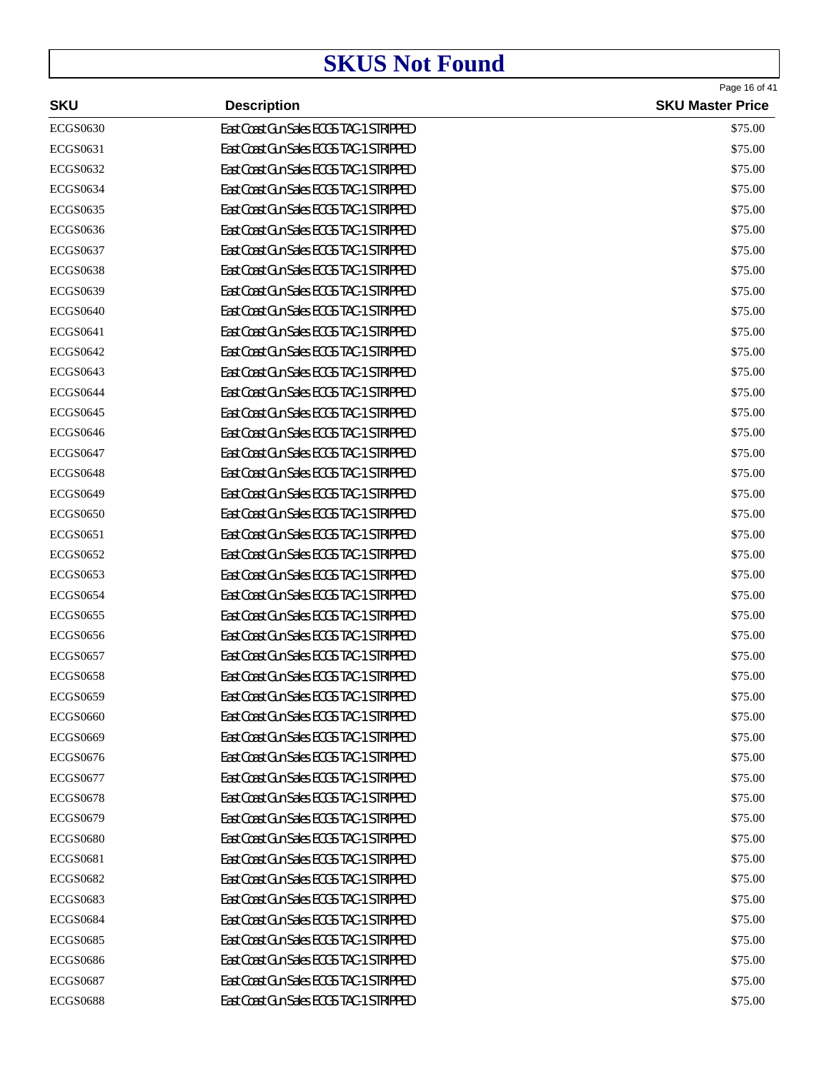| <b>SKU</b>      | <b>Description</b>                       | Page 16 of 41<br><b>SKU Master Price</b> |
|-----------------|------------------------------------------|------------------------------------------|
| <b>ECGS0630</b> | East Coast Gun Sales ECGS TAC-1 STRIPPED | \$75.00                                  |
| <b>ECGS0631</b> | East Coast Gun Sales ECGS TAC-1 STRIPPED | \$75.00                                  |
| <b>ECGS0632</b> | East Coast Gun Sales ECGS TAC-1 STRIPPED | \$75.00                                  |
| <b>ECGS0634</b> | East Coast Gun Sales ECGS TAC-1 STRIPPED | \$75.00                                  |
| <b>ECGS0635</b> | East Coast Gun Sales ECGS TAC-1 STRIPPED | \$75.00                                  |
| <b>ECGS0636</b> | East Coast Gun Sales ECGS TAC-1 STRIPPED | \$75.00                                  |
| <b>ECGS0637</b> | East Coast Gun Sales ECGS TAC-1 STRIPPED | \$75.00                                  |
| <b>ECGS0638</b> | East Coast Gun Sales ECGS TAC-1 STRIPPED | \$75.00                                  |
| <b>ECGS0639</b> | East Coast Gun Sales ECGS TAC-1 STRIPPED | \$75.00                                  |
| <b>ECGS0640</b> | East Coast Gun Sales ECGS TAC-1 STRIPPED | \$75.00                                  |
| <b>ECGS0641</b> | East Coast Gun Sales ECGS TAC-1 STRIPPED | \$75.00                                  |
| <b>ECGS0642</b> | East Coast Gun Sales ECGS TAC-1 STRIPPED | \$75.00                                  |
| <b>ECGS0643</b> | East Coast Gun Sales ECGS TAC-1 STRIPPED | \$75.00                                  |
| <b>ECGS0644</b> | East Coast Gun Sales ECGS TAC-1 STRIPPED | \$75.00                                  |
| <b>ECGS0645</b> | East Coast Gun Sales ECGS TAC-1 STRIPPED | \$75.00                                  |
| <b>ECGS0646</b> | East Coast Gun Sales ECGS TAC-1 STRIPPED | \$75.00                                  |
| <b>ECGS0647</b> | East Coast Gun Sales ECGS TAC-1 STRIPPED | \$75.00                                  |
| <b>ECGS0648</b> | East Coast Gun Sales ECGS TAC-1 STRIPPED | \$75.00                                  |
| <b>ECGS0649</b> | East Coast Gun Sales ECGS TAC-1 STRIPPED | \$75.00                                  |
| <b>ECGS0650</b> | East Coast Gun Sales ECGS TAC-1 STRIPPED | \$75.00                                  |
| <b>ECGS0651</b> | East Coast Gun Sales ECGS TAC-1 STRIPPED | \$75.00                                  |
| <b>ECGS0652</b> | East Coast Gun Sales ECGS TAC-1 STRIPPED | \$75.00                                  |
| <b>ECGS0653</b> | East Coast Gun Sales ECGS TAC-1 STRIPPED | \$75.00                                  |
| <b>ECGS0654</b> | East Coast Gun Sales ECGS TAC-1 STRIPPED | \$75.00                                  |
| <b>ECGS0655</b> | East Coast Gun Sales ECGS TAC-1 STRIPPED | \$75.00                                  |
| <b>ECGS0656</b> | East Coast Gun Sales ECGS TAC-1 STRIPPED | \$75.00                                  |
| <b>ECGS0657</b> | East Coast Gun Sales ECGS TAC-1 STRIPPED | \$75.00                                  |
| <b>ECGS0658</b> | East Coast Gun Sales ECGS TAC-1 STRIPPED | \$75.00                                  |
| <b>ECGS0659</b> | East Coast Gun Sales ECGS TAC-1 STRIPPED | \$75.00                                  |
| <b>ECGS0660</b> | East Coast Gun Sales ECGS TAC-1 STRIPPED | \$75.00                                  |
| <b>ECGS0669</b> | East Coast Gun Sales ECGS TAC-1 STRIPPED | \$75.00                                  |
| <b>ECGS0676</b> | East Coast Gun Sales ECGS TAC-1 STRIPPED | \$75.00                                  |
| <b>ECGS0677</b> | East Coast Gun Sales ECGS TAC-1 STRIPPED | \$75.00                                  |
| <b>ECGS0678</b> | East Coast Gun Sales ECGS TAC-1 STRIPPED | \$75.00                                  |
| <b>ECGS0679</b> | East Coast Gun Sales ECGS TAC-1 STRIPPED | \$75.00                                  |
| <b>ECGS0680</b> | East Coast Gun Sales ECGS TAC-1 STRIPPED | \$75.00                                  |
| ECGS0681        | East Coast Gun Sales ECGS TAC-1 STRIPPED | \$75.00                                  |
| <b>ECGS0682</b> | East Coast Gun Sales ECGS TAC-1 STRIPPED | \$75.00                                  |
| <b>ECGS0683</b> | East Coast Gun Sales ECGS TAC-1 STRIPPED | \$75.00                                  |
| <b>ECGS0684</b> | East Coast Gun Sales ECGS TAC-1 STRIPPED | \$75.00                                  |
| <b>ECGS0685</b> | East Coast Gun Sales ECGS TAC-1 STRIPPED | \$75.00                                  |
| <b>ECGS0686</b> | East Coast Gun Sales ECGS TAC-1 STRIPPED | \$75.00                                  |
| <b>ECGS0687</b> | East Coast Gun Sales ECGS TAC-1 STRIPPED | \$75.00                                  |
| <b>ECGS0688</b> | East Coast Gun Sales ECGS TAC-1 STRIPPED | \$75.00                                  |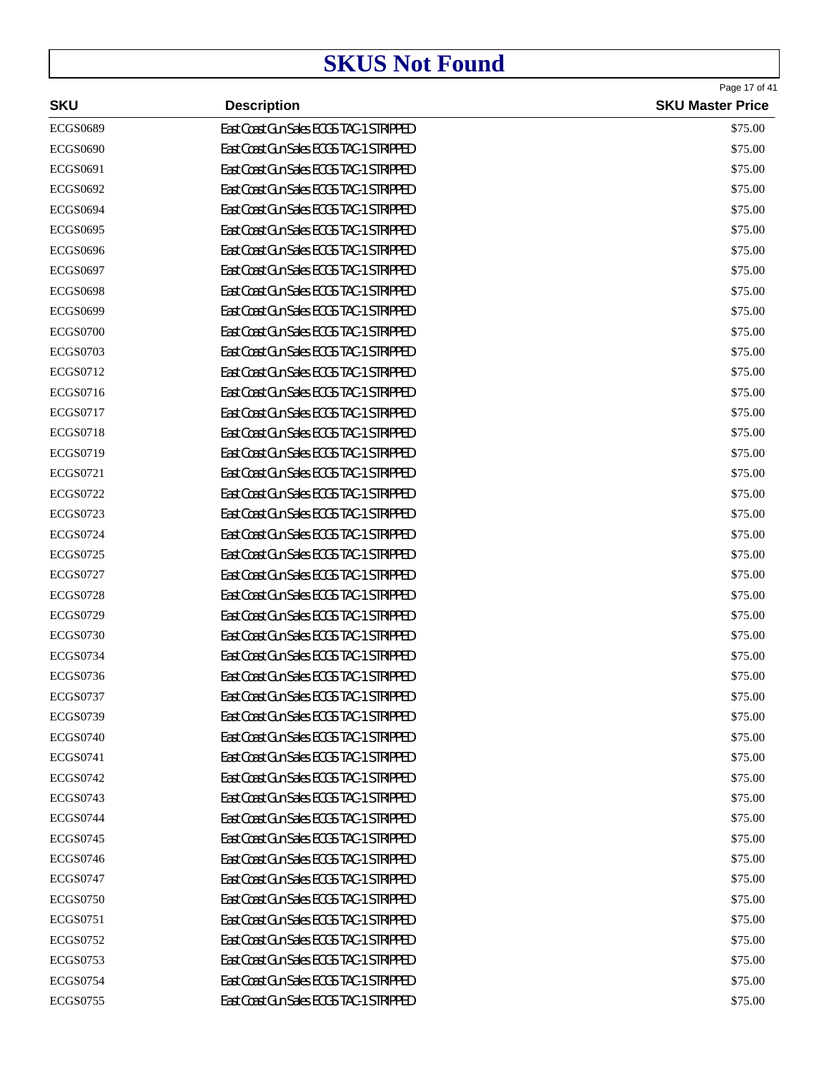| <b>SKU</b>      | <b>Description</b>                       | Page 17 of 41<br><b>SKU Master Price</b> |
|-----------------|------------------------------------------|------------------------------------------|
| <b>ECGS0689</b> | East Coast Gun Sales ECGS TAC-1 STRIPPED | \$75.00                                  |
| <b>ECGS0690</b> | East Coast Gun Sales ECGS TAC-1 STRIPPED | \$75.00                                  |
| <b>ECGS0691</b> | East Coast Gun Sales ECGS TAC-1 STRIPPED | \$75.00                                  |
| <b>ECGS0692</b> | East Coast Gun Sales ECGS TAC-1 STRIPPED | \$75.00                                  |
| <b>ECGS0694</b> | East Coast Gun Sales ECGS TAC-1 STRIPPED | \$75.00                                  |
| <b>ECGS0695</b> | East Coast Gun Sales ECGS TAC-1 STRIPPED | \$75.00                                  |
| <b>ECGS0696</b> | East Coast Gun Sales ECGS TAC-1 STRIPPED | \$75.00                                  |
| <b>ECGS0697</b> | East Coast Gun Sales ECGS TAC-1 STRIPPED | \$75.00                                  |
| <b>ECGS0698</b> | East Coast Gun Sales ECGS TAC-1 STRIPPED | \$75.00                                  |
| <b>ECGS0699</b> | East Coast Gun Sales ECGS TAC-1 STRIPPED | \$75.00                                  |
| <b>ECGS0700</b> | East Coast Gun Sales ECGS TAC-1 STRIPPED | \$75.00                                  |
| <b>ECGS0703</b> | East Coast Gun Sales ECGS TAC-1 STRIPPED | \$75.00                                  |
| <b>ECGS0712</b> | East Coast Gun Sales ECGS TAC-1 STRIPPED | \$75.00                                  |
| <b>ECGS0716</b> | East Coast Gun Sales ECGS TAC-1 STRIPPED | \$75.00                                  |
| <b>ECGS0717</b> | East Coast Gun Sales ECGS TAC-1 STRIPPED | \$75.00                                  |
| <b>ECGS0718</b> | East Coast Gun Sales ECGS TAC-1 STRIPPED | \$75.00                                  |
| <b>ECGS0719</b> | East Coast Gun Sales ECGS TAC-1 STRIPPED | \$75.00                                  |
| <b>ECGS0721</b> | East Coast Gun Sales ECGS TAC-1 STRIPPED | \$75.00                                  |
| <b>ECGS0722</b> | East Coast Gun Sales ECGS TAC-1 STRIPPED | \$75.00                                  |
| <b>ECGS0723</b> | East Coast Gun Sales ECGS TAC-1 STRIPPED | \$75.00                                  |
| <b>ECGS0724</b> | East Coast Gun Sales ECGS TAC-1 STRIPPED | \$75.00                                  |
| <b>ECGS0725</b> | East Coast Gun Sales ECGS TAC-1 STRIPPED | \$75.00                                  |
| <b>ECGS0727</b> | East Coast Gun Sales ECGS TAC-1 STRIPPED | \$75.00                                  |
| <b>ECGS0728</b> | East Coast Gun Sales ECGS TAC-1 STRIPPED | \$75.00                                  |
| <b>ECGS0729</b> | East Coast Gun Sales ECGS TAC-1 STRIPPED | \$75.00                                  |
| <b>ECGS0730</b> | East Coast Gun Sales ECGS TAC-1 STRIPPED | \$75.00                                  |
| <b>ECGS0734</b> | East Coast Gun Sales ECGS TAC-1 STRIPPED | \$75.00                                  |
| <b>ECGS0736</b> | East Coast Gun Sales ECGS TAC-1 STRIPPED | \$75.00                                  |
| <b>ECGS0737</b> | East Coast Gun Sales ECGS TAC-1 STRIPPED | \$75.00                                  |
| <b>ECGS0739</b> | East Coast Gun Sales ECGS TAC-1 STRIPPED | \$75.00                                  |
| <b>ECGS0740</b> | East Coast Gun Sales ECGS TAC-1 STRIPPED | \$75.00                                  |
| <b>ECGS0741</b> | East Coast Gun Sales ECGS TAC-1 STRIPPED | \$75.00                                  |
| <b>ECGS0742</b> | East Coast Gun Sales ECGS TAC-1 STRIPPED | \$75.00                                  |
| <b>ECGS0743</b> | East Coast Gun Sales ECGS TAC-1 STRIPPED | \$75.00                                  |
| <b>ECGS0744</b> | East Coast Gun Sales ECGS TAC-1 STRIPPED | \$75.00                                  |
| <b>ECGS0745</b> | East Coast Gun Sales ECGS TAC-1 STRIPPED | \$75.00                                  |
| <b>ECGS0746</b> | East Coast Gun Sales ECGS TAC-1 STRIPPED | \$75.00                                  |
| <b>ECGS0747</b> | East Coast Gun Sales ECGS TAC-1 STRIPPED | \$75.00                                  |
| <b>ECGS0750</b> | East Coast Gun Sales ECGS TAC-1 STRIPPED | \$75.00                                  |
| <b>ECGS0751</b> | East Coast Gun Sales ECGS TAC-1 STRIPPED | \$75.00                                  |
| <b>ECGS0752</b> | East Coast Gun Sales ECGS TAC-1 STRIPPED | \$75.00                                  |
| <b>ECGS0753</b> | East Coast Gun Sales ECGS TAC-1 STRIPPED | \$75.00                                  |
| <b>ECGS0754</b> | East Coast Gun Sales ECGS TAC-1 STRIPPED | \$75.00                                  |
| <b>ECGS0755</b> | East Coast Gun Sales ECGS TAC-1 STRIPPED | \$75.00                                  |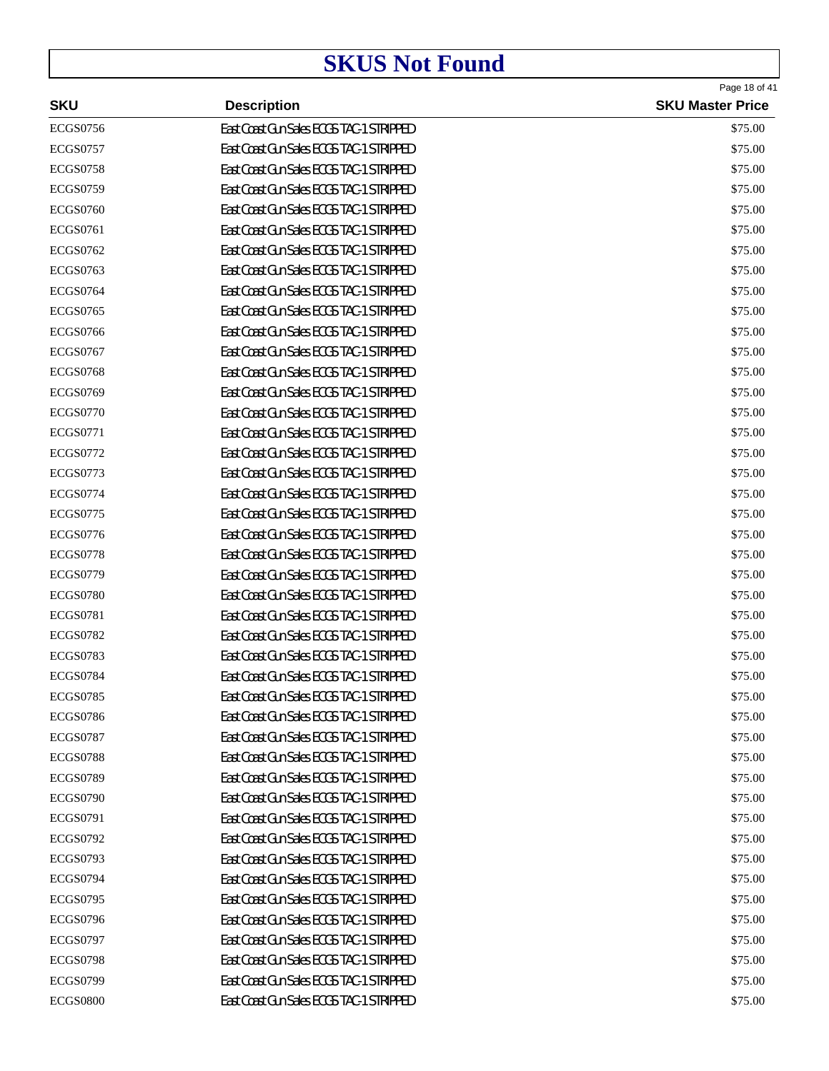| <b>SKU</b>      | <b>Description</b>                       | Page 18 of 41<br><b>SKU Master Price</b> |
|-----------------|------------------------------------------|------------------------------------------|
| <b>ECGS0756</b> | East Coast Gun Sales ECGS TAC-1 STRIPPED | \$75.00                                  |
| <b>ECGS0757</b> | East Coast Gun Sales ECGS TAC-1 STRIPPED | \$75.00                                  |
| <b>ECGS0758</b> | East Coast Gun Sales ECGS TAC-1 STRIPPED | \$75.00                                  |
| <b>ECGS0759</b> | East Coast Gun Sales ECGS TAC-1 STRIPPED | \$75.00                                  |
| <b>ECGS0760</b> | East Coast Gun Sales ECGS TAC-1 STRIPPED | \$75.00                                  |
| <b>ECGS0761</b> | East Coast Gun Sales ECGS TAC-1 STRIPPED | \$75.00                                  |
| <b>ECGS0762</b> | East Coast Gun Sales ECGS TAC-1 STRIPPED | \$75.00                                  |
| <b>ECGS0763</b> | East Coast Gun Sales ECGS TAC-1 STRIPPED | \$75.00                                  |
| <b>ECGS0764</b> | East Coast Gun Sales ECGS TAC-1 STRIPPED | \$75.00                                  |
| <b>ECGS0765</b> | East Coast Gun Sales ECGS TAC-1 STRIPPED | \$75.00                                  |
| <b>ECGS0766</b> | East Coast Gun Sales ECGS TAC-1 STRIPPED | \$75.00                                  |
| <b>ECGS0767</b> | East Coast Gun Sales ECGS TAC-1 STRIPPED | \$75.00                                  |
| <b>ECGS0768</b> | East Coast Gun Sales ECGS TAC-1 STRIPPED | \$75.00                                  |
| <b>ECGS0769</b> | East Coast Gun Sales ECGS TAC-1 STRIPPED | \$75.00                                  |
| <b>ECGS0770</b> | East Coast Gun Sales ECGS TAC-1 STRIPPED | \$75.00                                  |
| <b>ECGS0771</b> | East Coast Gun Sales ECGS TAC-1 STRIPPED | \$75.00                                  |
| <b>ECGS0772</b> | East Coast Gun Sales ECGS TAC-1 STRIPPED | \$75.00                                  |
| <b>ECGS0773</b> | East Coast Gun Sales ECGS TAC-1 STRIPPED | \$75.00                                  |
| <b>ECGS0774</b> | East Coast Gun Sales ECGS TAC-1 STRIPPED | \$75.00                                  |
| <b>ECGS0775</b> | East Coast Gun Sales ECGS TAC-1 STRIPPED | \$75.00                                  |
| <b>ECGS0776</b> | East Coast Gun Sales ECGS TAC-1 STRIPPED | \$75.00                                  |
| <b>ECGS0778</b> | East Coast Gun Sales ECGS TAC-1 STRIPPED | \$75.00                                  |
| <b>ECGS0779</b> | East Coast Gun Sales ECGS TAC-1 STRIPPED | \$75.00                                  |
| <b>ECGS0780</b> | East Coast Gun Sales ECGS TAC-1 STRIPPED | \$75.00                                  |
| <b>ECGS0781</b> | East Coast Gun Sales ECGS TAC-1 STRIPPED | \$75.00                                  |
| <b>ECGS0782</b> | East Coast Gun Sales ECGS TAC-1 STRIPPED | \$75.00                                  |
| <b>ECGS0783</b> | East Coast Gun Sales ECGS TAC-1 STRIPPED | \$75.00                                  |
| <b>ECGS0784</b> | East Coast Gun Sales ECGS TAC-1 STRIPPED | \$75.00                                  |
| <b>ECGS0785</b> | East Coast Gun Sales ECGS TAC-1 STRIPPED | \$75.00                                  |
| <b>ECGS0786</b> | East Coast Gun Sales ECGS TAC-1 STRIPPED | \$75.00                                  |
| <b>ECGS0787</b> | East Coast Gun Sales ECGS TAC-1 STRIPPED | \$75.00                                  |
| <b>ECGS0788</b> | East Coast Gun Sales ECGS TAC-1 STRIPPED | \$75.00                                  |
| <b>ECGS0789</b> | East Coast Gun Sales ECGS TAC-1 STRIPPED | \$75.00                                  |
| <b>ECGS0790</b> | East Coast Gun Sales ECGS TAC-1 STRIPPED | \$75.00                                  |
| <b>ECGS0791</b> | East Coast Gun Sales ECGS TAC-1 STRIPPED | \$75.00                                  |
| <b>ECGS0792</b> | East Coast Gun Sales ECGS TAC-1 STRIPPED | \$75.00                                  |
| <b>ECGS0793</b> | East Coast Gun Sales ECGS TAC-1 STRIPPED | \$75.00                                  |
| <b>ECGS0794</b> | East Coast Gun Sales ECGS TAC-1 STRIPPED | \$75.00                                  |
| <b>ECGS0795</b> | East Coast Gun Sales ECGS TAC-1 STRIPPED | \$75.00                                  |
| <b>ECGS0796</b> | East Coast Gun Sales ECGS TAC-1 STRIPPED | \$75.00                                  |
| <b>ECGS0797</b> | East Coast Gun Sales ECGS TAC-1 STRIPPED | \$75.00                                  |
| <b>ECGS0798</b> | East Coast Gun Sales ECGS TAC-1 STRIPPED | \$75.00                                  |
| <b>ECGS0799</b> | East Coast Gun Sales ECGS TAC-1 STRIPPED | \$75.00                                  |
| <b>ECGS0800</b> | East Coast Gun Sales ECGS TAC-1 STRIPPED | \$75.00                                  |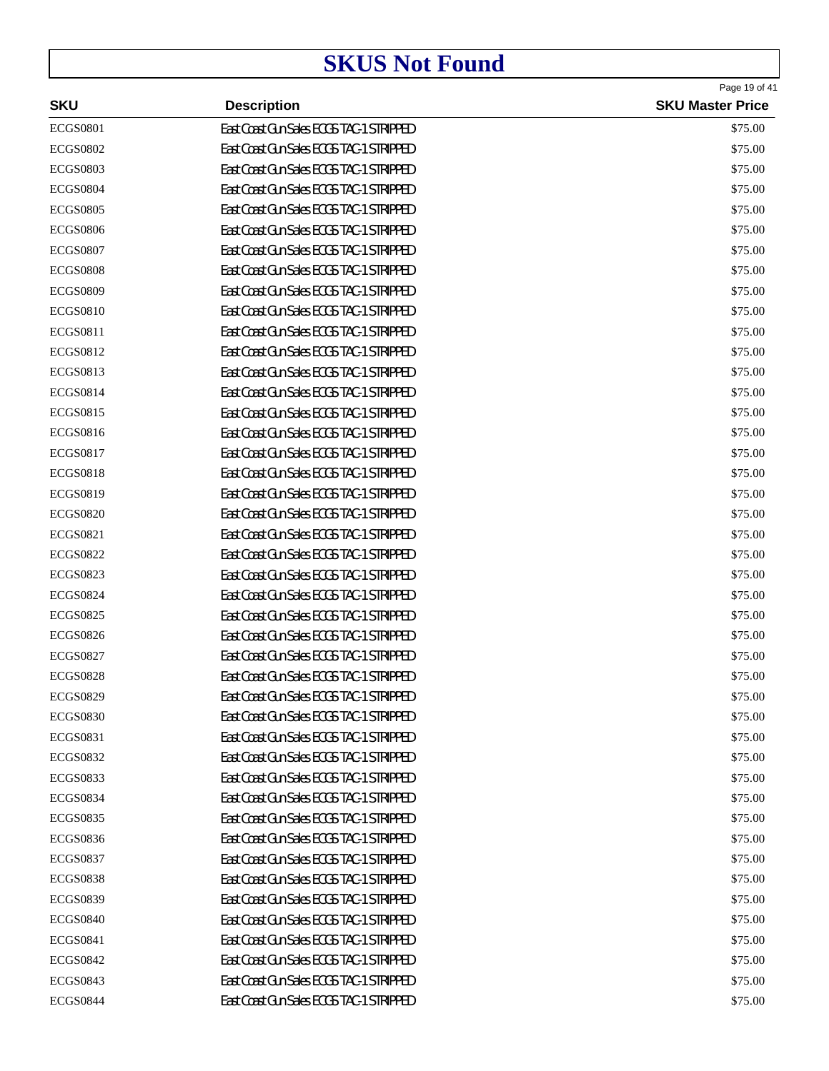| <b>SKU</b>      | <b>Description</b>                       | Page 19 of 41<br><b>SKU Master Price</b> |
|-----------------|------------------------------------------|------------------------------------------|
| <b>ECGS0801</b> | East Coast Gun Sales ECGS TAC-1 STRIPPED | \$75.00                                  |
| <b>ECGS0802</b> | East Coast Gun Sales ECGS TAC-1 STRIPPED | \$75.00                                  |
| <b>ECGS0803</b> | East Coast Gun Sales ECGS TAC-1 STRIPPED | \$75.00                                  |
| <b>ECGS0804</b> | East Coast Gun Sales ECGS TAC-1 STRIPPED | \$75.00                                  |
| <b>ECGS0805</b> | East Coast Gun Sales ECGS TAC-1 STRIPPED | \$75.00                                  |
| <b>ECGS0806</b> | East Coast Gun Sales ECGS TAC-1 STRIPPED | \$75.00                                  |
| <b>ECGS0807</b> | East Coast Gun Sales ECGS TAC-1 STRIPPED | \$75.00                                  |
| <b>ECGS0808</b> | East Coast Gun Sales ECGS TAC-1 STRIPPED | \$75.00                                  |
| <b>ECGS0809</b> | East Coast Gun Sales ECGS TAC-1 STRIPPED | \$75.00                                  |
| <b>ECGS0810</b> | East Coast Gun Sales ECGS TAC-1 STRIPPED | \$75.00                                  |
| <b>ECGS0811</b> | East Coast Gun Sales ECGS TAC-1 STRIPPED | \$75.00                                  |
| <b>ECGS0812</b> | East Coast Gun Sales ECGS TAC-1 STRIPPED | \$75.00                                  |
| <b>ECGS0813</b> | East Coast Gun Sales ECGS TAC-1 STRIPPED | \$75.00                                  |
| <b>ECGS0814</b> | East Coast Gun Sales ECGS TAC-1 STRIPPED | \$75.00                                  |
| <b>ECGS0815</b> | East Coast Gun Sales ECGS TAC-1 STRIPPED | \$75.00                                  |
| <b>ECGS0816</b> | East Coast Gun Sales ECGS TAC-1 STRIPPED | \$75.00                                  |
| <b>ECGS0817</b> | East Coast Gun Sales ECGS TAC-1 STRIPPED | \$75.00                                  |
| <b>ECGS0818</b> | East Coast Gun Sales ECGS TAC-1 STRIPPED | \$75.00                                  |
| <b>ECGS0819</b> | East Coast Gun Sales ECGS TAC-1 STRIPPED | \$75.00                                  |
| <b>ECGS0820</b> | East Coast Gun Sales ECGS TAC-1 STRIPPED | \$75.00                                  |
| <b>ECGS0821</b> | East Coast Gun Sales ECGS TAC-1 STRIPPED | \$75.00                                  |
| <b>ECGS0822</b> | East Coast Gun Sales ECGS TAC-1 STRIPPED | \$75.00                                  |
| <b>ECGS0823</b> | East Coast Gun Sales ECGS TAC-1 STRIPPED | \$75.00                                  |
| <b>ECGS0824</b> | East Coast Gun Sales ECGS TAC-1 STRIPPED | \$75.00                                  |
| <b>ECGS0825</b> | East Coast Gun Sales ECGS TAC-1 STRIPPED | \$75.00                                  |
| <b>ECGS0826</b> | East Coast Gun Sales ECGS TAC-1 STRIPPED | \$75.00                                  |
| <b>ECGS0827</b> | East Coast Gun Sales ECGS TAC-1 STRIPPED | \$75.00                                  |
| <b>ECGS0828</b> | East Coast Gun Sales ECGS TAC-1 STRIPPED | \$75.00                                  |
| <b>ECGS0829</b> | East Coast Gun Sales ECGS TAC-1 STRIPPED | \$75.00                                  |
| <b>ECGS0830</b> | East Coast Gun Sales ECGS TAC-1 STRIPPED | \$75.00                                  |
| <b>ECGS0831</b> | East Coast Gun Sales ECGS TAC-1 STRIPPED | \$75.00                                  |
| <b>ECGS0832</b> | East Coast Gun Sales ECGS TAC-1 STRIPPED | \$75.00                                  |
| <b>ECGS0833</b> | East Coast Gun Sales ECGS TAC-1 STRIPPED | \$75.00                                  |
| <b>ECGS0834</b> | East Coast Gun Sales ECGS TAC-1 STRIPPED | \$75.00                                  |
| <b>ECGS0835</b> | East Coast Gun Sales ECGS TAC-1 STRIPPED | \$75.00                                  |
| <b>ECGS0836</b> | East Coast Gun Sales ECGS TAC-1 STRIPPED | \$75.00                                  |
| <b>ECGS0837</b> | East Coast Gun Sales ECGS TAC-1 STRIPPED | \$75.00                                  |
| <b>ECGS0838</b> | East Coast Gun Sales ECGS TAC-1 STRIPPED | \$75.00                                  |
| <b>ECGS0839</b> | East Coast Gun Sales ECGS TAC-1 STRIPPED | \$75.00                                  |
| <b>ECGS0840</b> | East Coast Gun Sales ECGS TAC-1 STRIPPED | \$75.00                                  |
| <b>ECGS0841</b> | East Coast Gun Sales ECGS TAC-1 STRIPPED | \$75.00                                  |
| <b>ECGS0842</b> | East Coast Gun Sales ECGS TAC-1 STRIPPED | \$75.00                                  |
| <b>ECGS0843</b> | East Coast Gun Sales ECGS TAC-1 STRIPPED | \$75.00                                  |
| <b>ECGS0844</b> | East Coast Gun Sales ECGS TAC-1 STRIPPED | \$75.00                                  |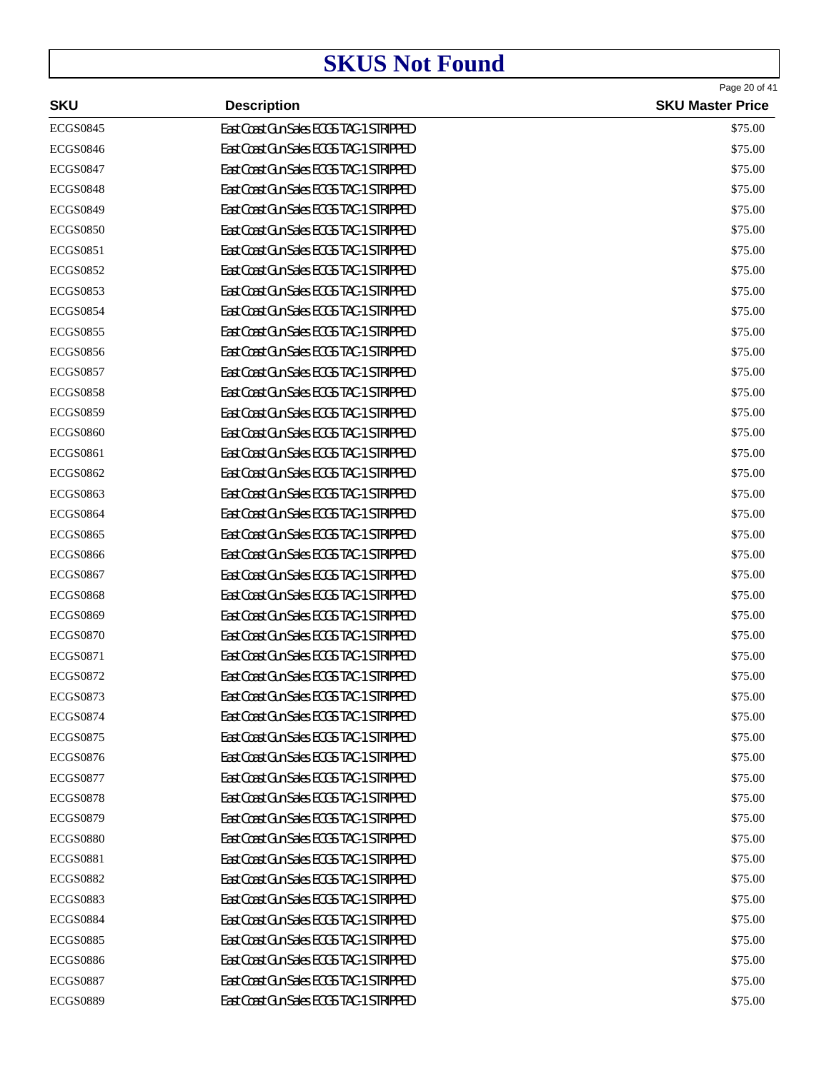|                 |                                          | Page 20 of 41           |
|-----------------|------------------------------------------|-------------------------|
| <b>SKU</b>      | <b>Description</b>                       | <b>SKU Master Price</b> |
| <b>ECGS0845</b> | East Coast Gun Sales ECGS TAC-1 STRIPPED | \$75.00                 |
| <b>ECGS0846</b> | East Coast Gun Sales ECGS TAC-1 STRIPPED | \$75.00                 |
| <b>ECGS0847</b> | East Coast Gun Sales ECGS TAC-1 STRIPPED | \$75.00                 |
| <b>ECGS0848</b> | East Coast Gun Sales ECGS TAC-1 STRIPPED | \$75.00                 |
| <b>ECGS0849</b> | East Coast Gun Sales ECGS TAC-1 STRIPPED | \$75.00                 |
| <b>ECGS0850</b> | East Coast Gun Sales ECGS TAC-1 STRIPPED | \$75.00                 |
| <b>ECGS0851</b> | East Coast Gun Sales ECGS TAC-1 STRIPPED | \$75.00                 |
| <b>ECGS0852</b> | East Coast Gun Sales ECGS TAC-1 STRIPPED | \$75.00                 |
| <b>ECGS0853</b> | East Coast Gun Sales ECGS TAC-1 STRIPPED | \$75.00                 |
| <b>ECGS0854</b> | East Coast Gun Sales ECGS TAC-1 STRIPPED | \$75.00                 |
| <b>ECGS0855</b> | East Coast Gun Sales ECGS TAC-1 STRIPPED | \$75.00                 |
| <b>ECGS0856</b> | East Coast Gun Sales ECGS TAC-1 STRIPPED | \$75.00                 |
| <b>ECGS0857</b> | East Coast Gun Sales ECGS TAC-1 STRIPPED | \$75.00                 |
| <b>ECGS0858</b> | East Coast Gun Sales ECGS TAC-1 STRIPPED | \$75.00                 |
| <b>ECGS0859</b> | East Coast Gun Sales ECGS TAC-1 STRIPPED | \$75.00                 |
| <b>ECGS0860</b> | East Coast Gun Sales ECGS TAC-1 STRIPPED | \$75.00                 |
| <b>ECGS0861</b> | East Coast Gun Sales ECGS TAC-1 STRIPPED | \$75.00                 |
| <b>ECGS0862</b> | East Coast Gun Sales ECGS TAC-1 STRIPPED | \$75.00                 |
| <b>ECGS0863</b> | East Coast Gun Sales ECGS TAC-1 STRIPPED | \$75.00                 |
| <b>ECGS0864</b> | East Coast Gun Sales ECGS TAC-1 STRIPPED | \$75.00                 |
| <b>ECGS0865</b> | East Coast Gun Sales ECGS TAC-1 STRIPPED | \$75.00                 |
| <b>ECGS0866</b> | East Coast Gun Sales ECGS TAC-1 STRIPPED | \$75.00                 |
| <b>ECGS0867</b> | East Coast Gun Sales ECGS TAC-1 STRIPPED | \$75.00                 |
| <b>ECGS0868</b> | East Coast Gun Sales ECGS TAC-1 STRIPPED | \$75.00                 |
| <b>ECGS0869</b> | East Coast Gun Sales ECGS TAC-1 STRIPPED | \$75.00                 |
| <b>ECGS0870</b> | East Coast Gun Sales ECGS TAC-1 STRIPPED | \$75.00                 |
| <b>ECGS0871</b> | East Coast Gun Sales ECGS TAC-1 STRIPPED | \$75.00                 |
| <b>ECGS0872</b> | East Coast Gun Sales ECGS TAC-1 STRIPPED | \$75.00                 |
| <b>ECGS0873</b> | East Coast Gun Sales ECGS TAC-1 STRIPPED | \$75.00                 |
| <b>ECGS0874</b> | East Coast Gun Sales ECGS TAC-1 STRIPPED | \$75.00                 |
| <b>ECGS0875</b> | East Coast Gun Sales ECGS TAC-1 STRIPPED | \$75.00                 |
| <b>ECGS0876</b> | East Coast Gun Sales ECGS TAC-1 STRIPPED | \$75.00                 |
| <b>ECGS0877</b> | East Coast Gun Sales ECGS TAC-1 STRIPPED | \$75.00                 |
| <b>ECGS0878</b> | East Coast Gun Sales ECGS TAC-1 STRIPPED | \$75.00                 |
| <b>ECGS0879</b> | East Coast Gun Sales ECGS TAC-1 STRIPPED | \$75.00                 |
| <b>ECGS0880</b> | East Coast Gun Sales ECGS TAC-1 STRIPPED | \$75.00                 |
| <b>ECGS0881</b> | East Coast Gun Sales ECGS TAC-1 STRIPPED | \$75.00                 |
| <b>ECGS0882</b> | East Coast Gun Sales ECGS TAC-1 STRIPPED | \$75.00                 |
| <b>ECGS0883</b> | East Coast Gun Sales ECGS TAC-1 STRIPPED | \$75.00                 |
| <b>ECGS0884</b> | East Coast Gun Sales ECGS TAC-1 STRIPPED | \$75.00                 |
| <b>ECGS0885</b> | East Coast Gun Sales ECGS TAC-1 STRIPPED | \$75.00                 |
| <b>ECGS0886</b> | East Coast Gun Sales ECGS TAC-1 STRIPPED | \$75.00                 |
| <b>ECGS0887</b> | East Coast Gun Sales ECGS TAC-1 STRIPPED | \$75.00                 |
| <b>ECGS0889</b> | East Coast Gun Sales ECGS TAC-1 STRIPPED | \$75.00                 |
|                 |                                          |                         |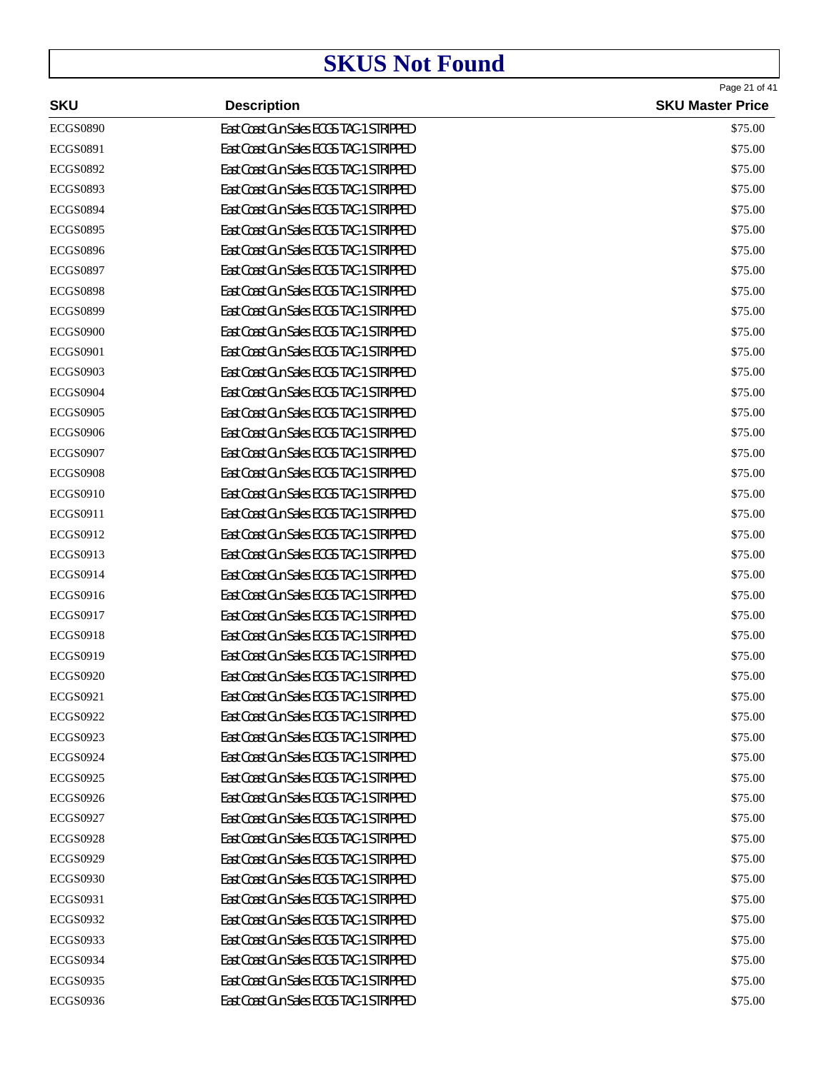|                 |                                          | Page 21 of 41           |
|-----------------|------------------------------------------|-------------------------|
| <b>SKU</b>      | <b>Description</b>                       | <b>SKU Master Price</b> |
| <b>ECGS0890</b> | East Coast Gun Sales ECGS TAC-1 STRIPPED | \$75.00                 |
| <b>ECGS0891</b> | East Coast Gun Sales ECGS TAC-1 STRIPPED | \$75.00                 |
| <b>ECGS0892</b> | East Coast Gun Sales ECGS TAC-1 STRIPPED | \$75.00                 |
| <b>ECGS0893</b> | East Coast Gun Sales ECGS TAC-1 STRIPPED | \$75.00                 |
| <b>ECGS0894</b> | East Coast Gun Sales ECGS TAC-1 STRIPPED | \$75.00                 |
| <b>ECGS0895</b> | East Coast Gun Sales ECGS TAC-1 STRIPPED | \$75.00                 |
| <b>ECGS0896</b> | East Coast Gun Sales ECGS TAC-1 STRIPPED | \$75.00                 |
| <b>ECGS0897</b> | East Coast Gun Sales ECGS TAC-1 STRIPPED | \$75.00                 |
| <b>ECGS0898</b> | East Coast Gun Sales ECGS TAC-1 STRIPPED | \$75.00                 |
| <b>ECGS0899</b> | East Coast Gun Sales ECGS TAC-1 STRIPPED | \$75.00                 |
| <b>ECGS0900</b> | East Coast Gun Sales ECGS TAC-1 STRIPPED | \$75.00                 |
| <b>ECGS0901</b> | East Coast Gun Sales ECGS TAC-1 STRIPPED | \$75.00                 |
| <b>ECGS0903</b> | East Coast Gun Sales ECGS TAC-1 STRIPPED | \$75.00                 |
| <b>ECGS0904</b> | East Coast Gun Sales ECGS TAC-1 STRIPPED | \$75.00                 |
| <b>ECGS0905</b> | East Coast Gun Sales ECGS TAC-1 STRIPPED | \$75.00                 |
| <b>ECGS0906</b> | East Coast Gun Sales ECGS TAC-1 STRIPPED | \$75.00                 |
| <b>ECGS0907</b> | East Coast Gun Sales ECGS TAC-1 STRIPPED | \$75.00                 |
| <b>ECGS0908</b> | East Coast Gun Sales ECGS TAC-1 STRIPPED | \$75.00                 |
| <b>ECGS0910</b> | East Coast Gun Sales ECGS TAC-1 STRIPPED | \$75.00                 |
| <b>ECGS0911</b> | East Coast Gun Sales ECGS TAC-1 STRIPPED | \$75.00                 |
| <b>ECGS0912</b> | East Coast Gun Sales ECGS TAC-1 STRIPPED | \$75.00                 |
| ECGS0913        | East Coast Gun Sales ECGS TAC-1 STRIPPED | \$75.00                 |
| <b>ECGS0914</b> | East Coast Gun Sales ECGS TAC-1 STRIPPED | \$75.00                 |
| <b>ECGS0916</b> | East Coast Gun Sales ECGS TAC-1 STRIPPED | \$75.00                 |
| <b>ECGS0917</b> | East Coast Gun Sales ECGS TAC-1 STRIPPED | \$75.00                 |
| <b>ECGS0918</b> | East Coast Gun Sales ECGS TAC-1 STRIPPED | \$75.00                 |
| <b>ECGS0919</b> | East Coast Gun Sales ECGS TAC-1 STRIPPED | \$75.00                 |
| <b>ECGS0920</b> | East Coast Gun Sales ECGS TAC-1 STRIPPED | \$75.00                 |
| <b>ECGS0921</b> | East Coast Gun Sales ECGS TAC-1 STRIPPED | \$75.00                 |
| <b>ECGS0922</b> | East Coast Gun Sales ECGS TAC-1 STRIPPED | \$75.00                 |
| <b>ECGS0923</b> | East Coast Gun Sales ECGS TAC-1 STRIPPED | \$75.00                 |
| <b>ECGS0924</b> | East Coast Gun Sales ECGS TAC-1 STRIPPED | \$75.00                 |
| <b>ECGS0925</b> | East Coast Gun Sales ECGS TAC-1 STRIPPED | \$75.00                 |
| <b>ECGS0926</b> | East Coast Gun Sales ECGS TAC-1 STRIPPED | \$75.00                 |
| <b>ECGS0927</b> | East Coast Gun Sales ECGS TAC-1 STRIPPED | \$75.00                 |
| <b>ECGS0928</b> | East Coast Gun Sales ECGS TAC-1 STRIPPED | \$75.00                 |
| <b>ECGS0929</b> | East Coast Gun Sales ECGS TAC-1 STRIPPED | \$75.00                 |
| <b>ECGS0930</b> | East Coast Gun Sales ECGS TAC-1 STRIPPED | \$75.00                 |
| <b>ECGS0931</b> | East Coast Gun Sales ECGS TAC-1 STRIPPED | \$75.00                 |
| <b>ECGS0932</b> | East Coast Gun Sales ECGS TAC-1 STRIPPED | \$75.00                 |
| <b>ECGS0933</b> | East Coast Gun Sales ECGS TAC-1 STRIPPED | \$75.00                 |
| <b>ECGS0934</b> | East Coast Gun Sales ECGS TAC-1 STRIPPED | \$75.00                 |
| <b>ECGS0935</b> | East Coast Gun Sales ECGS TAC-1 STRIPPED | \$75.00                 |
| <b>ECGS0936</b> | East Coast Gun Sales ECGS TAC-1 STRIPPED | \$75.00                 |
|                 |                                          |                         |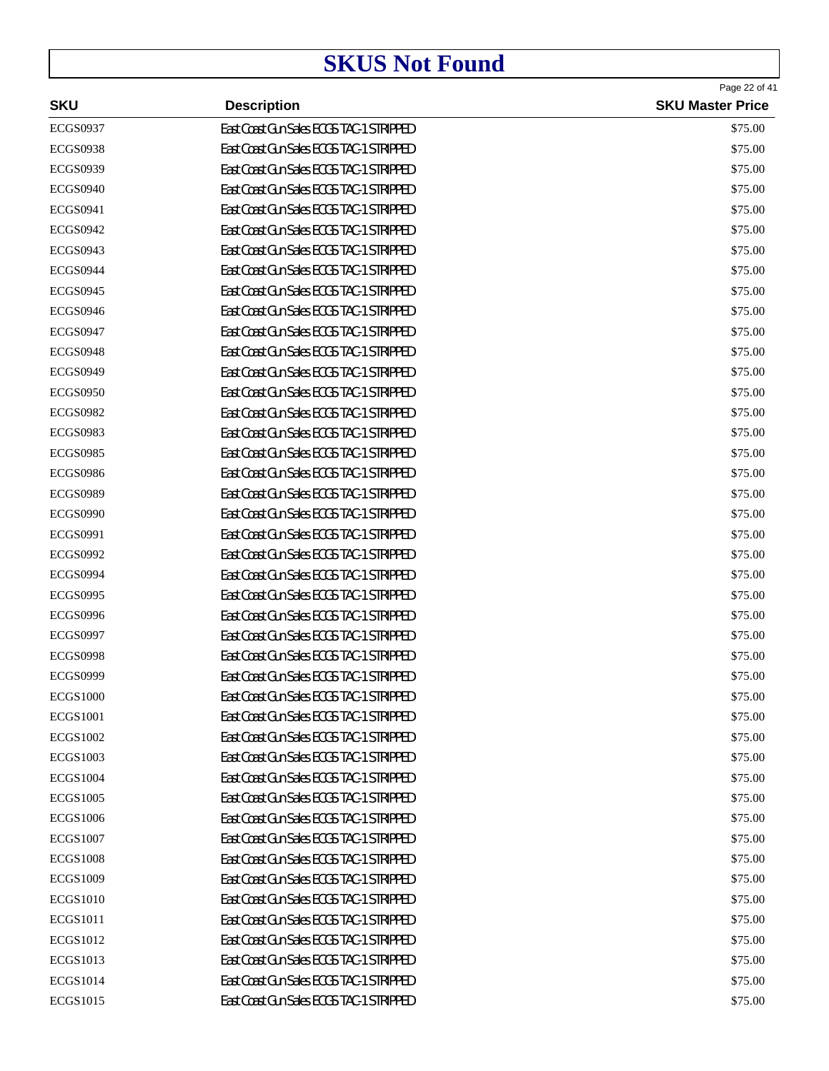| <b>SKU</b>      | <b>Description</b>                       | Page 22 of 41<br><b>SKU Master Price</b> |
|-----------------|------------------------------------------|------------------------------------------|
| <b>ECGS0937</b> | East Coast Gun Sales ECGS TAC-1 STRIPPED | \$75.00                                  |
| <b>ECGS0938</b> | East Coast Gun Sales ECGS TAC-1 STRIPPED | \$75.00                                  |
| <b>ECGS0939</b> | East Coast Gun Sales ECGS TAC-1 STRIPPED | \$75.00                                  |
| <b>ECGS0940</b> | East Coast Gun Sales ECGS TAC-1 STRIPPED | \$75.00                                  |
| <b>ECGS0941</b> | East Coast Gun Sales ECGS TAC-1 STRIPPED | \$75.00                                  |
| <b>ECGS0942</b> | East Coast Gun Sales ECGS TAC-1 STRIPPED | \$75.00                                  |
| <b>ECGS0943</b> | East Coast Gun Sales ECGS TAC-1 STRIPPED | \$75.00                                  |
| <b>ECGS0944</b> | East Coast Gun Sales ECGS TAC-1 STRIPPED | \$75.00                                  |
| <b>ECGS0945</b> | East Coast Gun Sales ECGS TAC-1 STRIPPED | \$75.00                                  |
| <b>ECGS0946</b> | East Coast Gun Sales ECGS TAC-1 STRIPPED | \$75.00                                  |
| <b>ECGS0947</b> | East Coast Gun Sales ECGS TAC-1 STRIPPED | \$75.00                                  |
| <b>ECGS0948</b> | East Coast Gun Sales ECGS TAC-1 STRIPPED | \$75.00                                  |
| <b>ECGS0949</b> | East Coast Gun Sales ECGS TAC-1 STRIPPED | \$75.00                                  |
| <b>ECGS0950</b> | East Coast Gun Sales ECGS TAC-1 STRIPPED | \$75.00                                  |
| <b>ECGS0982</b> | East Coast Gun Sales ECGS TAC-1 STRIPPED | \$75.00                                  |
| <b>ECGS0983</b> | East Coast Gun Sales ECGS TAC-1 STRIPPED | \$75.00                                  |
| <b>ECGS0985</b> | East Coast Gun Sales ECGS TAC-1 STRIPPED | \$75.00                                  |
| <b>ECGS0986</b> | East Coast Gun Sales ECGS TAC-1 STRIPPED | \$75.00                                  |
| <b>ECGS0989</b> | East Coast Gun Sales ECGS TAC-1 STRIPPED | \$75.00                                  |
| <b>ECGS0990</b> | East Coast Gun Sales ECGS TAC-1 STRIPPED | \$75.00                                  |
| <b>ECGS0991</b> | East Coast Gun Sales ECGS TAC-1 STRIPPED | \$75.00                                  |
| <b>ECGS0992</b> | East Coast Gun Sales ECGS TAC-1 STRIPPED | \$75.00                                  |
| <b>ECGS0994</b> | East Coast Gun Sales ECGS TAC-1 STRIPPED | \$75.00                                  |
| <b>ECGS0995</b> | East Coast Gun Sales ECGS TAC-1 STRIPPED | \$75.00                                  |
| <b>ECGS0996</b> | East Coast Gun Sales ECGS TAC-1 STRIPPED | \$75.00                                  |
| <b>ECGS0997</b> | East Coast Gun Sales ECGS TAC-1 STRIPPED | \$75.00                                  |
| <b>ECGS0998</b> | East Coast Gun Sales ECGS TAC-1 STRIPPED | \$75.00                                  |
| <b>ECGS0999</b> | East Coast Gun Sales ECGS TAC-1 STRIPPED | \$75.00                                  |
| <b>ECGS1000</b> | East Coast Gun Sales ECGS TAC-1 STRIPPED | \$75.00                                  |
| <b>ECGS1001</b> | East Coast Gun Sales ECGS TAC-1 STRIPPED | \$75.00                                  |
| <b>ECGS1002</b> | East Coast Gun Sales ECGS TAC-1 STRIPPED | \$75.00                                  |
| <b>ECGS1003</b> | East Coast Gun Sales ECGS TAC-1 STRIPPED | \$75.00                                  |
| <b>ECGS1004</b> | East Coast Gun Sales ECGS TAC-1 STRIPPED | \$75.00                                  |
| <b>ECGS1005</b> | East Coast Gun Sales ECGS TAC-1 STRIPPED | \$75.00                                  |
| <b>ECGS1006</b> | East Coast Gun Sales ECGS TAC-1 STRIPPED | \$75.00                                  |
| <b>ECGS1007</b> | East Coast Gun Sales ECGS TAC-1 STRIPPED | \$75.00                                  |
| <b>ECGS1008</b> | East Coast Gun Sales ECGS TAC-1 STRIPPED | \$75.00                                  |
| <b>ECGS1009</b> | East Coast Gun Sales ECGS TAC-1 STRIPPED | \$75.00                                  |
| <b>ECGS1010</b> | East Coast Gun Sales ECGS TAC-1 STRIPPED | \$75.00                                  |
| ECGS1011        | East Coast Gun Sales ECGS TAC-1 STRIPPED | \$75.00                                  |
| <b>ECGS1012</b> | East Coast Gun Sales ECGS TAC-1 STRIPPED | \$75.00                                  |
| <b>ECGS1013</b> | East Coast Gun Sales ECGS TAC-1 STRIPPED | \$75.00                                  |
| <b>ECGS1014</b> | East Coast Gun Sales ECGS TAC-1 STRIPPED | \$75.00                                  |
| ECGS1015        | East Coast Gun Sales ECGS TAC-1 STRIPPED | \$75.00                                  |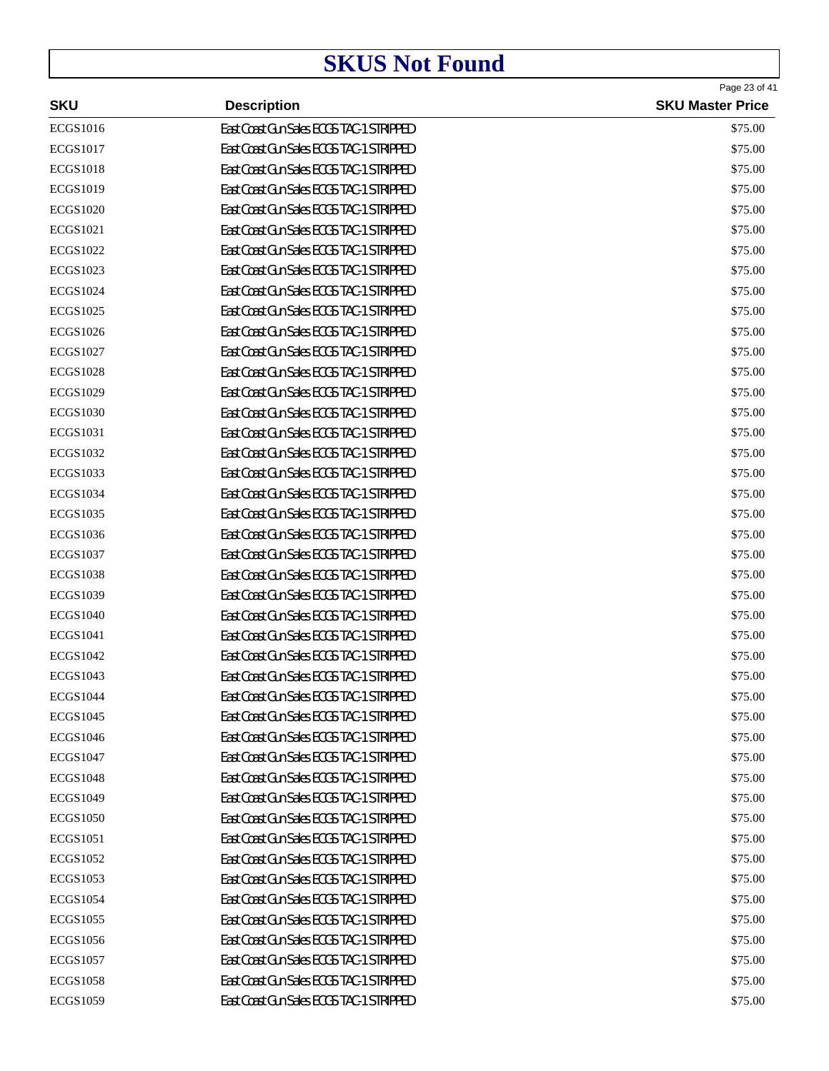| <b>SKU</b>      | <b>Description</b>                       | Page 23 of 41<br><b>SKU Master Price</b> |
|-----------------|------------------------------------------|------------------------------------------|
| <b>ECGS1016</b> | East Coast Gun Sales ECGS TAC-1 STRIPPED | \$75.00                                  |
| ECGS1017        | East Coast Gun Sales ECGS TAC-1 STRIPPED | \$75.00                                  |
| <b>ECGS1018</b> | East Coast Gun Sales ECGS TAC-1 STRIPPED | \$75.00                                  |
| <b>ECGS1019</b> | East Coast Gun Sales ECGS TAC-1 STRIPPED | \$75.00                                  |
| <b>ECGS1020</b> | East Coast Gun Sales ECGS TAC-1 STRIPPED | \$75.00                                  |
| <b>ECGS1021</b> | East Coast Gun Sales ECGS TAC-1 STRIPPED | \$75.00                                  |
| <b>ECGS1022</b> | East Coast Gun Sales ECGS TAC-1 STRIPPED | \$75.00                                  |
| ECGS1023        | East Coast Gun Sales ECGS TAC-1 STRIPPED | \$75.00                                  |
| <b>ECGS1024</b> | East Coast Gun Sales ECGS TAC-1 STRIPPED | \$75.00                                  |
| <b>ECGS1025</b> | East Coast Gun Sales ECGS TAC-1 STRIPPED | \$75.00                                  |
| <b>ECGS1026</b> | East Coast Gun Sales ECGS TAC-1 STRIPPED | \$75.00                                  |
| ECGS1027        | East Coast Gun Sales ECGS TAC-1 STRIPPED | \$75.00                                  |
| <b>ECGS1028</b> | East Coast Gun Sales ECGS TAC-1 STRIPPED | \$75.00                                  |
| <b>ECGS1029</b> | East Coast Gun Sales ECGS TAC-1 STRIPPED | \$75.00                                  |
| <b>ECGS1030</b> | East Coast Gun Sales ECGS TAC-1 STRIPPED | \$75.00                                  |
| ECGS1031        | East Coast Gun Sales ECGS TAC-1 STRIPPED | \$75.00                                  |
| <b>ECGS1032</b> | East Coast Gun Sales ECGS TAC-1 STRIPPED | \$75.00                                  |
| <b>ECGS1033</b> | East Coast Gun Sales ECGS TAC-1 STRIPPED | \$75.00                                  |
| <b>ECGS1034</b> | East Coast Gun Sales ECGS TAC-1 STRIPPED | \$75.00                                  |
| ECGS1035        | East Coast Gun Sales ECGS TAC-1 STRIPPED | \$75.00                                  |
| <b>ECGS1036</b> | East Coast Gun Sales ECGS TAC-1 STRIPPED | \$75.00                                  |
| <b>ECGS1037</b> | East Coast Gun Sales ECGS TAC-1 STRIPPED | \$75.00                                  |
| <b>ECGS1038</b> | East Coast Gun Sales ECGS TAC-1 STRIPPED | \$75.00                                  |
| ECGS1039        | East Coast Gun Sales ECGS TAC-1 STRIPPED | \$75.00                                  |
| <b>ECGS1040</b> | East Coast Gun Sales ECGS TAC-1 STRIPPED | \$75.00                                  |
| ECGS1041        | East Coast Gun Sales ECGS TAC-1 STRIPPED | \$75.00                                  |
| <b>ECGS1042</b> | East Coast Gun Sales ECGS TAC-1 STRIPPED | \$75.00                                  |
| ECGS1043        | East Coast Gun Sales ECGS TAC-1 STRIPPED | \$75.00                                  |
| <b>ECGS1044</b> | East Coast Gun Sales ECGS TAC-1 STRIPPED | \$75.00                                  |
| <b>ECGS1045</b> | East Coast Gun Sales ECGS TAC-1 STRIPPED | \$75.00                                  |
| <b>ECGS1046</b> | East Coast Gun Sales ECGS TAC-1 STRIPPED | \$75.00                                  |
| <b>ECGS1047</b> | East Coast Gun Sales ECGS TAC-1 STRIPPED | \$75.00                                  |
| <b>ECGS1048</b> | East Coast Gun Sales ECGS TAC-1 STRIPPED | \$75.00                                  |
| <b>ECGS1049</b> | East Coast Gun Sales ECGS TAC-1 STRIPPED | \$75.00                                  |
| <b>ECGS1050</b> | East Coast Gun Sales ECGS TAC-1 STRIPPED | \$75.00                                  |
| <b>ECGS1051</b> | East Coast Gun Sales ECGS TAC-1 STRIPPED | \$75.00                                  |
| <b>ECGS1052</b> | East Coast Gun Sales ECGS TAC-1 STRIPPED | \$75.00                                  |
| ECGS1053        | East Coast Gun Sales ECGS TAC-1 STRIPPED | \$75.00                                  |
| <b>ECGS1054</b> | East Coast Gun Sales ECGS TAC-1 STRIPPED | \$75.00                                  |
| <b>ECGS1055</b> | East Coast Gun Sales ECGS TAC-1 STRIPPED | \$75.00                                  |
| ECGS1056        | East Coast Gun Sales ECGS TAC-1 STRIPPED | \$75.00                                  |
| <b>ECGS1057</b> | East Coast Gun Sales ECGS TAC-1 STRIPPED | \$75.00                                  |
| <b>ECGS1058</b> | East Coast Gun Sales ECGS TAC-1 STRIPPED | \$75.00                                  |
| <b>ECGS1059</b> | East Coast Gun Sales ECGS TAC-1 STRIPPED | \$75.00                                  |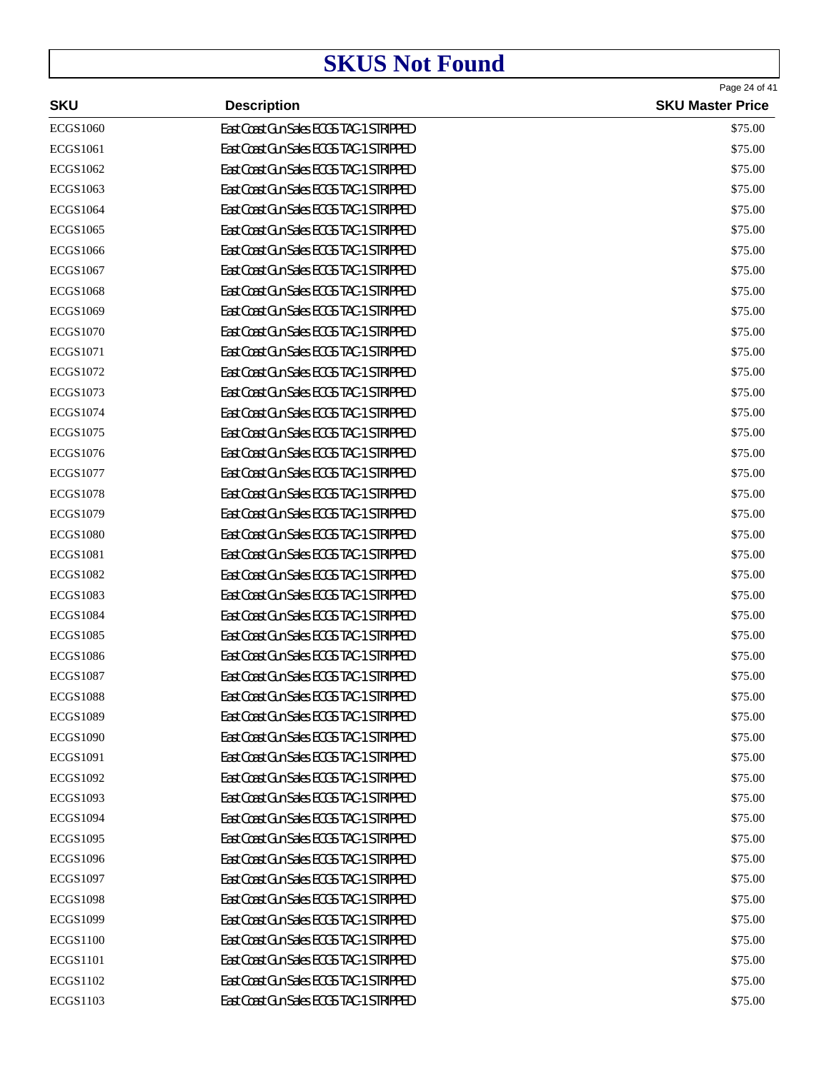| <b>SKU</b>      | <b>Description</b>                       | Page 24 of 41<br><b>SKU Master Price</b> |
|-----------------|------------------------------------------|------------------------------------------|
| <b>ECGS1060</b> | East Coast Gun Sales ECGS TAC-1 STRIPPED | \$75.00                                  |
| <b>ECGS1061</b> | East Coast Gun Sales ECGS TAC-1 STRIPPED | \$75.00                                  |
| <b>ECGS1062</b> | East Coast Gun Sales ECGS TAC-1 STRIPPED | \$75.00                                  |
| <b>ECGS1063</b> | East Coast Gun Sales ECGS TAC-1 STRIPPED | \$75.00                                  |
| <b>ECGS1064</b> | East Coast Gun Sales ECGS TAC-1 STRIPPED | \$75.00                                  |
| <b>ECGS1065</b> | East Coast Gun Sales ECGS TAC-1 STRIPPED | \$75.00                                  |
| <b>ECGS1066</b> | East Coast Gun Sales ECGS TAC-1 STRIPPED | \$75.00                                  |
| <b>ECGS1067</b> | East Coast Gun Sales ECGS TAC-1 STRIPPED | \$75.00                                  |
| <b>ECGS1068</b> | East Coast Gun Sales ECGS TAC-1 STRIPPED | \$75.00                                  |
| <b>ECGS1069</b> | East Coast Gun Sales ECGS TAC-1 STRIPPED | \$75.00                                  |
| <b>ECGS1070</b> | East Coast Gun Sales ECGS TAC-1 STRIPPED | \$75.00                                  |
| ECGS1071        | East Coast Gun Sales ECGS TAC-1 STRIPPED | \$75.00                                  |
| <b>ECGS1072</b> | East Coast Gun Sales ECGS TAC-1 STRIPPED | \$75.00                                  |
| <b>ECGS1073</b> | East Coast Gun Sales ECGS TAC-1 STRIPPED | \$75.00                                  |
| <b>ECGS1074</b> | East Coast Gun Sales ECGS TAC-1 STRIPPED | \$75.00                                  |
| ECGS1075        | East Coast Gun Sales ECGS TAC-1 STRIPPED | \$75.00                                  |
| <b>ECGS1076</b> | East Coast Gun Sales ECGS TAC-1 STRIPPED | \$75.00                                  |
| <b>ECGS1077</b> | East Coast Gun Sales ECGS TAC-1 STRIPPED | \$75.00                                  |
| <b>ECGS1078</b> | East Coast Gun Sales ECGS TAC-1 STRIPPED | \$75.00                                  |
| ECGS1079        | East Coast Gun Sales ECGS TAC-1 STRIPPED | \$75.00                                  |
| <b>ECGS1080</b> | East Coast Gun Sales ECGS TAC-1 STRIPPED | \$75.00                                  |
| <b>ECGS1081</b> | East Coast Gun Sales ECGS TAC-1 STRIPPED | \$75.00                                  |
| <b>ECGS1082</b> | East Coast Gun Sales ECGS TAC-1 STRIPPED | \$75.00                                  |
| <b>ECGS1083</b> | East Coast Gun Sales ECGS TAC-1 STRIPPED | \$75.00                                  |
| <b>ECGS1084</b> | East Coast Gun Sales ECGS TAC-1 STRIPPED | \$75.00                                  |
| <b>ECGS1085</b> | East Coast Gun Sales ECGS TAC-1 STRIPPED | \$75.00                                  |
| <b>ECGS1086</b> | East Coast Gun Sales ECGS TAC-1 STRIPPED | \$75.00                                  |
| <b>ECGS1087</b> | East Coast Gun Sales ECGS TAC-1 STRIPPED | \$75.00                                  |
| <b>ECGS1088</b> | East Coast Gun Sales ECGS TAC-1 STRIPPED | \$75.00                                  |
| <b>ECGS1089</b> | East Coast Gun Sales ECGS TAC-1 STRIPPED | \$75.00                                  |
| <b>ECGS1090</b> | East Coast Gun Sales ECGS TAC-1 STRIPPED | \$75.00                                  |
| <b>ECGS1091</b> | East Coast Gun Sales ECGS TAC-1 STRIPPED | \$75.00                                  |
| <b>ECGS1092</b> | East Coast Gun Sales ECGS TAC-1 STRIPPED | \$75.00                                  |
| <b>ECGS1093</b> | East Coast Gun Sales ECGS TAC-1 STRIPPED | \$75.00                                  |
| <b>ECGS1094</b> | East Coast Gun Sales ECGS TAC-1 STRIPPED | \$75.00                                  |
| <b>ECGS1095</b> | East Coast Gun Sales ECGS TAC-1 STRIPPED | \$75.00                                  |
| <b>ECGS1096</b> | East Coast Gun Sales ECGS TAC-1 STRIPPED | \$75.00                                  |
| <b>ECGS1097</b> | East Coast Gun Sales ECGS TAC-1 STRIPPED | \$75.00                                  |
| <b>ECGS1098</b> | East Coast Gun Sales ECGS TAC-1 STRIPPED | \$75.00                                  |
| <b>ECGS1099</b> | East Coast Gun Sales ECGS TAC-1 STRIPPED | \$75.00                                  |
| <b>ECGS1100</b> | East Coast Gun Sales ECGS TAC-1 STRIPPED | \$75.00                                  |
| <b>ECGS1101</b> | East Coast Gun Sales ECGS TAC-1 STRIPPED | \$75.00                                  |
| <b>ECGS1102</b> | East Coast Gun Sales ECGS TAC-1 STRIPPED | \$75.00                                  |
| ECGS1103        | East Coast Gun Sales ECGS TAC-1 STRIPPED | \$75.00                                  |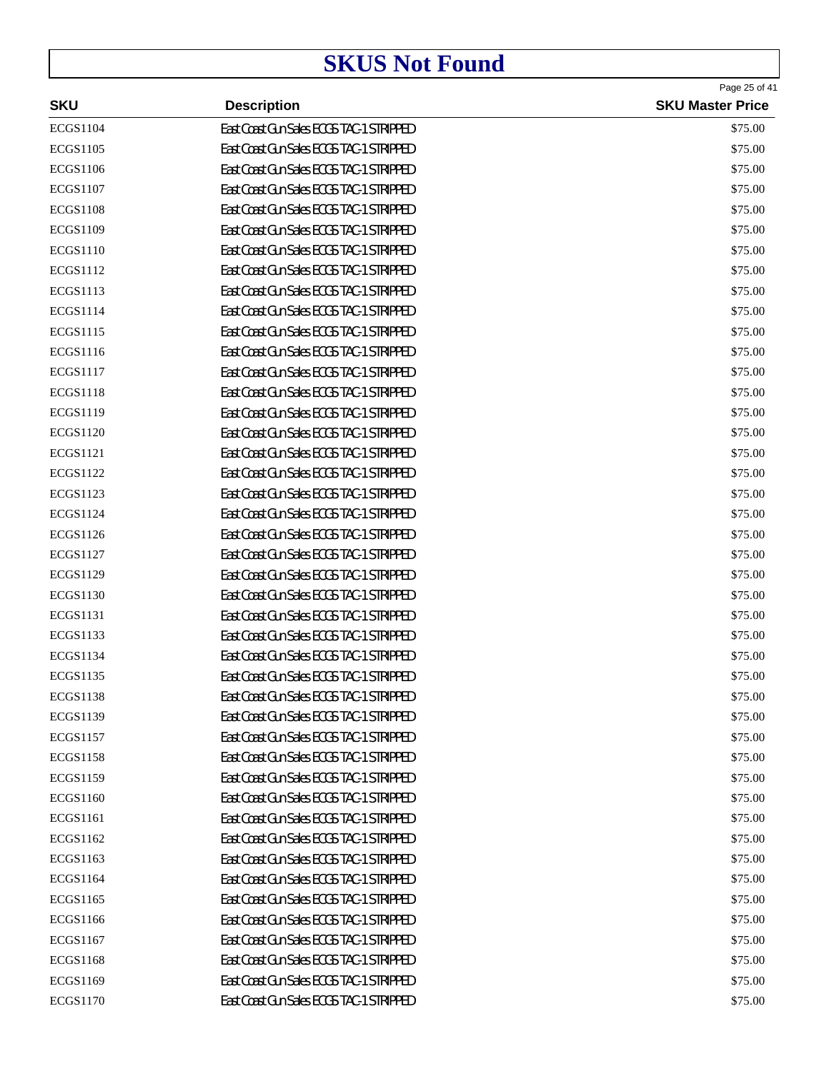|                 |                                          | Page 25 of 41           |
|-----------------|------------------------------------------|-------------------------|
| <b>SKU</b>      | <b>Description</b>                       | <b>SKU Master Price</b> |
| ECGS1104        | East Coast Gun Sales ECGS TAC-1 STRIPPED | \$75.00                 |
| ECGS1105        | East Coast Gun Sales ECGS TAC-1 STRIPPED | \$75.00                 |
| <b>ECGS1106</b> | East Coast Gun Sales ECGS TAC-1 STRIPPED | \$75.00                 |
| ECGS1107        | East Coast Gun Sales ECGS TAC-1 STRIPPED | \$75.00                 |
| <b>ECGS1108</b> | East Coast Gun Sales ECGS TAC-1 STRIPPED | \$75.00                 |
| <b>ECGS1109</b> | East Coast Gun Sales ECGS TAC-1 STRIPPED | \$75.00                 |
| <b>ECGS1110</b> | East Coast Gun Sales ECGS TAC-1 STRIPPED | \$75.00                 |
| ECGS1112        | East Coast Gun Sales ECGS TAC-1 STRIPPED | \$75.00                 |
| ECGS1113        | East Coast Gun Sales ECGS TAC-1 STRIPPED | \$75.00                 |
| ECGS1114        | East Coast Gun Sales ECGS TAC-1 STRIPPED | \$75.00                 |
| ECGS1115        | East Coast Gun Sales ECGS TAC-1 STRIPPED | \$75.00                 |
| ECGS1116        | East Coast Gun Sales ECGS TAC-1 STRIPPED | \$75.00                 |
| <b>ECGS1117</b> | East Coast Gun Sales ECGS TAC-1 STRIPPED | \$75.00                 |
| <b>ECGS1118</b> | East Coast Gun Sales ECGS TAC-1 STRIPPED | \$75.00                 |
| ECGS1119        | East Coast Gun Sales ECGS TAC-1 STRIPPED | \$75.00                 |
| ECGS1120        | East Coast Gun Sales ECGS TAC-1 STRIPPED | \$75.00                 |
| ECGS1121        | East Coast Gun Sales ECGS TAC-1 STRIPPED | \$75.00                 |
| ECGS1122        | East Coast Gun Sales ECGS TAC-1 STRIPPED | \$75.00                 |
| ECGS1123        | East Coast Gun Sales ECGS TAC-1 STRIPPED | \$75.00                 |
| ECGS1124        | East Coast Gun Sales ECGS TAC-1 STRIPPED | \$75.00                 |
| ECGS1126        | East Coast Gun Sales ECGS TAC-1 STRIPPED | \$75.00                 |
| <b>ECGS1127</b> | East Coast Gun Sales ECGS TAC-1 STRIPPED | \$75.00                 |
| ECGS1129        | East Coast Gun Sales ECGS TAC-1 STRIPPED | \$75.00                 |
| ECGS1130        | East Coast Gun Sales ECGS TAC-1 STRIPPED | \$75.00                 |
| <b>ECGS1131</b> | East Coast Gun Sales ECGS TAC-1 STRIPPED | \$75.00                 |
| ECGS1133        | East Coast Gun Sales ECGS TAC-1 STRIPPED | \$75.00                 |
| ECGS1134        | East Coast Gun Sales ECGS TAC-1 STRIPPED | \$75.00                 |
| <b>ECGS1135</b> | East Coast Gun Sales ECGS TAC-1 STRIPPED | \$75.00                 |
| <b>ECGS1138</b> | East Coast Gun Sales ECGS TAC-1 STRIPPED | \$75.00                 |
| ECGS1139        | East Coast Gun Sales ECGS TAC-1 STRIPPED | \$75.00                 |
| ECGS1157        | East Coast Gun Sales ECGS TAC-1 STRIPPED | \$75.00                 |
| <b>ECGS1158</b> | East Coast Gun Sales ECGS TAC-1 STRIPPED | \$75.00                 |
| ECGS1159        | East Coast Gun Sales ECGS TAC-1 STRIPPED | \$75.00                 |
| ECGS1160        | East Coast Gun Sales ECGS TAC-1 STRIPPED | \$75.00                 |
| ECGS1161        | East Coast Gun Sales ECGS TAC-1 STRIPPED | \$75.00                 |
| ECGS1162        | East Coast Gun Sales ECGS TAC-1 STRIPPED | \$75.00                 |
| ECGS1163        | East Coast Gun Sales ECGS TAC-1 STRIPPED | \$75.00                 |
| ECGS1164        | East Coast Gun Sales ECGS TAC-1 STRIPPED | \$75.00                 |
| ECGS1165        | East Coast Gun Sales ECGS TAC-1 STRIPPED | \$75.00                 |
| ECGS1166        | East Coast Gun Sales ECGS TAC-1 STRIPPED | \$75.00                 |
| ECGS1167        | East Coast Gun Sales ECGS TAC-1 STRIPPED | \$75.00                 |
| <b>ECGS1168</b> | East Coast Gun Sales ECGS TAC-1 STRIPPED | \$75.00                 |
| ECGS1169        | East Coast Gun Sales ECGS TAC-1 STRIPPED | \$75.00                 |
| <b>ECGS1170</b> | East Coast Gun Sales ECGS TAC-1 STRIPPED | \$75.00                 |
|                 |                                          |                         |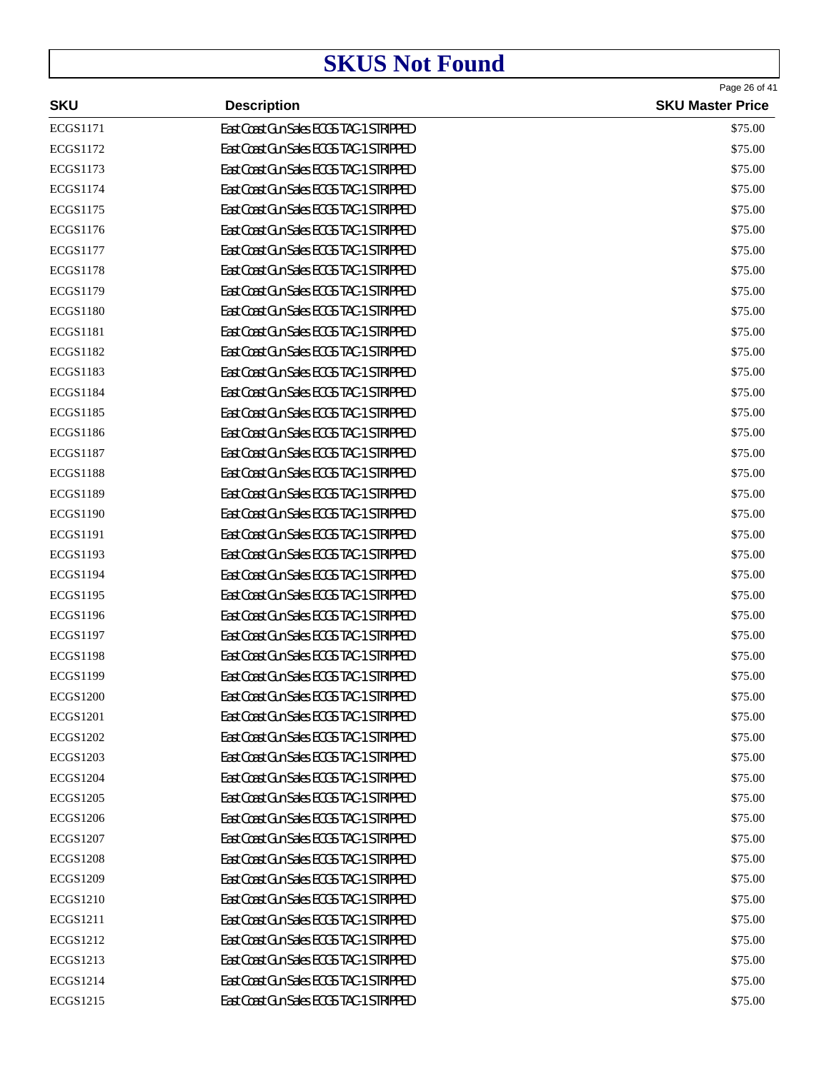| <b>SKU</b>      | <b>Description</b>                       | Page 26 of 41<br><b>SKU Master Price</b> |
|-----------------|------------------------------------------|------------------------------------------|
| <b>ECGS1171</b> | East Coast Gun Sales ECGS TAC-1 STRIPPED | \$75.00                                  |
| ECGS1172        | East Coast Gun Sales ECGS TAC-1 STRIPPED | \$75.00                                  |
| <b>ECGS1173</b> | East Coast Gun Sales ECGS TAC-1 STRIPPED | \$75.00                                  |
| <b>ECGS1174</b> | East Coast Gun Sales ECGS TAC-1 STRIPPED | \$75.00                                  |
| <b>ECGS1175</b> | East Coast Gun Sales ECGS TAC-1 STRIPPED | \$75.00                                  |
| <b>ECGS1176</b> | East Coast Gun Sales ECGS TAC-1 STRIPPED | \$75.00                                  |
| <b>ECGS1177</b> | East Coast Gun Sales ECGS TAC-1 STRIPPED | \$75.00                                  |
| <b>ECGS1178</b> | East Coast Gun Sales ECGS TAC-1 STRIPPED | \$75.00                                  |
| <b>ECGS1179</b> | East Coast Gun Sales ECGS TAC-1 STRIPPED | \$75.00                                  |
| <b>ECGS1180</b> | East Coast Gun Sales ECGS TAC-1 STRIPPED | \$75.00                                  |
| <b>ECGS1181</b> | East Coast Gun Sales ECGS TAC-1 STRIPPED | \$75.00                                  |
| <b>ECGS1182</b> | East Coast Gun Sales ECGS TAC-1 STRIPPED | \$75.00                                  |
| <b>ECGS1183</b> | East Coast Gun Sales ECGS TAC-1 STRIPPED | \$75.00                                  |
| <b>ECGS1184</b> | East Coast Gun Sales ECGS TAC-1 STRIPPED | \$75.00                                  |
| <b>ECGS1185</b> | East Coast Gun Sales ECGS TAC-1 STRIPPED | \$75.00                                  |
| <b>ECGS1186</b> | East Coast Gun Sales ECGS TAC-1 STRIPPED | \$75.00                                  |
| <b>ECGS1187</b> | East Coast Gun Sales ECGS TAC-1 STRIPPED | \$75.00                                  |
| <b>ECGS1188</b> | East Coast Gun Sales ECGS TAC-1 STRIPPED | \$75.00                                  |
| <b>ECGS1189</b> | East Coast Gun Sales ECGS TAC-1 STRIPPED | \$75.00                                  |
| <b>ECGS1190</b> | East Coast Gun Sales ECGS TAC-1 STRIPPED | \$75.00                                  |
| <b>ECGS1191</b> | East Coast Gun Sales ECGS TAC-1 STRIPPED | \$75.00                                  |
| <b>ECGS1193</b> | East Coast Gun Sales ECGS TAC-1 STRIPPED | \$75.00                                  |
| <b>ECGS1194</b> | East Coast Gun Sales ECGS TAC-1 STRIPPED | \$75.00                                  |
| <b>ECGS1195</b> | East Coast Gun Sales ECGS TAC-1 STRIPPED | \$75.00                                  |
| <b>ECGS1196</b> | East Coast Gun Sales ECGS TAC-1 STRIPPED | \$75.00                                  |
| ECGS1197        | East Coast Gun Sales ECGS TAC-1 STRIPPED | \$75.00                                  |
| <b>ECGS1198</b> | East Coast Gun Sales ECGS TAC-1 STRIPPED | \$75.00                                  |
| <b>ECGS1199</b> | East Coast Gun Sales ECGS TAC-1 STRIPPED | \$75.00                                  |
| <b>ECGS1200</b> | East Coast Gun Sales ECGS TAC-1 STRIPPED | \$75.00                                  |
| <b>ECGS1201</b> | East Coast Gun Sales ECGS TAC-1 STRIPPED | \$75.00                                  |
| ECGS1202        | East Coast Gun Sales ECGS TAC-1 STRIPPED | \$75.00                                  |
| <b>ECGS1203</b> | East Coast Gun Sales ECGS TAC-1 STRIPPED | \$75.00                                  |
| <b>ECGS1204</b> | East Coast Gun Sales ECGS TAC-1 STRIPPED | \$75.00                                  |
| <b>ECGS1205</b> | East Coast Gun Sales ECGS TAC-1 STRIPPED | \$75.00                                  |
| <b>ECGS1206</b> | East Coast Gun Sales ECGS TAC-1 STRIPPED | \$75.00                                  |
| <b>ECGS1207</b> | East Coast Gun Sales ECGS TAC-1 STRIPPED | \$75.00                                  |
| <b>ECGS1208</b> | East Coast Gun Sales ECGS TAC-1 STRIPPED | \$75.00                                  |
| <b>ECGS1209</b> | East Coast Gun Sales ECGS TAC-1 STRIPPED | \$75.00                                  |
| <b>ECGS1210</b> | East Coast Gun Sales ECGS TAC-1 STRIPPED | \$75.00                                  |
| <b>ECGS1211</b> | East Coast Gun Sales ECGS TAC-1 STRIPPED | \$75.00                                  |
| ECGS1212        | East Coast Gun Sales ECGS TAC-1 STRIPPED | \$75.00                                  |
| ECGS1213        | East Coast Gun Sales ECGS TAC-1 STRIPPED | \$75.00                                  |
| <b>ECGS1214</b> | East Coast Gun Sales ECGS TAC-1 STRIPPED | \$75.00                                  |
| ECGS1215        | East Coast Gun Sales ECGS TAC-1 STRIPPED | \$75.00                                  |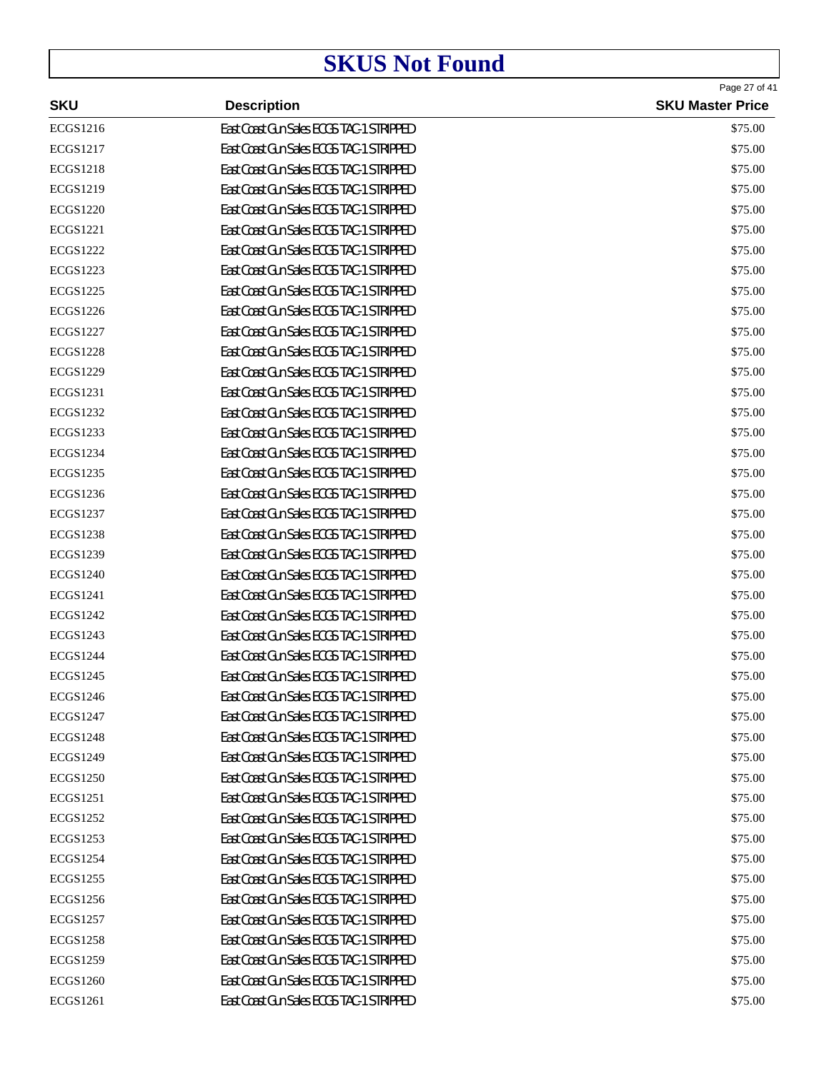|                 |                                          | Page 27 of 41           |
|-----------------|------------------------------------------|-------------------------|
| <b>SKU</b>      | <b>Description</b>                       | <b>SKU Master Price</b> |
| ECGS1216        | East Coast Gun Sales ECGS TAC-1 STRIPPED | \$75.00                 |
| ECGS1217        | East Coast Gun Sales ECGS TAC-1 STRIPPED | \$75.00                 |
| <b>ECGS1218</b> | East Coast Gun Sales ECGS TAC-1 STRIPPED | \$75.00                 |
| ECGS1219        | East Coast Gun Sales ECGS TAC-1 STRIPPED | \$75.00                 |
| <b>ECGS1220</b> | East Coast Gun Sales ECGS TAC-1 STRIPPED | \$75.00                 |
| ECGS1221        | East Coast Gun Sales ECGS TAC-1 STRIPPED | \$75.00                 |
| ECGS1222        | East Coast Gun Sales ECGS TAC-1 STRIPPED | \$75.00                 |
| ECGS1223        | East Coast Gun Sales ECGS TAC-1 STRIPPED | \$75.00                 |
| <b>ECGS1225</b> | East Coast Gun Sales ECGS TAC-1 STRIPPED | \$75.00                 |
| ECGS1226        | East Coast Gun Sales ECGS TAC-1 STRIPPED | \$75.00                 |
| ECGS1227        | East Coast Gun Sales ECGS TAC-1 STRIPPED | \$75.00                 |
| <b>ECGS1228</b> | East Coast Gun Sales ECGS TAC-1 STRIPPED | \$75.00                 |
| <b>ECGS1229</b> | East Coast Gun Sales ECGS TAC-1 STRIPPED | \$75.00                 |
| ECGS1231        | East Coast Gun Sales ECGS TAC-1 STRIPPED | \$75.00                 |
| ECGS1232        | East Coast Gun Sales ECGS TAC-1 STRIPPED | \$75.00                 |
| ECGS1233        | East Coast Gun Sales ECGS TAC-1 STRIPPED | \$75.00                 |
| ECGS1234        | East Coast Gun Sales ECGS TAC-1 STRIPPED | \$75.00                 |
| ECGS1235        | East Coast Gun Sales ECGS TAC-1 STRIPPED | \$75.00                 |
| ECGS1236        | East Coast Gun Sales ECGS TAC-1 STRIPPED | \$75.00                 |
| ECGS1237        | East Coast Gun Sales ECGS TAC-1 STRIPPED | \$75.00                 |
| <b>ECGS1238</b> | East Coast Gun Sales ECGS TAC-1 STRIPPED | \$75.00                 |
| ECGS1239        | East Coast Gun Sales ECGS TAC-1 STRIPPED | \$75.00                 |
| <b>ECGS1240</b> | East Coast Gun Sales ECGS TAC-1 STRIPPED | \$75.00                 |
| ECGS1241        | East Coast Gun Sales ECGS TAC-1 STRIPPED | \$75.00                 |
| ECGS1242        | East Coast Gun Sales ECGS TAC-1 STRIPPED | \$75.00                 |
| ECGS1243        | East Coast Gun Sales ECGS TAC-1 STRIPPED | \$75.00                 |
| <b>ECGS1244</b> | East Coast Gun Sales ECGS TAC-1 STRIPPED | \$75.00                 |
| <b>ECGS1245</b> | East Coast Gun Sales ECGS TAC-1 STRIPPED | \$75.00                 |
| <b>ECGS1246</b> | East Coast Gun Sales ECGS TAC-1 STRIPPED | \$75.00                 |
| ECGS1247        | East Coast Gun Sales ECGS TAC-1 STRIPPED | \$75.00                 |
| <b>ECGS1248</b> | East Coast Gun Sales ECGS TAC-1 STRIPPED | \$75.00                 |
| ECGS1249        | East Coast Gun Sales ECGS TAC-1 STRIPPED | \$75.00                 |
| <b>ECGS1250</b> | East Coast Gun Sales ECGS TAC-1 STRIPPED | \$75.00                 |
| ECGS1251        | East Coast Gun Sales ECGS TAC-1 STRIPPED | \$75.00                 |
| ECGS1252        | East Coast Gun Sales ECGS TAC-1 STRIPPED | \$75.00                 |
| ECGS1253        | East Coast Gun Sales ECGS TAC-1 STRIPPED | \$75.00                 |
| ECGS1254        | East Coast Gun Sales ECGS TAC-1 STRIPPED | \$75.00                 |
| ECGS1255        | East Coast Gun Sales ECGS TAC-1 STRIPPED | \$75.00                 |
| ECGS1256        | East Coast Gun Sales ECGS TAC-1 STRIPPED | \$75.00                 |
| ECGS1257        | East Coast Gun Sales ECGS TAC-1 STRIPPED | \$75.00                 |
| <b>ECGS1258</b> | East Coast Gun Sales ECGS TAC-1 STRIPPED | \$75.00                 |
| ECGS1259        | East Coast Gun Sales ECGS TAC-1 STRIPPED | \$75.00                 |
| <b>ECGS1260</b> | East Coast Gun Sales ECGS TAC-1 STRIPPED | \$75.00                 |
| ECGS1261        | East Coast Gun Sales ECGS TAC-1 STRIPPED | \$75.00                 |
|                 |                                          |                         |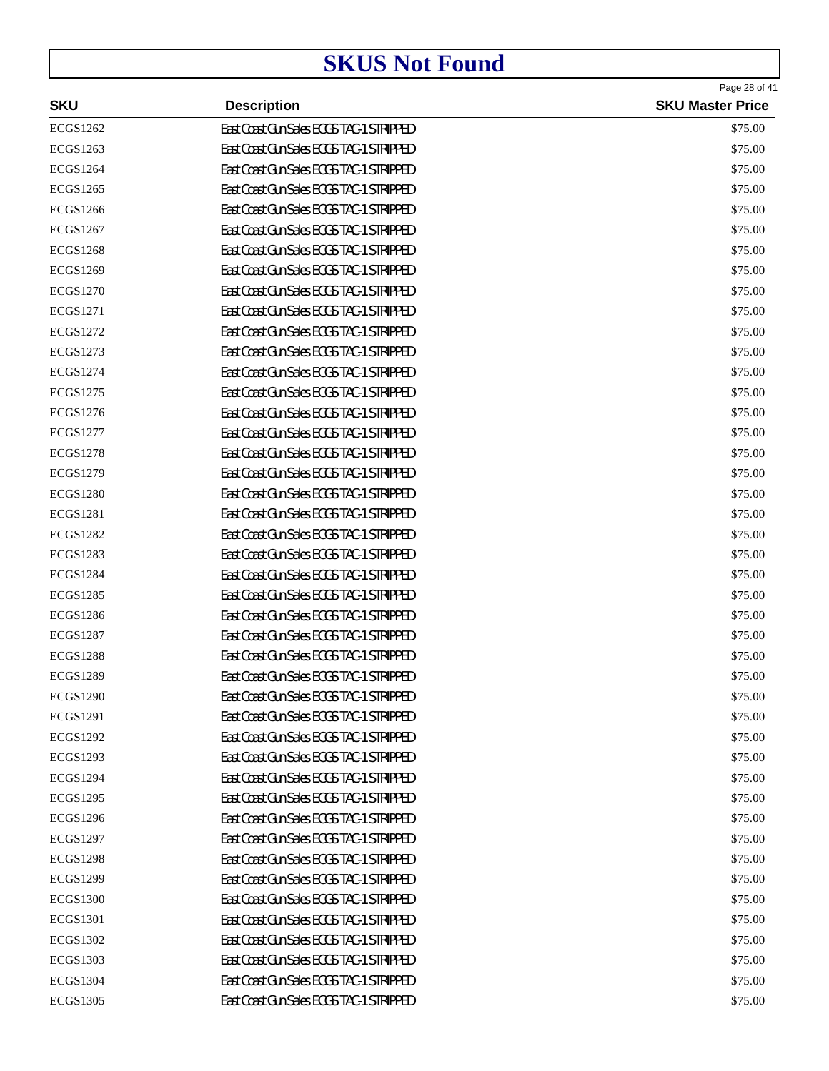|                 |                                          | Page 28 of 41           |
|-----------------|------------------------------------------|-------------------------|
| <b>SKU</b>      | <b>Description</b>                       | <b>SKU Master Price</b> |
| ECGS1262        | East Coast Gun Sales ECGS TAC-1 STRIPPED | \$75.00                 |
| ECGS1263        | East Coast Gun Sales ECGS TAC-1 STRIPPED | \$75.00                 |
| <b>ECGS1264</b> | East Coast Gun Sales ECGS TAC-1 STRIPPED | \$75.00                 |
| ECGS1265        | East Coast Gun Sales ECGS TAC-1 STRIPPED | \$75.00                 |
| <b>ECGS1266</b> | East Coast Gun Sales ECGS TAC-1 STRIPPED | \$75.00                 |
| ECGS1267        | East Coast Gun Sales ECGS TAC-1 STRIPPED | \$75.00                 |
| <b>ECGS1268</b> | East Coast Gun Sales ECGS TAC-1 STRIPPED | \$75.00                 |
| ECGS1269        | East Coast Gun Sales ECGS TAC-1 STRIPPED | \$75.00                 |
| <b>ECGS1270</b> | East Coast Gun Sales ECGS TAC-1 STRIPPED | \$75.00                 |
| ECGS1271        | East Coast Gun Sales ECGS TAC-1 STRIPPED | \$75.00                 |
| ECGS1272        | East Coast Gun Sales ECGS TAC-1 STRIPPED | \$75.00                 |
| ECGS1273        | East Coast Gun Sales ECGS TAC-1 STRIPPED | \$75.00                 |
| <b>ECGS1274</b> | East Coast Gun Sales ECGS TAC-1 STRIPPED | \$75.00                 |
| ECGS1275        | East Coast Gun Sales ECGS TAC-1 STRIPPED | \$75.00                 |
| ECGS1276        | East Coast Gun Sales ECGS TAC-1 STRIPPED | \$75.00                 |
| ECGS1277        | East Coast Gun Sales ECGS TAC-1 STRIPPED | \$75.00                 |
| <b>ECGS1278</b> | East Coast Gun Sales ECGS TAC-1 STRIPPED | \$75.00                 |
| ECGS1279        | East Coast Gun Sales ECGS TAC-1 STRIPPED | \$75.00                 |
| <b>ECGS1280</b> | East Coast Gun Sales ECGS TAC-1 STRIPPED | \$75.00                 |
| <b>ECGS1281</b> | East Coast Gun Sales ECGS TAC-1 STRIPPED | \$75.00                 |
| <b>ECGS1282</b> | East Coast Gun Sales ECGS TAC-1 STRIPPED | \$75.00                 |
| ECGS1283        | East Coast Gun Sales ECGS TAC-1 STRIPPED | \$75.00                 |
| <b>ECGS1284</b> | East Coast Gun Sales ECGS TAC-1 STRIPPED | \$75.00                 |
| <b>ECGS1285</b> | East Coast Gun Sales ECGS TAC-1 STRIPPED | \$75.00                 |
| <b>ECGS1286</b> | East Coast Gun Sales ECGS TAC-1 STRIPPED | \$75.00                 |
| <b>ECGS1287</b> | East Coast Gun Sales ECGS TAC-1 STRIPPED | \$75.00                 |
| <b>ECGS1288</b> | East Coast Gun Sales ECGS TAC-1 STRIPPED | \$75.00                 |
| <b>ECGS1289</b> | East Coast Gun Sales ECGS TAC-1 STRIPPED | \$75.00                 |
| <b>ECGS1290</b> | East Coast Gun Sales ECGS TAC-1 STRIPPED | \$75.00                 |
| <b>ECGS1291</b> | East Coast Gun Sales ECGS TAC-1 STRIPPED | \$75.00                 |
| <b>ECGS1292</b> | East Coast Gun Sales ECGS TAC-1 STRIPPED | \$75.00                 |
| ECGS1293        | East Coast Gun Sales ECGS TAC-1 STRIPPED | \$75.00                 |
| <b>ECGS1294</b> | East Coast Gun Sales ECGS TAC-1 STRIPPED | \$75.00                 |
| ECGS1295        | East Coast Gun Sales ECGS TAC-1 STRIPPED | \$75.00                 |
| <b>ECGS1296</b> | East Coast Gun Sales ECGS TAC-1 STRIPPED | \$75.00                 |
| <b>ECGS1297</b> | East Coast Gun Sales ECGS TAC-1 STRIPPED | \$75.00                 |
| <b>ECGS1298</b> | East Coast Gun Sales ECGS TAC-1 STRIPPED | \$75.00                 |
| <b>ECGS1299</b> | East Coast Gun Sales ECGS TAC-1 STRIPPED | \$75.00                 |
| <b>ECGS1300</b> | East Coast Gun Sales ECGS TAC-1 STRIPPED | \$75.00                 |
| <b>ECGS1301</b> | East Coast Gun Sales ECGS TAC-1 STRIPPED | \$75.00                 |
| ECGS1302        | East Coast Gun Sales ECGS TAC-1 STRIPPED | \$75.00                 |
| ECGS1303        | East Coast Gun Sales ECGS TAC-1 STRIPPED | \$75.00                 |
| <b>ECGS1304</b> | East Coast Gun Sales ECGS TAC-1 STRIPPED | \$75.00                 |
| ECGS1305        | East Coast Gun Sales ECGS TAC-1 STRIPPED | \$75.00                 |
|                 |                                          |                         |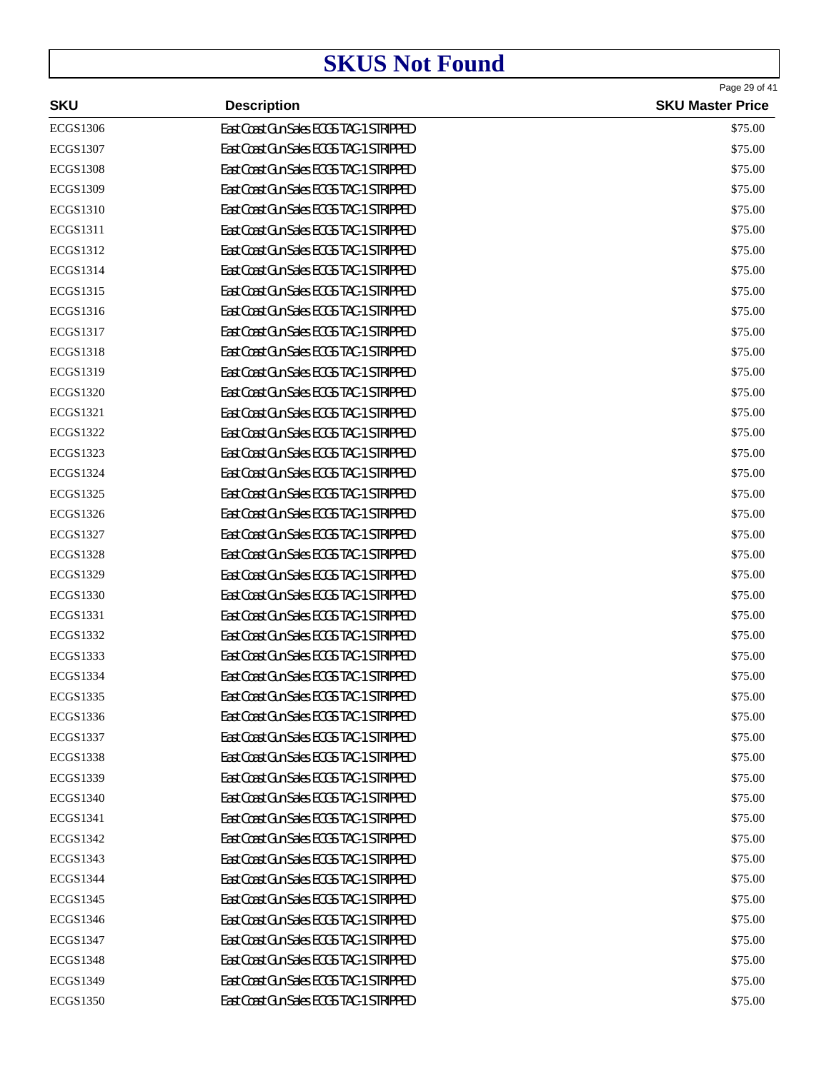|                 |                                          | Page 29 of 41           |
|-----------------|------------------------------------------|-------------------------|
| <b>SKU</b>      | <b>Description</b>                       | <b>SKU Master Price</b> |
| <b>ECGS1306</b> | East Coast Gun Sales ECGS TAC-1 STRIPPED | \$75.00                 |
| <b>ECGS1307</b> | East Coast Gun Sales ECGS TAC-1 STRIPPED | \$75.00                 |
| <b>ECGS1308</b> | East Coast Gun Sales ECGS TAC-1 STRIPPED | \$75.00                 |
| <b>ECGS1309</b> | East Coast Gun Sales ECGS TAC-1 STRIPPED | \$75.00                 |
| <b>ECGS1310</b> | East Coast Gun Sales ECGS TAC-1 STRIPPED | \$75.00                 |
| <b>ECGS1311</b> | East Coast Gun Sales ECGS TAC-1 STRIPPED | \$75.00                 |
| ECGS1312        | East Coast Gun Sales ECGS TAC-1 STRIPPED | \$75.00                 |
| ECGS1314        | East Coast Gun Sales ECGS TAC-1 STRIPPED | \$75.00                 |
| ECGS1315        | East Coast Gun Sales ECGS TAC-1 STRIPPED | \$75.00                 |
| ECGS1316        | East Coast Gun Sales ECGS TAC-1 STRIPPED | \$75.00                 |
| ECGS1317        | East Coast Gun Sales ECGS TAC-1 STRIPPED | \$75.00                 |
| <b>ECGS1318</b> | East Coast Gun Sales ECGS TAC-1 STRIPPED | \$75.00                 |
| ECGS1319        | East Coast Gun Sales ECGS TAC-1 STRIPPED | \$75.00                 |
| ECGS1320        | East Coast Gun Sales ECGS TAC-1 STRIPPED | \$75.00                 |
| ECGS1321        | East Coast Gun Sales ECGS TAC-1 STRIPPED | \$75.00                 |
| ECGS1322        | East Coast Gun Sales ECGS TAC-1 STRIPPED | \$75.00                 |
| ECGS1323        | East Coast Gun Sales ECGS TAC-1 STRIPPED | \$75.00                 |
| ECGS1324        | East Coast Gun Sales ECGS TAC-1 STRIPPED | \$75.00                 |
| ECGS1325        | East Coast Gun Sales ECGS TAC-1 STRIPPED | \$75.00                 |
| ECGS1326        | East Coast Gun Sales ECGS TAC-1 STRIPPED | \$75.00                 |
| ECGS1327        | East Coast Gun Sales ECGS TAC-1 STRIPPED | \$75.00                 |
| <b>ECGS1328</b> | East Coast Gun Sales ECGS TAC-1 STRIPPED | \$75.00                 |
| ECGS1329        | East Coast Gun Sales ECGS TAC-1 STRIPPED | \$75.00                 |
| ECGS1330        | East Coast Gun Sales ECGS TAC-1 STRIPPED | \$75.00                 |
| ECGS1331        | East Coast Gun Sales ECGS TAC-1 STRIPPED | \$75.00                 |
| ECGS1332        | East Coast Gun Sales ECGS TAC-1 STRIPPED | \$75.00                 |
| ECGS1333        | East Coast Gun Sales ECGS TAC-1 STRIPPED | \$75.00                 |
| <b>ECGS1334</b> | East Coast Gun Sales ECGS TAC-1 STRIPPED | \$75.00                 |
| ECGS1335        | East Coast Gun Sales ECGS TAC-1 STRIPPED | \$75.00                 |
| ECGS1336        | East Coast Gun Sales ECGS TAC-1 STRIPPED | \$75.00                 |
| ECGS1337        | East Coast Gun Sales ECGS TAC-1 STRIPPED | \$75.00                 |
| <b>ECGS1338</b> | East Coast Gun Sales ECGS TAC-1 STRIPPED | \$75.00                 |
| ECGS1339        | East Coast Gun Sales ECGS TAC-1 STRIPPED | \$75.00                 |
| ECGS1340        | East Coast Gun Sales ECGS TAC-1 STRIPPED | \$75.00                 |
| ECGS1341        | East Coast Gun Sales ECGS TAC-1 STRIPPED | \$75.00                 |
| ECGS1342        | East Coast Gun Sales ECGS TAC-1 STRIPPED | \$75.00                 |
| ECGS1343        | East Coast Gun Sales ECGS TAC-1 STRIPPED | \$75.00                 |
| <b>ECGS1344</b> | East Coast Gun Sales ECGS TAC-1 STRIPPED | \$75.00                 |
| ECGS1345        | East Coast Gun Sales ECGS TAC-1 STRIPPED | \$75.00                 |
| <b>ECGS1346</b> | East Coast Gun Sales ECGS TAC-1 STRIPPED | \$75.00                 |
| ECGS1347        | East Coast Gun Sales ECGS TAC-1 STRIPPED | \$75.00                 |
| <b>ECGS1348</b> | East Coast Gun Sales ECGS TAC-1 STRIPPED | \$75.00                 |
| ECGS1349        | East Coast Gun Sales ECGS TAC-1 STRIPPED | \$75.00                 |
| <b>ECGS1350</b> | East Coast Gun Sales ECGS TAC-1 STRIPPED | \$75.00                 |
|                 |                                          |                         |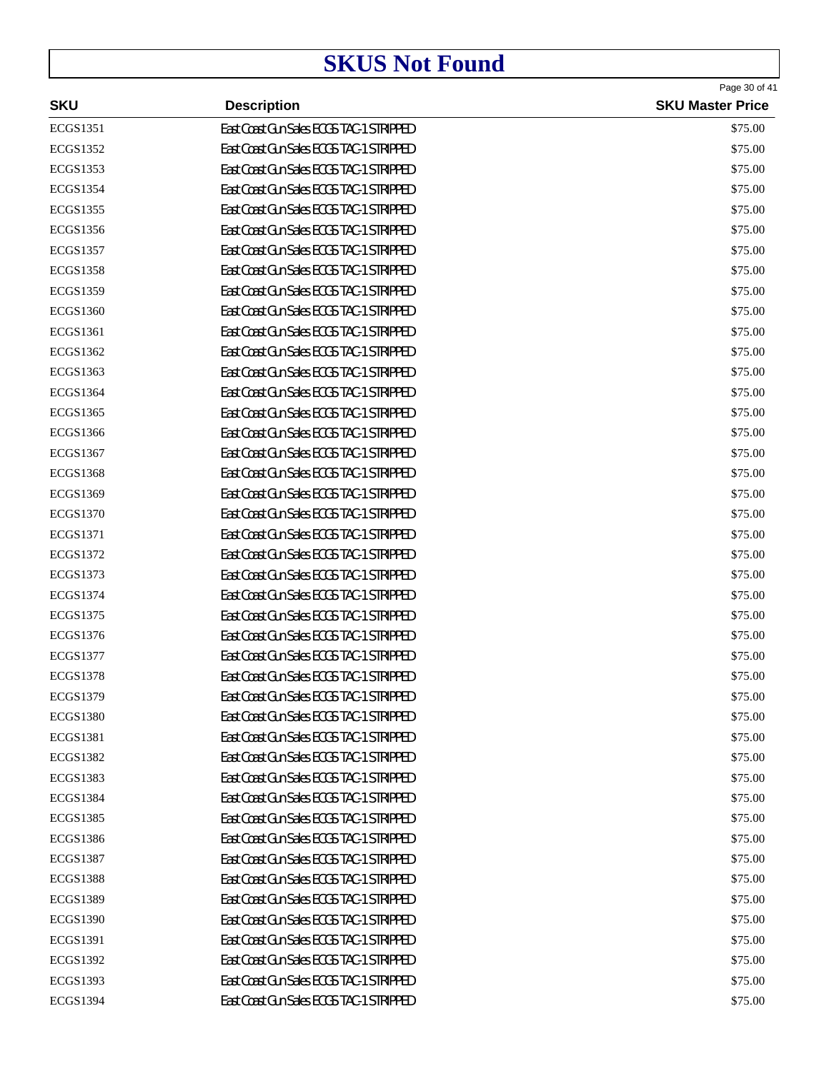|                 |                                          | Page 30 of 41           |
|-----------------|------------------------------------------|-------------------------|
| <b>SKU</b>      | <b>Description</b>                       | <b>SKU Master Price</b> |
| ECGS1351        | East Coast Gun Sales ECGS TAC-1 STRIPPED | \$75.00                 |
| ECGS1352        | East Coast Gun Sales ECGS TAC-1 STRIPPED | \$75.00                 |
| ECGS1353        | East Coast Gun Sales ECGS TAC-1 STRIPPED | \$75.00                 |
| <b>ECGS1354</b> | East Coast Gun Sales ECGS TAC-1 STRIPPED | \$75.00                 |
| ECGS1355        | East Coast Gun Sales ECGS TAC-1 STRIPPED | \$75.00                 |
| ECGS1356        | East Coast Gun Sales ECGS TAC-1 STRIPPED | \$75.00                 |
| <b>ECGS1357</b> | East Coast Gun Sales ECGS TAC-1 STRIPPED | \$75.00                 |
| <b>ECGS1358</b> | East Coast Gun Sales ECGS TAC-1 STRIPPED | \$75.00                 |
| ECGS1359        | East Coast Gun Sales ECGS TAC-1 STRIPPED | \$75.00                 |
| <b>ECGS1360</b> | East Coast Gun Sales ECGS TAC-1 STRIPPED | \$75.00                 |
| ECGS1361        | East Coast Gun Sales ECGS TAC-1 STRIPPED | \$75.00                 |
| ECGS1362        | East Coast Gun Sales ECGS TAC-1 STRIPPED | \$75.00                 |
| ECGS1363        | East Coast Gun Sales ECGS TAC-1 STRIPPED | \$75.00                 |
| ECGS1364        | East Coast Gun Sales ECGS TAC-1 STRIPPED | \$75.00                 |
| ECGS1365        | East Coast Gun Sales ECGS TAC-1 STRIPPED | \$75.00                 |
| <b>ECGS1366</b> | East Coast Gun Sales ECGS TAC-1 STRIPPED | \$75.00                 |
| ECGS1367        | East Coast Gun Sales ECGS TAC-1 STRIPPED | \$75.00                 |
| <b>ECGS1368</b> | East Coast Gun Sales ECGS TAC-1 STRIPPED | \$75.00                 |
| ECGS1369        | East Coast Gun Sales ECGS TAC-1 STRIPPED | \$75.00                 |
| <b>ECGS1370</b> | East Coast Gun Sales ECGS TAC-1 STRIPPED | \$75.00                 |
| ECGS1371        | East Coast Gun Sales ECGS TAC-1 STRIPPED | \$75.00                 |
| <b>ECGS1372</b> | East Coast Gun Sales ECGS TAC-1 STRIPPED | \$75.00                 |
| ECGS1373        | East Coast Gun Sales ECGS TAC-1 STRIPPED | \$75.00                 |
| ECGS1374        | East Coast Gun Sales ECGS TAC-1 STRIPPED | \$75.00                 |
| ECGS1375        | East Coast Gun Sales ECGS TAC-1 STRIPPED | \$75.00                 |
| ECGS1376        | East Coast Gun Sales ECGS TAC-1 STRIPPED | \$75.00                 |
| ECGS1377        | East Coast Gun Sales ECGS TAC-1 STRIPPED | \$75.00                 |
| <b>ECGS1378</b> | East Coast Gun Sales ECGS TAC-1 STRIPPED | \$75.00                 |
| <b>ECGS1379</b> | East Coast Gun Sales ECGS TAC-1 STRIPPED | \$75.00                 |
| <b>ECGS1380</b> | East Coast Gun Sales ECGS TAC-1 STRIPPED | \$75.00                 |
| <b>ECGS1381</b> | East Coast Gun Sales ECGS TAC-1 STRIPPED | \$75.00                 |
| <b>ECGS1382</b> | East Coast Gun Sales ECGS TAC-1 STRIPPED | \$75.00                 |
| ECGS1383        | East Coast Gun Sales ECGS TAC-1 STRIPPED | \$75.00                 |
| <b>ECGS1384</b> | East Coast Gun Sales ECGS TAC-1 STRIPPED | \$75.00                 |
| <b>ECGS1385</b> | East Coast Gun Sales ECGS TAC-1 STRIPPED | \$75.00                 |
| <b>ECGS1386</b> | East Coast Gun Sales ECGS TAC-1 STRIPPED | \$75.00                 |
| <b>ECGS1387</b> | East Coast Gun Sales ECGS TAC-1 STRIPPED | \$75.00                 |
| <b>ECGS1388</b> | East Coast Gun Sales ECGS TAC-1 STRIPPED | \$75.00                 |
| <b>ECGS1389</b> | East Coast Gun Sales ECGS TAC-1 STRIPPED | \$75.00                 |
| <b>ECGS1390</b> | East Coast Gun Sales ECGS TAC-1 STRIPPED | \$75.00                 |
| ECGS1391        | East Coast Gun Sales ECGS TAC-1 STRIPPED | \$75.00                 |
| ECGS1392        | East Coast Gun Sales ECGS TAC-1 STRIPPED | \$75.00                 |
| ECGS1393        | East Coast Gun Sales ECGS TAC-1 STRIPPED | \$75.00                 |
| <b>ECGS1394</b> | East Coast Gun Sales ECGS TAC-1 STRIPPED | \$75.00                 |
|                 |                                          |                         |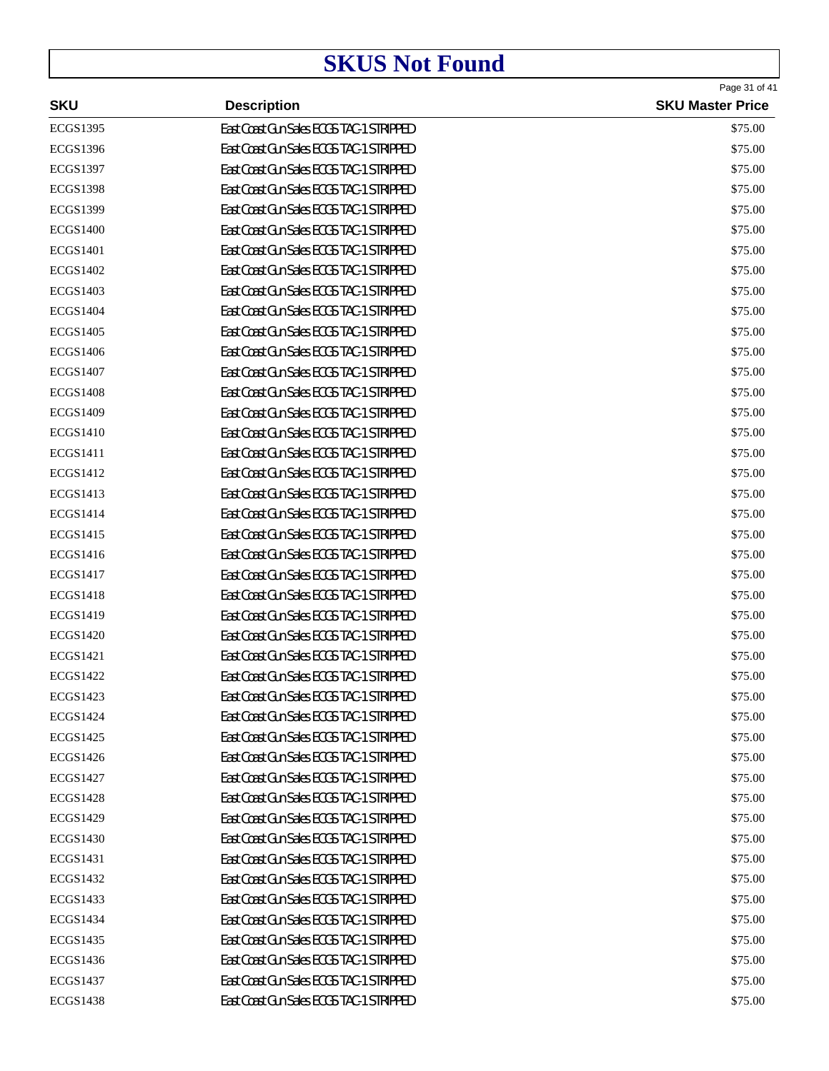|                 |                                          | Page 31 of 41           |
|-----------------|------------------------------------------|-------------------------|
| <b>SKU</b>      | <b>Description</b>                       | <b>SKU Master Price</b> |
| <b>ECGS1395</b> | East Coast Gun Sales ECGS TAC-1 STRIPPED | \$75.00                 |
| <b>ECGS1396</b> | East Coast Gun Sales ECGS TAC-1 STRIPPED | \$75.00                 |
| <b>ECGS1397</b> | East Coast Gun Sales ECGS TAC-1 STRIPPED | \$75.00                 |
| <b>ECGS1398</b> | East Coast Gun Sales ECGS TAC-1 STRIPPED | \$75.00                 |
| <b>ECGS1399</b> | East Coast Gun Sales ECGS TAC-1 STRIPPED | \$75.00                 |
| <b>ECGS1400</b> | East Coast Gun Sales ECGS TAC-1 STRIPPED | \$75.00                 |
| ECGS1401        | East Coast Gun Sales ECGS TAC-1 STRIPPED | \$75.00                 |
| ECGS1402        | East Coast Gun Sales ECGS TAC-1 STRIPPED | \$75.00                 |
| ECGS1403        | East Coast Gun Sales ECGS TAC-1 STRIPPED | \$75.00                 |
| <b>ECGS1404</b> | East Coast Gun Sales ECGS TAC-1 STRIPPED | \$75.00                 |
| ECGS1405        | East Coast Gun Sales ECGS TAC-1 STRIPPED | \$75.00                 |
| <b>ECGS1406</b> | East Coast Gun Sales ECGS TAC-1 STRIPPED | \$75.00                 |
| <b>ECGS1407</b> | East Coast Gun Sales ECGS TAC-1 STRIPPED | \$75.00                 |
| <b>ECGS1408</b> | East Coast Gun Sales ECGS TAC-1 STRIPPED | \$75.00                 |
| ECGS1409        | East Coast Gun Sales ECGS TAC-1 STRIPPED | \$75.00                 |
| <b>ECGS1410</b> | East Coast Gun Sales ECGS TAC-1 STRIPPED | \$75.00                 |
| <b>ECGS1411</b> | East Coast Gun Sales ECGS TAC-1 STRIPPED | \$75.00                 |
| ECGS1412        | East Coast Gun Sales ECGS TAC-1 STRIPPED | \$75.00                 |
| ECGS1413        | East Coast Gun Sales ECGS TAC-1 STRIPPED | \$75.00                 |
| ECGS1414        | East Coast Gun Sales ECGS TAC-1 STRIPPED | \$75.00                 |
| ECGS1415        | East Coast Gun Sales ECGS TAC-1 STRIPPED | \$75.00                 |
| ECGS1416        | East Coast Gun Sales ECGS TAC-1 STRIPPED | \$75.00                 |
| ECGS1417        | East Coast Gun Sales ECGS TAC-1 STRIPPED | \$75.00                 |
| <b>ECGS1418</b> | East Coast Gun Sales ECGS TAC-1 STRIPPED | \$75.00                 |
| ECGS1419        | East Coast Gun Sales ECGS TAC-1 STRIPPED | \$75.00                 |
| ECGS1420        | East Coast Gun Sales ECGS TAC-1 STRIPPED | \$75.00                 |
| ECGS1421        | East Coast Gun Sales ECGS TAC-1 STRIPPED | \$75.00                 |
| <b>ECGS1422</b> | East Coast Gun Sales ECGS TAC-1 STRIPPED | \$75.00                 |
| ECGS1423        | East Coast Gun Sales ECGS TAC-1 STRIPPED | \$75.00                 |
| ECGS1424        | East Coast Gun Sales ECGS TAC-1 STRIPPED | \$75.00                 |
| ECGS1425        | East Coast Gun Sales ECGS TAC-1 STRIPPED | \$75.00                 |
| <b>ECGS1426</b> | East Coast Gun Sales ECGS TAC-1 STRIPPED | \$75.00                 |
| ECGS1427        | East Coast Gun Sales ECGS TAC-1 STRIPPED | \$75.00                 |
| <b>ECGS1428</b> | East Coast Gun Sales ECGS TAC-1 STRIPPED | \$75.00                 |
| ECGS1429        | East Coast Gun Sales ECGS TAC-1 STRIPPED | \$75.00                 |
| <b>ECGS1430</b> | East Coast Gun Sales ECGS TAC-1 STRIPPED | \$75.00                 |
| ECGS1431        | East Coast Gun Sales ECGS TAC-1 STRIPPED | \$75.00                 |
| ECGS1432        | East Coast Gun Sales ECGS TAC-1 STRIPPED | \$75.00                 |
| ECGS1433        | East Coast Gun Sales ECGS TAC-1 STRIPPED | \$75.00                 |
| ECGS1434        | East Coast Gun Sales ECGS TAC-1 STRIPPED | \$75.00                 |
| ECGS1435        | East Coast Gun Sales ECGS TAC-1 STRIPPED | \$75.00                 |
| ECGS1436        | East Coast Gun Sales ECGS TAC-1 STRIPPED | \$75.00                 |
| ECGS1437        | East Coast Gun Sales ECGS TAC-1 STRIPPED | \$75.00                 |
| <b>ECGS1438</b> | East Coast Gun Sales ECGS TAC-1 STRIPPED | \$75.00                 |
|                 |                                          |                         |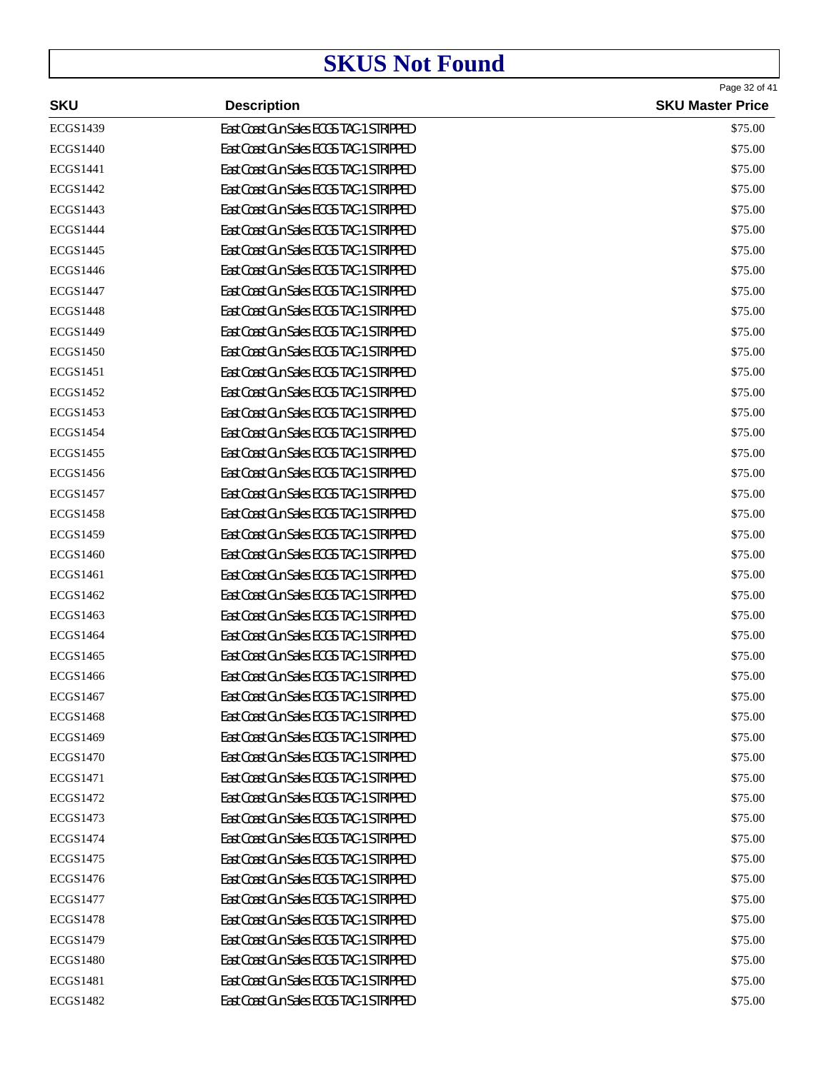| <b>SKU</b>      | <b>Description</b>                       | Page 32 of 41<br><b>SKU Master Price</b> |
|-----------------|------------------------------------------|------------------------------------------|
| <b>ECGS1439</b> | East Coast Gun Sales ECGS TAC-1 STRIPPED | \$75.00                                  |
| <b>ECGS1440</b> | East Coast Gun Sales ECGS TAC-1 STRIPPED | \$75.00                                  |
| <b>ECGS1441</b> | East Coast Gun Sales ECGS TAC-1 STRIPPED | \$75.00                                  |
| <b>ECGS1442</b> | East Coast Gun Sales ECGS TAC-1 STRIPPED | \$75.00                                  |
| <b>ECGS1443</b> | East Coast Gun Sales ECGS TAC-1 STRIPPED | \$75.00                                  |
| <b>ECGS1444</b> | East Coast Gun Sales ECGS TAC-1 STRIPPED | \$75.00                                  |
| <b>ECGS1445</b> | East Coast Gun Sales ECGS TAC-1 STRIPPED | \$75.00                                  |
| <b>ECGS1446</b> | East Coast Gun Sales ECGS TAC-1 STRIPPED | \$75.00                                  |
| <b>ECGS1447</b> | East Coast Gun Sales ECGS TAC-1 STRIPPED | \$75.00                                  |
| <b>ECGS1448</b> | East Coast Gun Sales ECGS TAC-1 STRIPPED | \$75.00                                  |
| <b>ECGS1449</b> | East Coast Gun Sales ECGS TAC-1 STRIPPED | \$75.00                                  |
| <b>ECGS1450</b> | East Coast Gun Sales ECGS TAC-1 STRIPPED | \$75.00                                  |
| <b>ECGS1451</b> | East Coast Gun Sales ECGS TAC-1 STRIPPED | \$75.00                                  |
| <b>ECGS1452</b> | East Coast Gun Sales ECGS TAC-1 STRIPPED | \$75.00                                  |
| <b>ECGS1453</b> | East Coast Gun Sales ECGS TAC-1 STRIPPED | \$75.00                                  |
| <b>ECGS1454</b> | East Coast Gun Sales ECGS TAC-1 STRIPPED | \$75.00                                  |
| <b>ECGS1455</b> | East Coast Gun Sales ECGS TAC-1 STRIPPED | \$75.00                                  |
| <b>ECGS1456</b> | East Coast Gun Sales ECGS TAC-1 STRIPPED | \$75.00                                  |
| <b>ECGS1457</b> | East Coast Gun Sales ECGS TAC-1 STRIPPED | \$75.00                                  |
| <b>ECGS1458</b> | East Coast Gun Sales ECGS TAC-1 STRIPPED | \$75.00                                  |
| <b>ECGS1459</b> | East Coast Gun Sales ECGS TAC-1 STRIPPED | \$75.00                                  |
| <b>ECGS1460</b> | East Coast Gun Sales ECGS TAC-1 STRIPPED | \$75.00                                  |
| <b>ECGS1461</b> | East Coast Gun Sales ECGS TAC-1 STRIPPED | \$75.00                                  |
| ECGS1462        | East Coast Gun Sales ECGS TAC-1 STRIPPED | \$75.00                                  |
| ECGS1463        | East Coast Gun Sales ECGS TAC-1 STRIPPED | \$75.00                                  |
| <b>ECGS1464</b> | East Coast Gun Sales ECGS TAC-1 STRIPPED | \$75.00                                  |
| <b>ECGS1465</b> | East Coast Gun Sales ECGS TAC-1 STRIPPED | \$75.00                                  |
| <b>ECGS1466</b> | East Coast Gun Sales ECGS TAC-1 STRIPPED | \$75.00                                  |
| ECGS1467        | East Coast Gun Sales ECGS TAC-1 STRIPPED | \$75.00                                  |
| <b>ECGS1468</b> | East Coast Gun Sales ECGS TAC-1 STRIPPED | \$75.00                                  |
| ECGS1469        | East Coast Gun Sales ECGS TAC-1 STRIPPED | \$75.00                                  |
| <b>ECGS1470</b> | East Coast Gun Sales ECGS TAC-1 STRIPPED | \$75.00                                  |
| <b>ECGS1471</b> | East Coast Gun Sales ECGS TAC-1 STRIPPED | \$75.00                                  |
| ECGS1472        | East Coast Gun Sales ECGS TAC-1 STRIPPED | \$75.00                                  |
| <b>ECGS1473</b> | East Coast Gun Sales ECGS TAC-1 STRIPPED | \$75.00                                  |
| ECGS1474        | East Coast Gun Sales ECGS TAC-1 STRIPPED | \$75.00                                  |
| ECGS1475        | East Coast Gun Sales ECGS TAC-1 STRIPPED | \$75.00                                  |
| ECGS1476        | East Coast Gun Sales ECGS TAC-1 STRIPPED | \$75.00                                  |
| ECGS1477        | East Coast Gun Sales ECGS TAC-1 STRIPPED | \$75.00                                  |
| <b>ECGS1478</b> | East Coast Gun Sales ECGS TAC-1 STRIPPED | \$75.00                                  |
| ECGS1479        | East Coast Gun Sales ECGS TAC-1 STRIPPED | \$75.00                                  |
| <b>ECGS1480</b> | East Coast Gun Sales ECGS TAC-1 STRIPPED | \$75.00                                  |
| ECGS1481        | East Coast Gun Sales ECGS TAC-1 STRIPPED | \$75.00                                  |
| <b>ECGS1482</b> | East Coast Gun Sales ECGS TAC-1 STRIPPED | \$75.00                                  |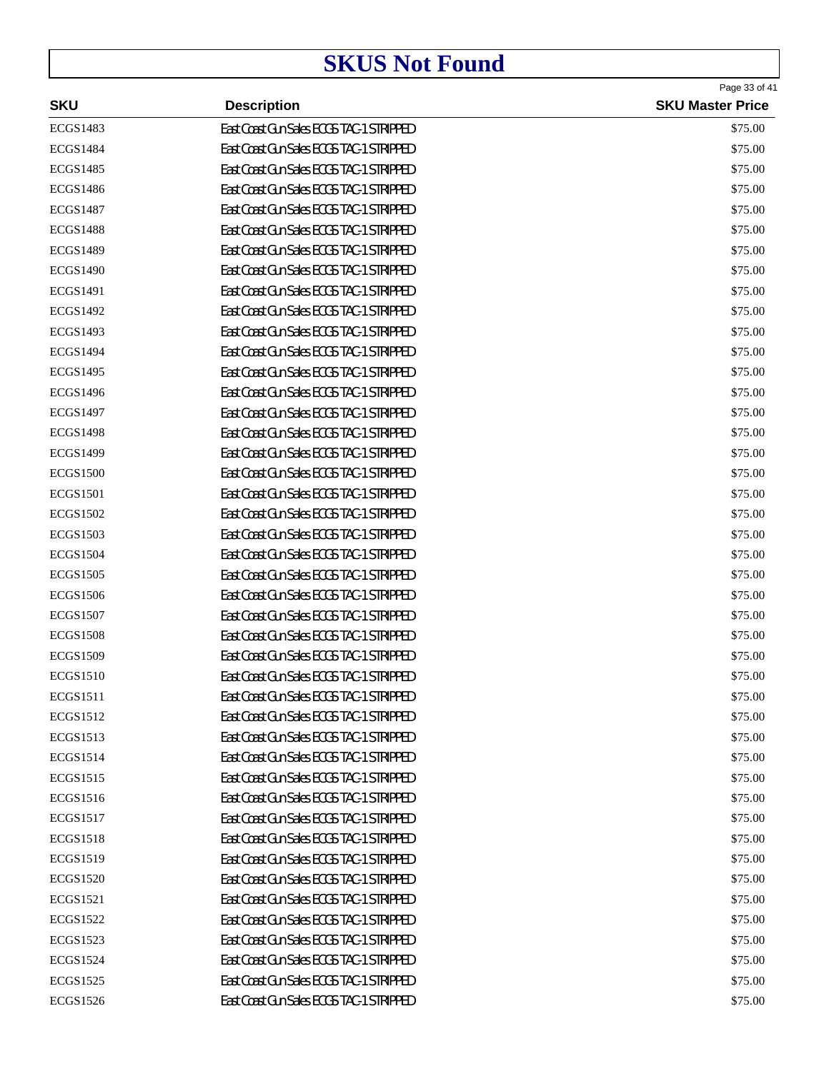| <b>SKU</b>      | <b>Description</b>                       | Page 33 of 41<br><b>SKU Master Price</b> |
|-----------------|------------------------------------------|------------------------------------------|
| <b>ECGS1483</b> | East Coast Gun Sales ECGS TAC-1 STRIPPED | \$75.00                                  |
| <b>ECGS1484</b> | East Coast Gun Sales ECGS TAC-1 STRIPPED | \$75.00                                  |
| <b>ECGS1485</b> | East Coast Gun Sales ECGS TAC-1 STRIPPED | \$75.00                                  |
| <b>ECGS1486</b> | East Coast Gun Sales ECGS TAC-1 STRIPPED | \$75.00                                  |
| <b>ECGS1487</b> | East Coast Gun Sales ECGS TAC-1 STRIPPED | \$75.00                                  |
| <b>ECGS1488</b> | East Coast Gun Sales ECGS TAC-1 STRIPPED | \$75.00                                  |
| <b>ECGS1489</b> | East Coast Gun Sales ECGS TAC-1 STRIPPED | \$75.00                                  |
| <b>ECGS1490</b> | East Coast Gun Sales ECGS TAC-1 STRIPPED | \$75.00                                  |
| <b>ECGS1491</b> | East Coast Gun Sales ECGS TAC-1 STRIPPED | \$75.00                                  |
| <b>ECGS1492</b> | East Coast Gun Sales ECGS TAC-1 STRIPPED | \$75.00                                  |
| <b>ECGS1493</b> | East Coast Gun Sales ECGS TAC-1 STRIPPED | \$75.00                                  |
| <b>ECGS1494</b> | East Coast Gun Sales ECGS TAC-1 STRIPPED | \$75.00                                  |
| <b>ECGS1495</b> | East Coast Gun Sales ECGS TAC-1 STRIPPED | \$75.00                                  |
| <b>ECGS1496</b> | East Coast Gun Sales ECGS TAC-1 STRIPPED | \$75.00                                  |
| <b>ECGS1497</b> | East Coast Gun Sales ECGS TAC-1 STRIPPED | \$75.00                                  |
| <b>ECGS1498</b> | East Coast Gun Sales ECGS TAC-1 STRIPPED | \$75.00                                  |
| <b>ECGS1499</b> | East Coast Gun Sales ECGS TAC-1 STRIPPED | \$75.00                                  |
| <b>ECGS1500</b> | East Coast Gun Sales ECGS TAC-1 STRIPPED | \$75.00                                  |
| <b>ECGS1501</b> | East Coast Gun Sales ECGS TAC-1 STRIPPED | \$75.00                                  |
| <b>ECGS1502</b> | East Coast Gun Sales ECGS TAC-1 STRIPPED | \$75.00                                  |
| <b>ECGS1503</b> | East Coast Gun Sales ECGS TAC-1 STRIPPED | \$75.00                                  |
| <b>ECGS1504</b> | East Coast Gun Sales ECGS TAC-1 STRIPPED | \$75.00                                  |
| <b>ECGS1505</b> | East Coast Gun Sales ECGS TAC-1 STRIPPED | \$75.00                                  |
| <b>ECGS1506</b> | East Coast Gun Sales ECGS TAC-1 STRIPPED | \$75.00                                  |
| <b>ECGS1507</b> | East Coast Gun Sales ECGS TAC-1 STRIPPED | \$75.00                                  |
| <b>ECGS1508</b> | East Coast Gun Sales ECGS TAC-1 STRIPPED | \$75.00                                  |
| <b>ECGS1509</b> | East Coast Gun Sales ECGS TAC-1 STRIPPED | \$75.00                                  |
| <b>ECGS1510</b> | East Coast Gun Sales ECGS TAC-1 STRIPPED | \$75.00                                  |
| <b>ECGS1511</b> | East Coast Gun Sales ECGS TAC-1 STRIPPED | \$75.00                                  |
| ECGS1512        | East Coast Gun Sales ECGS TAC-1 STRIPPED | \$75.00                                  |
| ECGS1513        | East Coast Gun Sales ECGS TAC-1 STRIPPED | \$75.00                                  |
| <b>ECGS1514</b> | East Coast Gun Sales ECGS TAC-1 STRIPPED | \$75.00                                  |
| <b>ECGS1515</b> | East Coast Gun Sales ECGS TAC-1 STRIPPED | \$75.00                                  |
| <b>ECGS1516</b> | East Coast Gun Sales ECGS TAC-1 STRIPPED | \$75.00                                  |
| <b>ECGS1517</b> | East Coast Gun Sales ECGS TAC-1 STRIPPED | \$75.00                                  |
| <b>ECGS1518</b> | East Coast Gun Sales ECGS TAC-1 STRIPPED | \$75.00                                  |
| ECGS1519        | East Coast Gun Sales ECGS TAC-1 STRIPPED | \$75.00                                  |
| <b>ECGS1520</b> | East Coast Gun Sales ECGS TAC-1 STRIPPED | \$75.00                                  |
| ECGS1521        | East Coast Gun Sales ECGS TAC-1 STRIPPED | \$75.00                                  |
| ECGS1522        | East Coast Gun Sales ECGS TAC-1 STRIPPED | \$75.00                                  |
| ECGS1523        | East Coast Gun Sales ECGS TAC-1 STRIPPED | \$75.00                                  |
| <b>ECGS1524</b> | East Coast Gun Sales ECGS TAC-1 STRIPPED | \$75.00                                  |
| <b>ECGS1525</b> | East Coast Gun Sales ECGS TAC-1 STRIPPED | \$75.00                                  |
| ECGS1526        | East Coast Gun Sales ECGS TAC-1 STRIPPED | \$75.00                                  |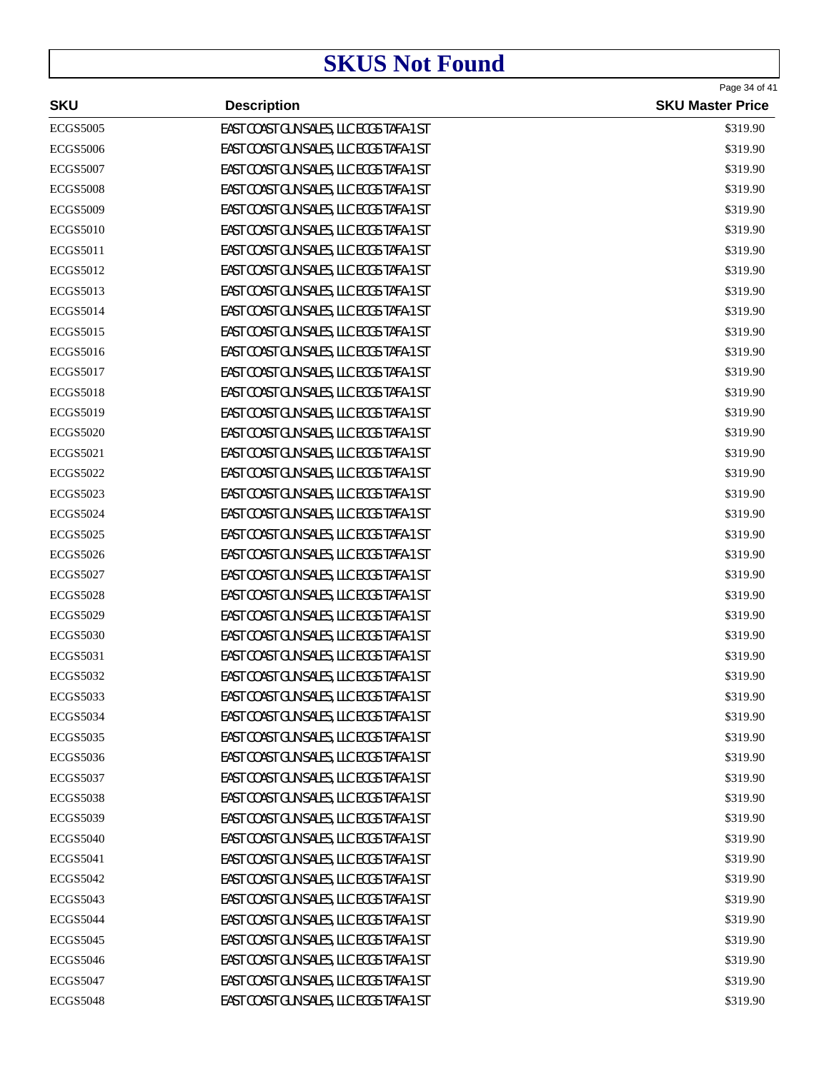| <b>SKU</b>      | <b>Description</b>                       | Page 34 of 41<br><b>SKU Master Price</b> |
|-----------------|------------------------------------------|------------------------------------------|
| <b>ECGS5005</b> | EAST COAST GUN SALES, LLC ECGS TAFA-1 ST | \$319.90                                 |
| <b>ECGS5006</b> | EAST COAST GUN SALES, LLC ECGS TAFA-1 ST | \$319.90                                 |
| <b>ECGS5007</b> | EAST COAST GUN SALES, LLC ECGS TAFA-1 ST | \$319.90                                 |
| <b>ECGS5008</b> | EAST COAST GUN SALES, LLC ECGS TAFA-1 ST | \$319.90                                 |
| <b>ECGS5009</b> | EAST COAST GUN SALES, LLC ECGS TAFA-1 ST | \$319.90                                 |
| <b>ECGS5010</b> | EAST COAST GUN SALES, LLC ECGS TAFA-1 ST | \$319.90                                 |
| <b>ECGS5011</b> | EAST COAST GUN SALES, LLC ECGS TAFA-1 ST | \$319.90                                 |
| <b>ECGS5012</b> | EAST COAST GUN SALES, LLC ECGS TAFA-1 ST | \$319.90                                 |
| <b>ECGS5013</b> | EAST COAST GUN SALES, LLC ECGS TAFA-1 ST | \$319.90                                 |
| <b>ECGS5014</b> | EAST COAST GUN SALES, LLC ECGS TAFA-1 ST | \$319.90                                 |
| <b>ECGS5015</b> | EAST COAST GUN SALES, LLC ECGS TAFA-1 ST | \$319.90                                 |
| <b>ECGS5016</b> | EAST COAST GUN SALES, LLC ECGS TAFA-1 ST | \$319.90                                 |
| <b>ECGS5017</b> | EAST COAST GUN SALES, LLC ECGS TAFA-1 ST | \$319.90                                 |
| <b>ECGS5018</b> | EAST COAST GUN SALES, LLC ECGS TAFA-1 ST | \$319.90                                 |
| <b>ECGS5019</b> | EAST COAST GUN SALES, LLC ECGS TAFA-1 ST | \$319.90                                 |
| <b>ECGS5020</b> | EAST COAST GUN SALES, LLC ECGS TAFA-1 ST | \$319.90                                 |
| <b>ECGS5021</b> | EAST COAST GUN SALES, LLC ECGS TAFA-1 ST | \$319.90                                 |
| <b>ECGS5022</b> | EAST COAST GUN SALES, LLC ECGS TAFA-1 ST | \$319.90                                 |
| <b>ECGS5023</b> | EAST COAST GUN SALES, LLC ECGS TAFA-1 ST | \$319.90                                 |
| <b>ECGS5024</b> | EAST COAST GUN SALES, LLC ECGS TAFA-1 ST | \$319.90                                 |
| <b>ECGS5025</b> | EAST COAST GUN SALES, LLC ECGS TAFA-1 ST | \$319.90                                 |
| <b>ECGS5026</b> | EAST COAST GUN SALES, LLC ECGS TAFA-1 ST | \$319.90                                 |
| <b>ECGS5027</b> | EAST COAST GUN SALES, LLC ECGS TAFA-1 ST | \$319.90                                 |
| <b>ECGS5028</b> | EAST COAST GUN SALES, LLC ECGS TAFA-1 ST | \$319.90                                 |
| <b>ECGS5029</b> | EAST COAST GUN SALES, LLC ECGS TAFA-1 ST | \$319.90                                 |
| <b>ECGS5030</b> | EAST COAST GUN SALES, LLC ECGS TAFA-1 ST | \$319.90                                 |
| <b>ECGS5031</b> | EAST COAST GUN SALES, LLC ECGS TAFA-1 ST | \$319.90                                 |
| <b>ECGS5032</b> | EAST COAST GUN SALES, LLC ECGS TAFA-1 ST | \$319.90                                 |
| <b>ECGS5033</b> | EAST COAST GUN SALES, LLC ECGS TAFA-1 ST | \$319.90                                 |
| <b>ECGS5034</b> | EAST COAST GUN SALES, LLC ECGS TAFA-1 ST | \$319.90                                 |
| <b>ECGS5035</b> | EAST COAST GUN SALES, LLC ECGS TAFA-1 ST | \$319.90                                 |
| <b>ECGS5036</b> | EAST COAST GUN SALES, LLC ECGS TAFA-1 ST | \$319.90                                 |
| <b>ECGS5037</b> | EAST COAST GUN SALES, LLC ECGS TAFA-1 ST | \$319.90                                 |
| <b>ECGS5038</b> | EAST COAST GUN SALES, LLC ECGS TAFA-1 ST | \$319.90                                 |
| <b>ECGS5039</b> | EAST COAST GUN SALES, LLC ECGS TAFA-1 ST | \$319.90                                 |
| <b>ECGS5040</b> | EAST COAST GUN SALES, LLC ECGS TAFA-1 ST | \$319.90                                 |
| <b>ECGS5041</b> | EAST COAST GUN SALES, LLC ECGS TAFA-1 ST | \$319.90                                 |
| <b>ECGS5042</b> | EAST COAST GUN SALES, LLC ECGS TAFA-1 ST | \$319.90                                 |
| <b>ECGS5043</b> | EAST COAST GUN SALES, LLC ECGS TAFA-1 ST | \$319.90                                 |
| <b>ECGS5044</b> | EAST COAST GUN SALES, LLC ECGS TAFA-1 ST | \$319.90                                 |
| <b>ECGS5045</b> | EAST COAST GUN SALES, LLC ECGS TAFA-1 ST | \$319.90                                 |
| <b>ECGS5046</b> | EAST COAST GUN SALES, LLC ECGS TAFA-1 ST | \$319.90                                 |
| <b>ECGS5047</b> | EAST COAST GUN SALES, LLC ECGS TAFA-1 ST | \$319.90                                 |
| <b>ECGS5048</b> | EAST COAST GUN SALES, LLC ECGS TAFA-1 ST | \$319.90                                 |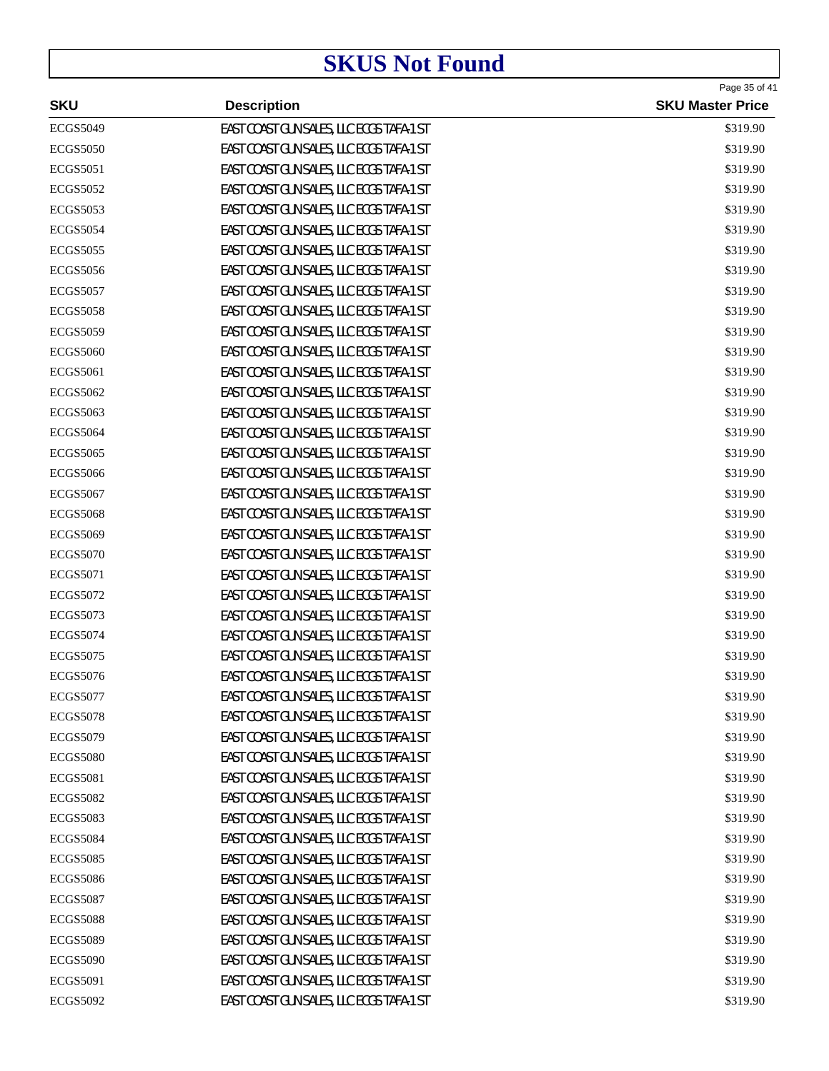| <b>SKU</b>      | <b>Description</b>                       | Page 35 of 41<br><b>SKU Master Price</b> |
|-----------------|------------------------------------------|------------------------------------------|
| <b>ECGS5049</b> | EAST COAST GUN SALES, LLC ECGS TAFA-1 ST | \$319.90                                 |
| <b>ECGS5050</b> | EAST COAST GUN SALES, LLC ECGS TAFA-1 ST | \$319.90                                 |
| <b>ECGS5051</b> | EAST COAST GUN SALES, LLC ECGS TAFA-1 ST | \$319.90                                 |
| <b>ECGS5052</b> | EAST COAST GUN SALES, LLC ECGS TAFA-1 ST | \$319.90                                 |
| <b>ECGS5053</b> | EAST COAST GUN SALES, LLC ECGS TAFA-1 ST | \$319.90                                 |
| <b>ECGS5054</b> | EAST COAST GUN SALES, LLC ECGS TAFA-1 ST | \$319.90                                 |
| <b>ECGS5055</b> | EAST COAST GUN SALES, LLC ECGS TAFA-1 ST | \$319.90                                 |
| <b>ECGS5056</b> | EAST COAST GUN SALES, LLC ECGS TAFA-1 ST | \$319.90                                 |
| <b>ECGS5057</b> | EAST COAST GUN SALES, LLC ECGS TAFA-1 ST | \$319.90                                 |
| <b>ECGS5058</b> | EAST COAST GUN SALES, LLC ECGS TAFA-1 ST | \$319.90                                 |
| <b>ECGS5059</b> | EAST COAST GUN SALES, LLC ECGS TAFA-1 ST | \$319.90                                 |
| <b>ECGS5060</b> | EAST COAST GUN SALES, LLC ECGS TAFA-1 ST | \$319.90                                 |
| <b>ECGS5061</b> | EAST COAST GUN SALES, LLC ECGS TAFA-1 ST | \$319.90                                 |
| <b>ECGS5062</b> | EAST COAST GUN SALES, LLC ECGS TAFA-1 ST | \$319.90                                 |
| <b>ECGS5063</b> | EAST COAST GUN SALES, LLC ECGS TAFA-1 ST | \$319.90                                 |
| <b>ECGS5064</b> | EAST COAST GUN SALES, LLC ECGS TAFA-1 ST | \$319.90                                 |
| <b>ECGS5065</b> | EAST COAST GUN SALES, LLC ECGS TAFA-1 ST | \$319.90                                 |
| <b>ECGS5066</b> | EAST COAST GUN SALES, LLC ECGS TAFA-1 ST | \$319.90                                 |
| <b>ECGS5067</b> | EAST COAST GUN SALES, LLC ECGS TAFA-1 ST | \$319.90                                 |
| <b>ECGS5068</b> | EAST COAST GUN SALES, LLC ECGS TAFA-1 ST | \$319.90                                 |
| <b>ECGS5069</b> | EAST COAST GUN SALES, LLC ECGS TAFA-1 ST | \$319.90                                 |
| <b>ECGS5070</b> | EAST COAST GUN SALES, LLC ECGS TAFA-1 ST | \$319.90                                 |
| <b>ECGS5071</b> | EAST COAST GUN SALES, LLC ECGS TAFA-1 ST | \$319.90                                 |
| <b>ECGS5072</b> | EAST COAST GUN SALES, LLC ECGS TAFA-1 ST | \$319.90                                 |
| <b>ECGS5073</b> | EAST COAST GUN SALES, LLC ECGS TAFA-1 ST | \$319.90                                 |
| <b>ECGS5074</b> | EAST COAST GUN SALES, LLC ECGS TAFA-1 ST | \$319.90                                 |
| <b>ECGS5075</b> | EAST COAST GUN SALES, LLC ECGS TAFA-1 ST | \$319.90                                 |
| <b>ECGS5076</b> | EAST COAST GUN SALES, LLC ECGS TAFA-1 ST | \$319.90                                 |
| <b>ECGS5077</b> | EAST COAST GUN SALES, LLC ECGS TAFA-1 ST | \$319.90                                 |
| <b>ECGS5078</b> | EAST COAST GUN SALES, LLC ECGS TAFA-1 ST | \$319.90                                 |
| <b>ECGS5079</b> | EAST COAST GUN SALES, LLC ECGS TAFA-1 ST | \$319.90                                 |
| <b>ECGS5080</b> | EAST COAST GUN SALES, LLC ECGS TAFA-1 ST | \$319.90                                 |
| <b>ECGS5081</b> | EAST COAST GUN SALES, LLC ECGS TAFA-1 ST | \$319.90                                 |
| <b>ECGS5082</b> | EAST COAST GUN SALES, LLC ECGS TAFA-1 ST | \$319.90                                 |
| <b>ECGS5083</b> | EAST COAST GUN SALES, LLC ECGS TAFA-1 ST | \$319.90                                 |
| <b>ECGS5084</b> | EAST COAST GUN SALES, LLC ECGS TAFA-1 ST | \$319.90                                 |
| <b>ECGS5085</b> | EAST COAST GUN SALES, LLC ECGS TAFA-1 ST | \$319.90                                 |
| <b>ECGS5086</b> | EAST COAST GUN SALES, LLC ECGS TAFA-1 ST | \$319.90                                 |
| <b>ECGS5087</b> | EAST COAST GUN SALES, LLC ECGS TAFA-1 ST | \$319.90                                 |
| <b>ECGS5088</b> | EAST COAST GUN SALES, LLC ECGS TAFA-1 ST | \$319.90                                 |
| <b>ECGS5089</b> | EAST COAST GUN SALES, LLC ECGS TAFA-1 ST | \$319.90                                 |
| <b>ECGS5090</b> | EAST COAST GUN SALES, LLC ECGS TAFA-1 ST | \$319.90                                 |
| <b>ECGS5091</b> | EAST COAST GUN SALES, LLC ECGS TAFA-1 ST | \$319.90                                 |
| <b>ECGS5092</b> | EAST COAST GUN SALES, LLC ECGS TAFA-1 ST | \$319.90                                 |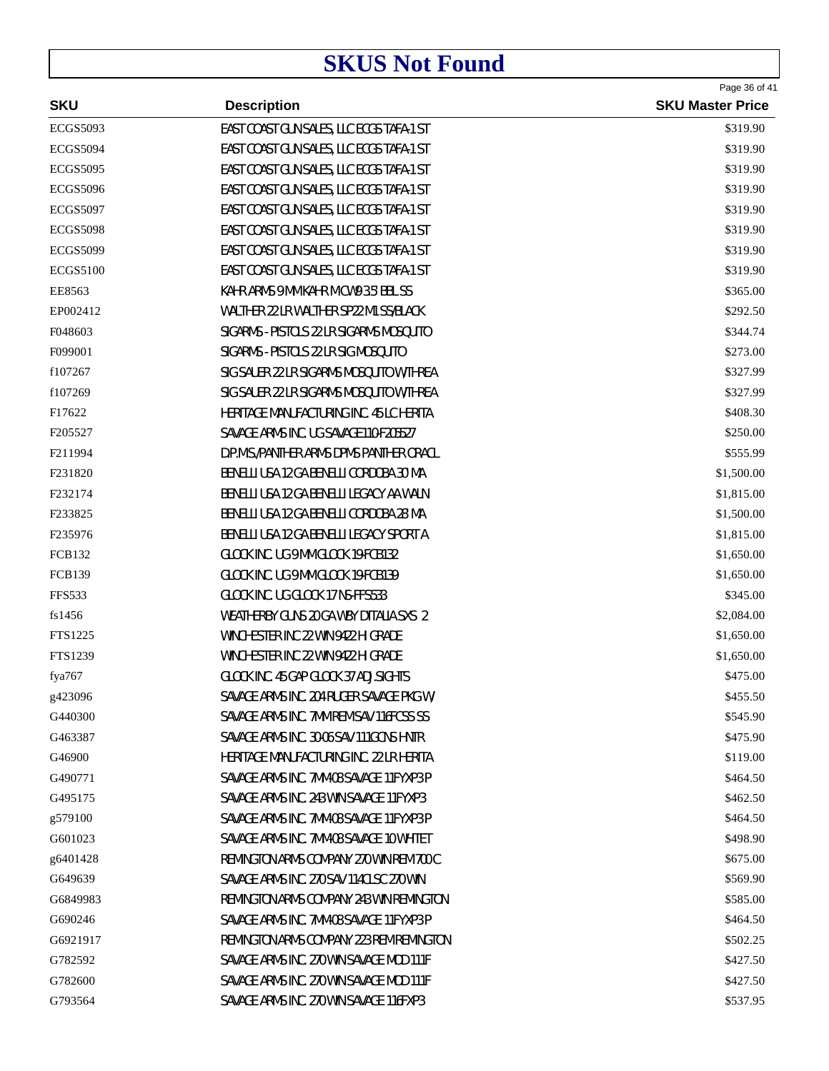|                     |                                          | Page 36 of 41           |
|---------------------|------------------------------------------|-------------------------|
| <b>SKU</b>          | <b>Description</b>                       | <b>SKU Master Price</b> |
| <b>ECGS5093</b>     | EAST COAST GUN SALES, LLC ECGS TAFA-1 ST | \$319.90                |
| <b>ECGS5094</b>     | EAST COAST GUN SALES, LLC ECGS TAFA-1 ST | \$319.90                |
| <b>ECGS5095</b>     | EAST COAST GUN SALES, LLC ECGS TAFA-1 ST | \$319.90                |
| <b>ECGS5096</b>     | EAST COAST GUN SALES, LLC ECGS TAFA-1 ST | \$319.90                |
| <b>ECGS5097</b>     | EAST COAST GUN SALES, LLC ECGS TAFA-1 ST | \$319.90                |
| <b>ECGS5098</b>     | EAST COAST GUN SALES, LLC ECGS TAFA-1 ST | \$319.90                |
| <b>ECGS5099</b>     | EAST COAST GUN SALES, LLC ECGS TAFA-1 ST | \$319.90                |
| <b>ECGS5100</b>     | EAST COAST GUN SALES, LLC ECGS TAFA-1 ST | \$319.90                |
| EE8563              | KAHR ARMS 9 MM KAHR M CW9 3.5' BBL SS    | \$365.00                |
| EP002412            | WALTHER 22 LR WALTHER SP22 M1 SS/BLACK   | \$292.50                |
| F048603             | SIGARMS - PISTOLS 22 LR SIGARMS MOSQUITO | \$344.74                |
| F099001             | SIGARMS - PISTOLS 22 LR SIG MOSQUITO     | \$273.00                |
| f107267             | SIG SAUER 22 LR SIGARMS MOSQUITO W/THREA | \$327.99                |
| f107269             | SIG SAUER 22 LR SIGARMS MOSQUITO W/THREA | \$327.99                |
| F17622              | HERITAGE MANUFACTURING INC. 45 LC HERITA | \$408.30                |
| F205527             | SAVAGE ARMS INC. UG SAVAGE110-F205527    | \$250.00                |
| F <sub>211994</sub> | D.P.M.S./PANTHER ARMS DPMS PANTHER ORACL | \$555.99                |
| F231820             | BENELLI USA 12 GA BENELLI CORDOBA 30' MA | \$1,500.00              |
| F232174             | BENELLI USA 12 GA BENELLI LEGACY AA WALN | \$1,815.00              |
| F233825             | BENELLI USA 12 GA BENELLI CORDOBA 28' MA | \$1,500.00              |
| F235976             | BENELLI USA 12 GA BENELLI LEGACY SPORT A | \$1,815.00              |
| <b>FCB132</b>       | GLOCK INC. UG 9 MM GLOCK 19-FCB132       | \$1,650.00              |
| <b>FCB139</b>       | GLOCK INC. UG 9 MM GLOCK 19-FCB139       | \$1,650.00              |
| <b>FFS533</b>       | GLOCK INC. UG GLOCK 17 NS-FFS533         | \$345.00                |
| fs1456              | WEATHERBY GUNS 20 GA WBY D'ITALIA SXS 2  | \$2,084.00              |
| FTS1225             | WINCHESTER INC 22 WIN 9422 HI GRADE      | \$1,650.00              |
| FTS1239             | WINCHESTER INC 22 WIN 9422 HI GRADE      | \$1,650.00              |
| fya767              | GLOCK INC. 45 GAP GLOCK 37 ADJ.SIGHTS    | \$475.00                |
| g423096             | SAVAGE ARMS INC. 204 RUGER SAVAGE PKG W/ | \$455.50                |
| G440300             | SAVAGE ARMS INC. 7MM REM SAV 116FCSS SS  | \$545.90                |
| G463387             | SAVAGE ARMS INC. 30-06 SAV 111GCNS HNTR  | \$475.90                |
| G46900              | HERITAGE MANUFACTURING INC. 22 LR HERITA | \$119.00                |
| G490771             | SAVAGE ARMS INC. 7MM-08 SAVAGE 11FYXP3 P | \$464.50                |
| G495175             | SAVAGE ARMS INC. 243 WIN SAVAGE 11FYXP3  | \$462.50                |
| g579100             | SAVAGE ARMS INC. 7MM-08 SAVAGE 11FYXP3 P | \$464.50                |
| G601023             | SAVAGE ARMS INC. 7MM-08 SAVAGE 10 WHITET | \$498.90                |
| g6401428            | REMINGTON ARMS COMPANY 270 WIN REM 700 C | \$675.00                |
| G649639             | SAVAGE ARMS INC. 270 SAV 114CLSC 270 WIN | \$569.90                |
| G6849983            | REMINGTON ARMS COMPANY 243 WIN REMINGTON | \$585.00                |
| G690246             | SAVAGE ARMS INC. 7MM-08 SAVAGE 11FYXP3 P | \$464.50                |
| G6921917            | REMINGTON ARMS COMPANY 223 REM REMINGTON | \$502.25                |
| G782592             | SAVAGE ARMS INC. 270 WIN SAVAGE MOD 111F | \$427.50                |
| G782600             | SAVAGE ARMS INC. 270 WIN SAVAGE MOD 111F | \$427.50                |
| G793564             | SAVAGE ARMS INC. 270 WIN SAVAGE 116FXP3  | \$537.95                |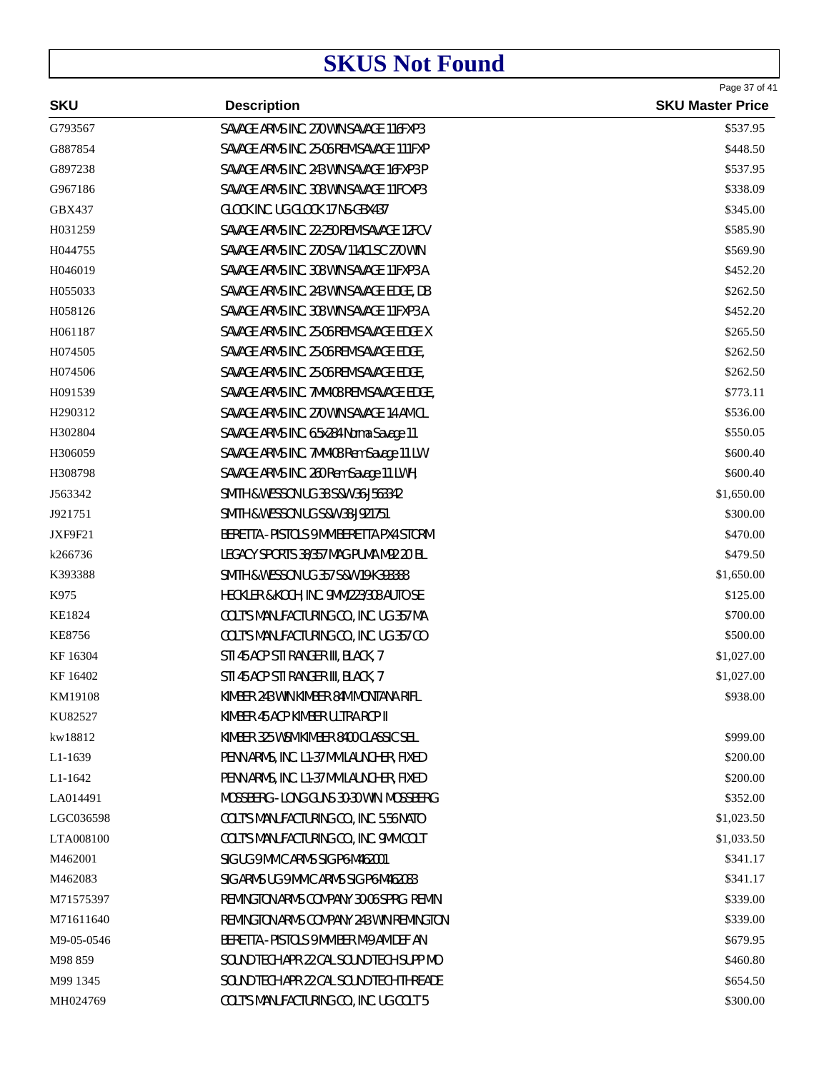| <b>SKU</b><br><b>Description</b><br>G793567<br>SAVAGE ARMS INC. 270 WIN SAVAGE 116FXP3<br>G887854<br>SAVAGE ARMS INC. 25-06 REM SAVAGE 111FXP<br>G897238<br>SAVAGE ARMS INC. 243 WIN SAVAGE 16FXP3 P<br>G967186<br>SAVAGE ARMS INC. 308 WIN SAVAGE 11FCXP3<br>GBX437<br>GLOCK INC. UG GLOCK 17 NS-GBX437<br>SAVAGE ARMS INC. 22-250 REM SAVAGE 12FCV<br>H031259<br>SAVAGE ARMS INC. 270 SAV 114CLSC 270 WIN<br>H044755<br>H046019<br>SAVAGE ARMS INC. 308 WIN SAVAGE 11FXP3 A<br>H055033<br>SAVAGE ARMS INC. 243 WIN SAVAGE EDGE, DB<br>H058126<br>SAVAGE ARMS INC. 308 WIN SAVAGE 11FXP3 A<br>H061187<br>SAVAGE ARMS INC. 25-06 REM SAVAGE EDGE X<br>SAVAGE ARMS INC. 25-06 REM SAVAGE EDGE,<br>H074505<br>H074506<br>SAVAGE ARMS INC. 25-06 REM SAVAGE EDGE,<br>H091539<br>SAVAGE ARMS INC. 7MM-08 REM SAVAGE EDGE,<br>H290312<br>SAVAGE ARMS INC. 270 WIN SAVAGE 14 AM CL<br>H302804<br>SAVAGE ARMS INC. 6.5x284 Norma Savage 11 | Page 37 of 41<br><b>SKU Master Price</b> |
|-------------------------------------------------------------------------------------------------------------------------------------------------------------------------------------------------------------------------------------------------------------------------------------------------------------------------------------------------------------------------------------------------------------------------------------------------------------------------------------------------------------------------------------------------------------------------------------------------------------------------------------------------------------------------------------------------------------------------------------------------------------------------------------------------------------------------------------------------------------------------------------------------------------------------------------|------------------------------------------|
|                                                                                                                                                                                                                                                                                                                                                                                                                                                                                                                                                                                                                                                                                                                                                                                                                                                                                                                                     |                                          |
|                                                                                                                                                                                                                                                                                                                                                                                                                                                                                                                                                                                                                                                                                                                                                                                                                                                                                                                                     | \$537.95                                 |
|                                                                                                                                                                                                                                                                                                                                                                                                                                                                                                                                                                                                                                                                                                                                                                                                                                                                                                                                     | \$448.50                                 |
|                                                                                                                                                                                                                                                                                                                                                                                                                                                                                                                                                                                                                                                                                                                                                                                                                                                                                                                                     | \$537.95                                 |
|                                                                                                                                                                                                                                                                                                                                                                                                                                                                                                                                                                                                                                                                                                                                                                                                                                                                                                                                     | \$338.09                                 |
|                                                                                                                                                                                                                                                                                                                                                                                                                                                                                                                                                                                                                                                                                                                                                                                                                                                                                                                                     | \$345.00                                 |
|                                                                                                                                                                                                                                                                                                                                                                                                                                                                                                                                                                                                                                                                                                                                                                                                                                                                                                                                     | \$585.90                                 |
|                                                                                                                                                                                                                                                                                                                                                                                                                                                                                                                                                                                                                                                                                                                                                                                                                                                                                                                                     | \$569.90                                 |
|                                                                                                                                                                                                                                                                                                                                                                                                                                                                                                                                                                                                                                                                                                                                                                                                                                                                                                                                     | \$452.20                                 |
|                                                                                                                                                                                                                                                                                                                                                                                                                                                                                                                                                                                                                                                                                                                                                                                                                                                                                                                                     | \$262.50                                 |
|                                                                                                                                                                                                                                                                                                                                                                                                                                                                                                                                                                                                                                                                                                                                                                                                                                                                                                                                     | \$452.20                                 |
|                                                                                                                                                                                                                                                                                                                                                                                                                                                                                                                                                                                                                                                                                                                                                                                                                                                                                                                                     | \$265.50                                 |
|                                                                                                                                                                                                                                                                                                                                                                                                                                                                                                                                                                                                                                                                                                                                                                                                                                                                                                                                     | \$262.50                                 |
|                                                                                                                                                                                                                                                                                                                                                                                                                                                                                                                                                                                                                                                                                                                                                                                                                                                                                                                                     | \$262.50                                 |
|                                                                                                                                                                                                                                                                                                                                                                                                                                                                                                                                                                                                                                                                                                                                                                                                                                                                                                                                     | \$773.11                                 |
|                                                                                                                                                                                                                                                                                                                                                                                                                                                                                                                                                                                                                                                                                                                                                                                                                                                                                                                                     | \$536.00                                 |
|                                                                                                                                                                                                                                                                                                                                                                                                                                                                                                                                                                                                                                                                                                                                                                                                                                                                                                                                     | \$550.05                                 |
| H306059<br>SAVAGE ARMS INC. 7MM-08 Rem Savage 11 LW                                                                                                                                                                                                                                                                                                                                                                                                                                                                                                                                                                                                                                                                                                                                                                                                                                                                                 | \$600.40                                 |
| H308798<br>SAVAGE ARMS INC. 260 Rem Savage 11 LWH,                                                                                                                                                                                                                                                                                                                                                                                                                                                                                                                                                                                                                                                                                                                                                                                                                                                                                  | \$600.40                                 |
| SMITH & WESSON UG 38 S&W 36-J563342<br>J563342                                                                                                                                                                                                                                                                                                                                                                                                                                                                                                                                                                                                                                                                                                                                                                                                                                                                                      | \$1,650.00                               |
| SMITH & WESSON UG S&W 38-J921751<br>J921751                                                                                                                                                                                                                                                                                                                                                                                                                                                                                                                                                                                                                                                                                                                                                                                                                                                                                         | \$300.00                                 |
| BERETTA - PISTOLS 9 MM BERETTA PX4 STORM<br>JXF9F21                                                                                                                                                                                                                                                                                                                                                                                                                                                                                                                                                                                                                                                                                                                                                                                                                                                                                 | \$470.00                                 |
| k266736<br>LEGACY SPORTS 38/357 MAG PUMA M92 20' BL                                                                                                                                                                                                                                                                                                                                                                                                                                                                                                                                                                                                                                                                                                                                                                                                                                                                                 | \$479.50                                 |
| K393388<br>SMITH & WESSON UG 357 S&W 19-K393388                                                                                                                                                                                                                                                                                                                                                                                                                                                                                                                                                                                                                                                                                                                                                                                                                                                                                     | \$1,650.00                               |
| K975<br>HECKLER & KOCH, INC. 9MM/223/308 AUTO SE                                                                                                                                                                                                                                                                                                                                                                                                                                                                                                                                                                                                                                                                                                                                                                                                                                                                                    | \$125.00                                 |
| KE1824<br>COLT'S MANUFACTURING CO., INC. UG 357 MA                                                                                                                                                                                                                                                                                                                                                                                                                                                                                                                                                                                                                                                                                                                                                                                                                                                                                  | \$700.00                                 |
| <b>KE8756</b><br>COLT'S MANUFACTURING CO., INC. UG 357 CO                                                                                                                                                                                                                                                                                                                                                                                                                                                                                                                                                                                                                                                                                                                                                                                                                                                                           | \$500.00                                 |
| KF 16304<br>STI 45 ACP STI RANGER III, BLACK, 7                                                                                                                                                                                                                                                                                                                                                                                                                                                                                                                                                                                                                                                                                                                                                                                                                                                                                     | \$1,027.00                               |
| KF 16402<br>STI 45 ACP STI RANGER III, BLACK, 7                                                                                                                                                                                                                                                                                                                                                                                                                                                                                                                                                                                                                                                                                                                                                                                                                                                                                     | \$1,027.00                               |
| KIMBER 243 WIN KIMBER 84M MONTANA RIFL<br>KM19108                                                                                                                                                                                                                                                                                                                                                                                                                                                                                                                                                                                                                                                                                                                                                                                                                                                                                   | \$938.00                                 |
| KU82527<br>KIMBER 45 ACP KIMBER ULTRA RCP II                                                                                                                                                                                                                                                                                                                                                                                                                                                                                                                                                                                                                                                                                                                                                                                                                                                                                        |                                          |
| kw18812<br>KIMBER 325 WSM KIMBER 8400 CLASSIC SEL                                                                                                                                                                                                                                                                                                                                                                                                                                                                                                                                                                                                                                                                                                                                                                                                                                                                                   | \$999.00                                 |
| PENN ARMS, INC. L1-37 MM LAUNCHER, FIXED<br>L1-1639                                                                                                                                                                                                                                                                                                                                                                                                                                                                                                                                                                                                                                                                                                                                                                                                                                                                                 | \$200.00                                 |
| L1-1642<br>PENN ARMS, INC. L1-37 MM LAUNCHER, FIXED                                                                                                                                                                                                                                                                                                                                                                                                                                                                                                                                                                                                                                                                                                                                                                                                                                                                                 | \$200.00                                 |
| LA014491<br>MOSSBERG - LONG GUNS 30-30 WIN. MOSSBERG                                                                                                                                                                                                                                                                                                                                                                                                                                                                                                                                                                                                                                                                                                                                                                                                                                                                                | \$352.00                                 |
| LGC036598<br>COLT'S MANUFACTURING CO., INC. 5.56 NATO                                                                                                                                                                                                                                                                                                                                                                                                                                                                                                                                                                                                                                                                                                                                                                                                                                                                               | \$1,023.50                               |
| LTA008100<br>COLT'S MANUFACTURING CO., INC. 9MM COLT                                                                                                                                                                                                                                                                                                                                                                                                                                                                                                                                                                                                                                                                                                                                                                                                                                                                                | \$1,033.50                               |
| SIG UG 9 MM C ARMS SIG P6-M462001<br>M462001                                                                                                                                                                                                                                                                                                                                                                                                                                                                                                                                                                                                                                                                                                                                                                                                                                                                                        | \$341.17                                 |
| M462083<br>SIG ARMS UG 9 MM C ARMS SIG P6-M462083                                                                                                                                                                                                                                                                                                                                                                                                                                                                                                                                                                                                                                                                                                                                                                                                                                                                                   | \$341.17                                 |
| M71575397<br>REMINGTON ARMS COMPANY 30-06 SPRG REMIN                                                                                                                                                                                                                                                                                                                                                                                                                                                                                                                                                                                                                                                                                                                                                                                                                                                                                | \$339.00                                 |
| REMINGTON ARMS COMPANY 243 WIN REMINGTON<br>M71611640                                                                                                                                                                                                                                                                                                                                                                                                                                                                                                                                                                                                                                                                                                                                                                                                                                                                               | \$339.00                                 |
| BERETTA - PISTOLS 9 MM BER M-9 AM DEF AN<br>M9-05-0546                                                                                                                                                                                                                                                                                                                                                                                                                                                                                                                                                                                                                                                                                                                                                                                                                                                                              | \$679.95                                 |
| SOUND TECH APR 22 CAL SOUND TECH SUPP MO<br>M98 859                                                                                                                                                                                                                                                                                                                                                                                                                                                                                                                                                                                                                                                                                                                                                                                                                                                                                 | \$460.80                                 |
| SOUND TECH APR 22 CAL SOUND TECH THREADE<br>M99 1345                                                                                                                                                                                                                                                                                                                                                                                                                                                                                                                                                                                                                                                                                                                                                                                                                                                                                | \$654.50                                 |
| COLT'S MANUFACTURING CO., INC. UG COLT 5<br>MH024769                                                                                                                                                                                                                                                                                                                                                                                                                                                                                                                                                                                                                                                                                                                                                                                                                                                                                | \$300.00                                 |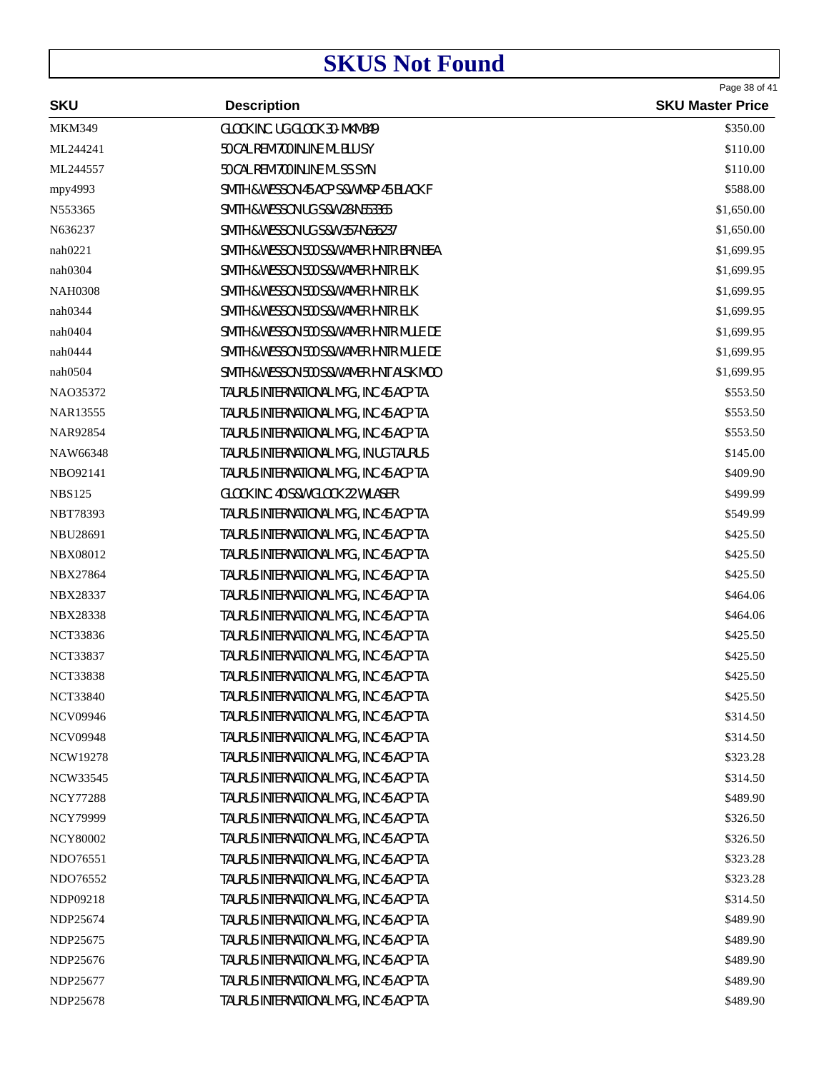|                 | <b>Description</b>                              | Page 38 of 41           |
|-----------------|-------------------------------------------------|-------------------------|
| <b>SKU</b>      |                                                 | <b>SKU Master Price</b> |
| <b>MKM349</b>   | GLOCK INC. UG GLOCK 30- MKM349                  | \$350.00                |
| ML244241        | 50 CAL REM 700 INLINE ML BLU SY                 | \$110.00                |
| ML244557        | 50 CAL REM 700 INLINE ML SS SYN                 | \$110.00                |
| mpy4993         | SMITH & WESSON 45 ACP S&W M&P 45 BLACK F        | \$588.00                |
| N553365         | <b>SMITH &amp; WESSON UG S&amp;W 28-N553365</b> | \$1,650.00              |
| N636237         | SMITH & WESSON UG S&W 357-N636237               | \$1,650.00              |
| nah0221         | SMITH & WESSON 500 S&W AMER HNTR BRN BEA        | \$1,699.95              |
| nah0304         | SMITH & WESSON 500 S&W AMER HNTR ELK            | \$1,699.95              |
| <b>NAH0308</b>  | SMITH & WESSON 500 S&W AMER HNTR ELK            | \$1,699.95              |
| nah0344         | SMITH & WESSON 500 S&W AMER HNTR ELK            | \$1,699.95              |
| nah0404         | SMITH & WESSON 500 S&W AMER HNTR MULE DE        | \$1,699.95              |
| nah0444         | SMITH & WESSON 500 S&W AMER HNTR MULE DE        | \$1,699.95              |
| nah0504         | SMITH & WESSON 500 S&W AMER HNT ALSK MOO        | \$1,699.95              |
| NAO35372        | TAURUS INTERNATIONAL MFG., INC 45 ACP TA        | \$553.50                |
| NAR13555        | TAURUS INTERNATIONAL MFG., INC 45 ACP TA        | \$553.50                |
| NAR92854        | TAURUS INTERNATIONAL MFG., INC 45 ACP TA        | \$553.50                |
| NAW66348        | TAURUS INTERNATIONAL MFG., IN UG TAURUS         | \$145.00                |
| NBO92141        | TAURUS INTERNATIONAL MFG., INC 45 ACP TA        | \$409.90                |
| <b>NBS125</b>   | GLOCK INC. 40 S&W GLOCK 22 W/LASER              | \$499.99                |
| <b>NBT78393</b> | TAURUS INTERNATIONAL MFG., INC 45 ACP TA        | \$549.99                |
| NBU28691        | TAURUS INTERNATIONAL MFG., INC 45 ACP TA        | \$425.50                |
| <b>NBX08012</b> | TAURUS INTERNATIONAL MFG., INC 45 ACP TA        | \$425.50                |
| <b>NBX27864</b> | TAURUS INTERNATIONAL MFG., INC 45 ACP TA        | \$425.50                |
| <b>NBX28337</b> | TAURUS INTERNATIONAL MFG., INC 45 ACP TA        | \$464.06                |
| <b>NBX28338</b> | TAURUS INTERNATIONAL MFG., INC 45 ACP TA        | \$464.06                |
| <b>NCT33836</b> | TAURUS INTERNATIONAL MFG., INC 45 ACP TA        | \$425.50                |
| <b>NCT33837</b> | TAURUS INTERNATIONAL MFG., INC 45 ACP TA        | \$425.50                |
| <b>NCT33838</b> | TAURUS INTERNATIONAL MFG., INC 45 ACP TA        | \$425.50                |
| <b>NCT33840</b> | TAURUS INTERNATIONAL MFG., INC 45 ACP TA        | \$425.50                |
| <b>NCV09946</b> | TAURUS INTERNATIONAL MFG., INC 45 ACP TA        | \$314.50                |
| <b>NCV09948</b> | TAURUS INTERNATIONAL MFG., INC 45 ACP TA        | \$314.50                |
| NCW19278        | TAURUS INTERNATIONAL MFG., INC 45 ACP TA        | \$323.28                |
| NCW33545        | TAURUS INTERNATIONAL MFG., INC 45 ACP TA        | \$314.50                |
| <b>NCY77288</b> | TAURUS INTERNATIONAL MFG., INC 45 ACP TA        | \$489.90                |
| <b>NCY79999</b> | TAURUS INTERNATIONAL MFG., INC 45 ACP TA        | \$326.50                |
| <b>NCY80002</b> | TAURUS INTERNATIONAL MFG., INC 45 ACP TA        | \$326.50                |
| NDO76551        | TAURUS INTERNATIONAL MFG., INC 45 ACP TA        | \$323.28                |
| NDO76552        | TAURUS INTERNATIONAL MFG., INC 45 ACP TA        | \$323.28                |
| NDP09218        | TAURUS INTERNATIONAL MFG., INC 45 ACP TA        | \$314.50                |
| NDP25674        | TAURUS INTERNATIONAL MFG., INC 45 ACP TA        | \$489.90                |
| NDP25675        | TAURUS INTERNATIONAL MFG., INC 45 ACP TA        | \$489.90                |
| NDP25676        | TAURUS INTERNATIONAL MFG., INC 45 ACP TA        | \$489.90                |
| NDP25677        | TAURUS INTERNATIONAL MFG., INC 45 ACP TA        | \$489.90                |
| NDP25678        | TAURUS INTERNATIONAL MFG., INC 45 ACP TA        | \$489.90                |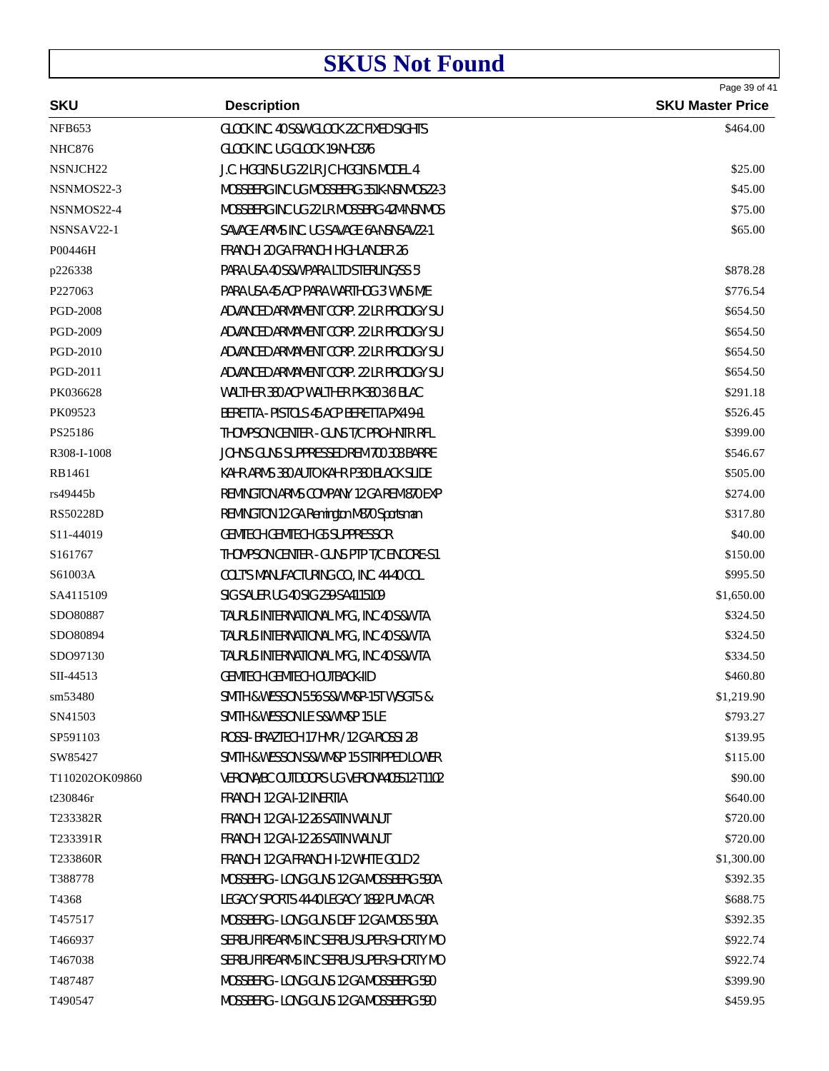| <b>SKU</b>           | <b>Description</b>                       | Page 39 of 41<br><b>SKU Master Price</b> |
|----------------------|------------------------------------------|------------------------------------------|
| <b>NFB653</b>        | GLOCK INC. 40 S&W GLOCK 22C FIXED SIGHTS | \$464.00                                 |
| <b>NHC876</b>        | GLOCK INC. UG GLOCK 19-NHC876            |                                          |
| NSNJCH <sub>22</sub> | J.C. HIGGINS UG 22 LR JC HIGGINS MODEL 4 | \$25.00                                  |
| NSNMOS22-3           | MOSSBERG INC UG MOSSBERG 351K-NSNMOS22-3 | \$45.00                                  |
| NSNMOS22-4           | MOSSBERG INC UG 22 LR MOSSBRG 42M-NSNMOS | \$75.00                                  |
| NSNSAV22-1           | SAVAGE ARMS INC. UG SAVAGE 6A-NSNSAV22-1 | \$65.00                                  |
| P00446H              | FRANCHI 20 GA FRANCHI HIGHLANDER 26      |                                          |
| p226338              | PARA USA 40 S&W PARA LTD STERLING/SS 5'  | \$878.28                                 |
| P227063              | PARA USA 45 ACP PARA WARTHOG 3' W/NS M/E | \$776.54                                 |
| <b>PGD-2008</b>      | ADVANCED ARMAMENT CORP. 22 LR PRODIGY SU | \$654.50                                 |
| PGD-2009             | ADVANCED ARMAMENT CORP. 22 LR PRODIGY SU | \$654.50                                 |
| PGD-2010             | ADVANCED ARMAMENT CORP. 22 LR PRODIGY SU | \$654.50                                 |
| PGD-2011             | ADVANCED ARMAMENT CORP. 22 LR PRODIGY SU | \$654.50                                 |
| PK036628             | WALTHER 380 ACP WALTHER PK380 3.6' BLAC  | \$291.18                                 |
| PK09523              | BERETTA - PISTOLS 45 ACP BERETTA PX4 9+1 | \$526.45                                 |
| PS25186              | THOMPSON CENTER - GUNS T/C PRO-HNTR RFL  | \$399.00                                 |
| R308-I-1008          | JOHN'S GUNS SUPPRESSED REM 700 308 BARRE | \$546.67                                 |
| RB1461               | KAHR ARMS 380 AUTO KAHR P380 BLACK SLIDE | \$505.00                                 |
| rs49445b             | REMINGTON ARMS COMPANY 12 GA REM 870 EXP | \$274.00                                 |
| <b>RS50228D</b>      | REMINGTON 12 GA Remington M870 Sportsman | \$317.80                                 |
| S11-44019            | <b>GEMTECH GEMTECH G5 SUPPRESSOR</b>     | \$40.00                                  |
| S161767              | THOMPSON CENTER - GUNS PTP T/C ENCORE-S1 | \$150.00                                 |
| S61003A              | COLT'S MANUFACTURING CO., INC. 44-40 COL | \$995.50                                 |
| SA4115109            | SIG SAUER UG 40 SIG 239-SA4115109        | \$1,650.00                               |
| SDO80887             | TAURUS INTERNATIONAL MFG., INC 40 S&W TA | \$324.50                                 |
| SDO80894             | TAURUS INTERNATIONAL MFG., INC 40 S&W TA | \$324.50                                 |
| SDO97130             | TAURUS INTERNATIONAL MFG., INC 40 S&W TA | \$334.50                                 |
| SII-44513            | <b>GEMTECH GEMTECH OUTBACK-IID</b>       | \$460.80                                 |
| sm53480              | SMITH & WESSON 5.56 S&W M&P-15T W/SGTS & | \$1,219.90                               |
| SN41503              | SMITH & WESSON LE S&W M&P 15 LE          | \$793.27                                 |
| SP591103             | ROSSI- BRAZTECH 17 HMR / 12 GA ROSSI 28' | \$139.95                                 |
| SW85427              | SMITH & WESSON S&W M&P 15 STRIPPED LOWER | \$115.00                                 |
| T110202OK09860       | VERONA/BC OUTDOORS UG VERONA405S12-T1102 | \$90.00                                  |
| t230846r             | FRANCHI 12 GA I-12 INERTIA               | \$640.00                                 |
| T233382R             | FRANCHI 12 GA I-12 26 SATIN WALNUT       | \$720.00                                 |
| T233391R             | FRANCHI 12 GA I-12 26 SATIN WALNUT       | \$720.00                                 |
| T233860R             | FRANCHI 12 GA FRANCHI I-12 WHITE GOLD 2  | \$1,300.00                               |
| T388778              | MOSSBERG - LONG GUNS 12 GA MOSSBERG 590A | \$392.35                                 |
| T4368                | LEGACY SPORTS 44-40 LEGACY 1892 PUMA CAR | \$688.75                                 |
| T457517              | MOSSBERG - LONG GUNS DEF 12 GA MOSS 590A | \$392.35                                 |
| T466937              | SERBU FIREARMS INC SERBU SUPER-SHORTY MO | \$922.74                                 |
| T467038              | SERBU FIREARMS INC SERBU SUPER-SHORTY MO | \$922.74                                 |
| T487487              | MOSSBERG - LONG GUNS 12 GA MOSSBERG 590  | \$399.90                                 |
| T490547              | MOSSBERG - LONG GUNS 12 GA MOSSBERG 590  | \$459.95                                 |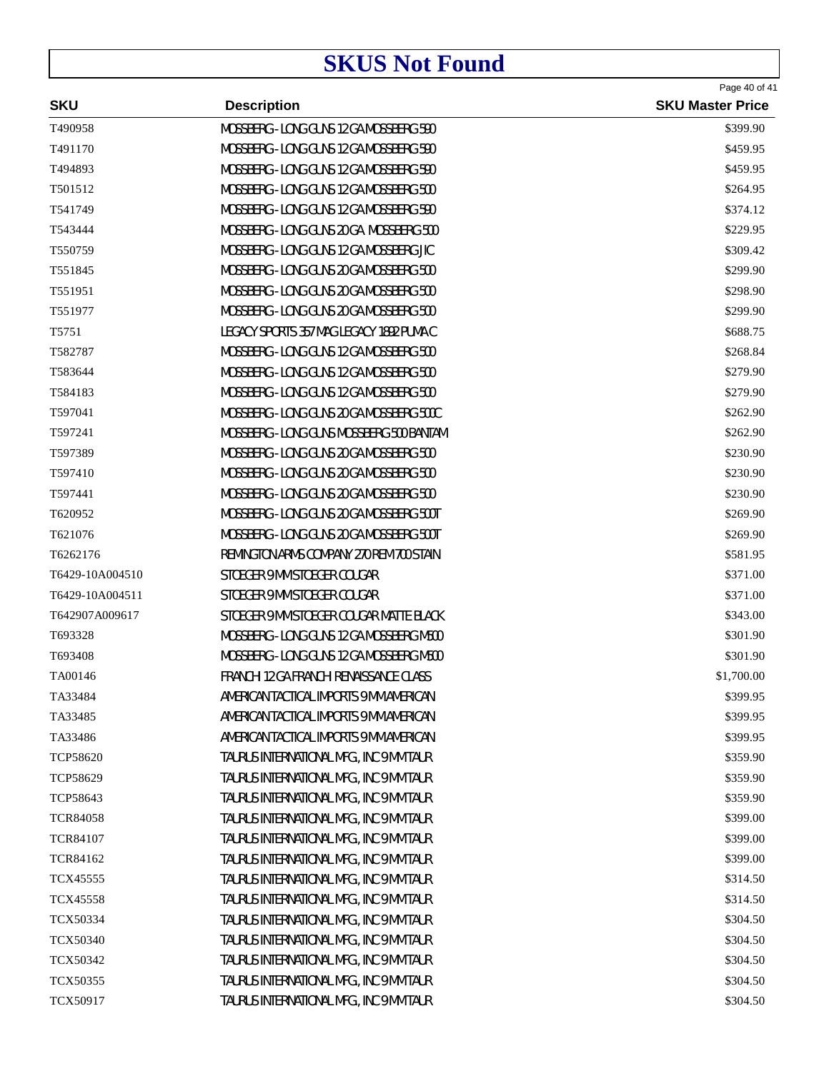|                 | <b>Description</b>                       | Page 40 of 41           |
|-----------------|------------------------------------------|-------------------------|
| <b>SKU</b>      |                                          | <b>SKU Master Price</b> |
| T490958         | MOSSBERG - LONG GUNS 12 GA MOSSBERG 590  | \$399.90                |
| T491170         | MOSSBERG - LONG GUNS 12 GA MOSSBERG 590  | \$459.95                |
| T494893         | MOSSBERG - LONG GUNS 12 GA MOSSBERG 590  | \$459.95                |
| T501512         | MOSSBERG - LONG GUNS 12 GA MOSSBERG 500  | \$264.95                |
| T541749         | MOSSBERG - LONG GUNS 12 GA MOSSBERG 590  | \$374.12                |
| T543444         | MOSSBERG - LONG GUNS 20 GA MOSSBERG 500  | \$229.95                |
| T550759         | MOSSBERG - LONG GUNS 12 GA MOSSBERG JIC  | \$309.42                |
| T551845         | MOSSBERG - LONG GUNS 20 GA MOSSBERG 500  | \$299.90                |
| T551951         | MOSSBERG - LONG GUNS 20 GA MOSSBERG 500  | \$298.90                |
| T551977         | MOSSBERG - LONG GUNS 20 GA MOSSBERG 500  | \$299.90                |
| T5751           | LEGACY SPORTS 357 MAG LEGACY 1892 PUMA C | \$688.75                |
| T582787         | MOSSBERG - LONG GUNS 12 GA MOSSBERG 500  | \$268.84                |
| T583644         | MOSSBERG - LONG GUNS 12 GA MOSSBERG 500  | \$279.90                |
| T584183         | MOSSBERG - LONG GUNS 12 GA MOSSBERG 500  | \$279.90                |
| T597041         | MOSSBERG - LONG GUNS 20 GA MOSSBERG 500C | \$262.90                |
| T597241         | MOSSBERG - LONG GUNS MOSSBERG 500 BANTAM | \$262.90                |
| T597389         | MOSSBERG - LONG GUNS 20 GA MOSSBERG 500  | \$230.90                |
| T597410         | MOSSBERG - LONG GUNS 20 GA MOSSBERG 500  | \$230.90                |
| T597441         | MOSSBERG - LONG GUNS 20 GA MOSSBERG 500  | \$230.90                |
| T620952         | MOSSBERG - LONG GUNS 20 GA MOSSBERG 500T | \$269.90                |
| T621076         | MOSSBERG - LONG GUNS 20 GA MOSSBERG 500T | \$269.90                |
| T6262176        | REMINGTON ARMS COMPANY 270 REM 700 STAIN | \$581.95                |
| T6429-10A004510 | STOEGER 9 MM STOEGER COUGAR              | \$371.00                |
| T6429-10A004511 | STOEGER 9 MM STOEGER COUGAR              | \$371.00                |
| T642907A009617  | STOEGER 9 MM STOEGER COUGAR MATTE BLACK  | \$343.00                |
| T693328         | MOSSBERG - LONG GUNS 12 GA MOSSBERG M500 | \$301.90                |
| T693408         | MOSSBERG - LONG GUNS 12 GA MOSSBERG M500 | \$301.90                |
| TA00146         | FRANCHI 12 GA FRANCHI RENAISSANCE CLASS  | \$1,700.00              |
| TA33484         | AMERICAN TACTICAL IMPORTS 9 MM AMERICAN  | \$399.95                |
| TA33485         | AMERICAN TACTICAL IMPORTS 9 MM AMERICAN  | \$399.95                |
| TA33486         | AMERICAN TACTICAL IMPORTS 9 MM AMERICAN  | \$399.95                |
| <b>TCP58620</b> | TAURUS INTERNATIONAL MFG., INC 9 MM TAUR | \$359.90                |
| TCP58629        | TAURUS INTERNATIONAL MFG., INC 9 MM TAUR | \$359.90                |
| TCP58643        | TAURUS INTERNATIONAL MFG., INC 9 MM TAUR | \$359.90                |
| <b>TCR84058</b> | TAURUS INTERNATIONAL MFG., INC 9 MM TAUR | \$399.00                |
| <b>TCR84107</b> | TAURUS INTERNATIONAL MFG., INC 9 MM TAUR | \$399.00                |
| <b>TCR84162</b> | TAURUS INTERNATIONAL MFG., INC 9 MM TAUR | \$399.00                |
| <b>TCX45555</b> | TAURUS INTERNATIONAL MFG., INC 9 MM TAUR | \$314.50                |
| <b>TCX45558</b> | TAURUS INTERNATIONAL MFG., INC 9 MM TAUR | \$314.50                |
| TCX50334        | TAURUS INTERNATIONAL MFG., INC 9 MM TAUR | \$304.50                |
| <b>TCX50340</b> | TAURUS INTERNATIONAL MFG., INC 9 MM TAUR | \$304.50                |
| TCX50342        | TAURUS INTERNATIONAL MFG., INC 9 MM TAUR | \$304.50                |
| <b>TCX50355</b> | TAURUS INTERNATIONAL MFG., INC 9 MM TAUR | \$304.50                |
| TCX50917        | TAURUS INTERNATIONAL MFG., INC 9 MM TAUR | \$304.50                |